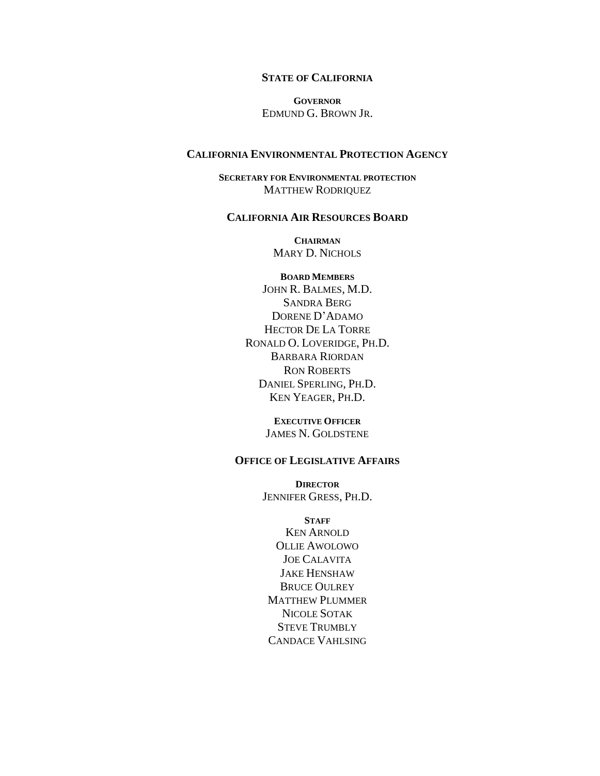#### **STATE OF CALIFORNIA**

**GOVERNOR** EDMUND G. BROWN JR.

#### **CALIFORNIA ENVIRONMENTAL PROTECTION AGENCY**

**SECRETARY FOR ENVIRONMENTAL PROTECTION** MATTHEW RODRIQUEZ

#### **CALIFORNIA AIR RESOURCES BOARD**

**CHAIRMAN** MARY D. NICHOLS

**BOARD MEMBERS** JOHN R. BALMES, M.D. SANDRA BERG DORENE D'ADAMO HECTOR DE LA TORRE RONALD O. LOVERIDGE, PH.D. BARBARA RIORDAN RON ROBERTS DANIEL SPERLING, PH.D. KEN YEAGER, PH.D.

> **EXECUTIVE OFFICER** JAMES N. GOLDSTENE

#### **OFFICE OF LEGISLATIVE AFFAIRS**

**DIRECTOR** JENNIFER GRESS, PH.D.

#### **STAFF**

KEN ARNOLD OLLIE AWOLOWO JOE CALAVITA JAKE HENSHAW BRUCE OULREY MATTHEW PLUMMER NICOLE SOTAK STEVE TRUMBLY CANDACE VAHLSING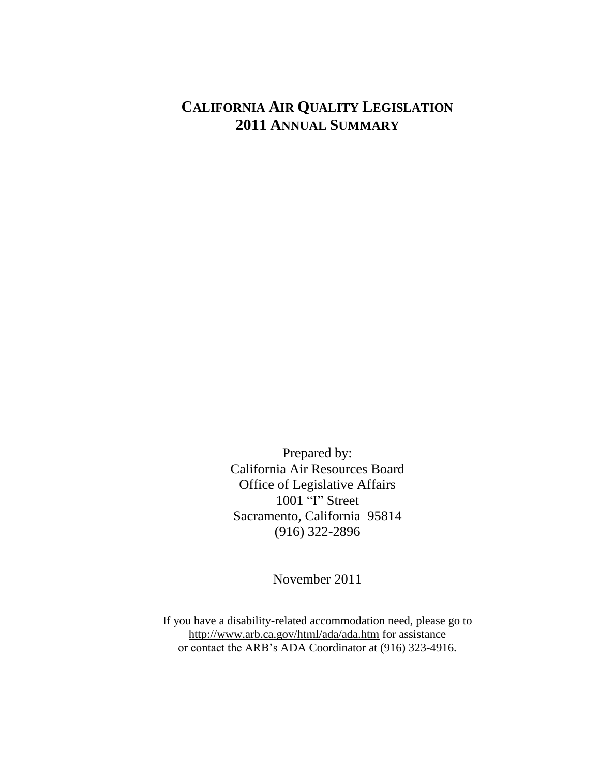# **CALIFORNIA AIR QUALITY LEGISLATION** 2011 ANNUAL SUMMARY

Prepared by: California Air Resources Board Office of Legislative Affairs 1001 "I" Street Sacramento, California 95814  $(916)$  322-2896

November 2011

If you have a disability-related accommodation need, please go to http://www.arb.ca.gov/html/ada/ada.htm for assistance or contact the ARB's ADA Coordinator at (916) 323-4916.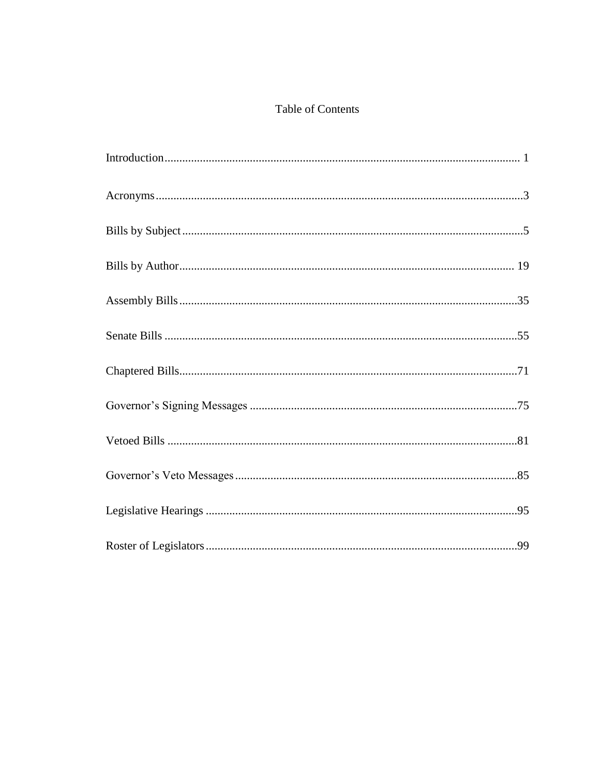## Table of Contents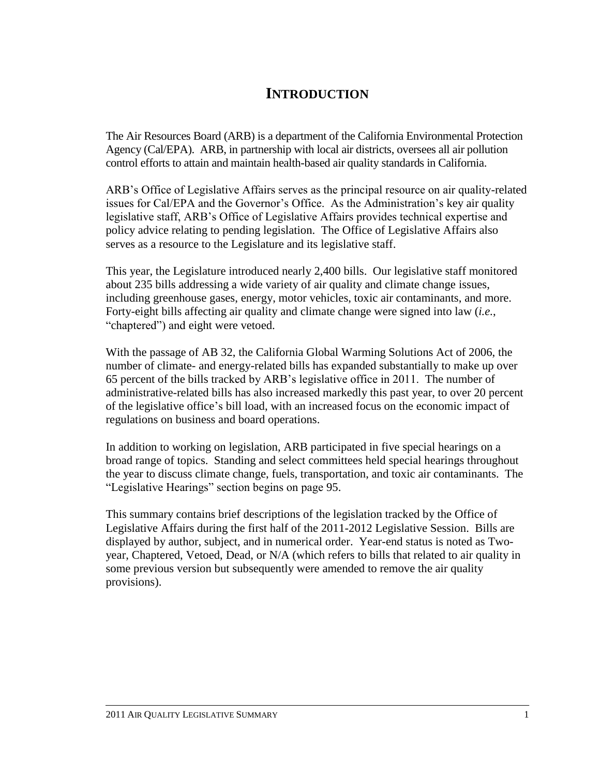# **INTRODUCTION**

The Air Resources Board (ARB) is a department of the California Environmental Protection Agency (Cal/EPA). ARB, in partnership with local air districts, oversees all air pollution control efforts to attain and maintain health-based air quality standards in California.

ARB's Office of Legislative Affairs serves as the principal resource on air quality-related issues for Cal/EPA and the Governor's Office. As the Administration's key air quality legislative staff, ARB's Office of Legislative Affairs provides technical expertise and policy advice relating to pending legislation. The Office of Legislative Affairs also serves as a resource to the Legislature and its legislative staff.

This year, the Legislature introduced nearly 2,400 bills. Our legislative staff monitored about 235 bills addressing a wide variety of air quality and climate change issues, including greenhouse gases, energy, motor vehicles, toxic air contaminants, and more. Forty-eight bills affecting air quality and climate change were signed into law (*i.e.*, "chaptered") and eight were vetoed.

With the passage of AB 32, the California Global Warming Solutions Act of 2006, the number of climate- and energy-related bills has expanded substantially to make up over 65 percent of the bills tracked by ARB's legislative office in 2011. The number of administrative-related bills has also increased markedly this past year, to over 20 percent of the legislative office's bill load, with an increased focus on the economic impact of regulations on business and board operations.

In addition to working on legislation, ARB participated in five special hearings on a broad range of topics. Standing and select committees held special hearings throughout the year to discuss climate change, fuels, transportation, and toxic air contaminants. The ―Legislative Hearings‖ section begins on page 95.

This summary contains brief descriptions of the legislation tracked by the Office of Legislative Affairs during the first half of the 2011-2012 Legislative Session. Bills are displayed by author, subject, and in numerical order. Year-end status is noted as Twoyear, Chaptered, Vetoed, Dead, or N/A (which refers to bills that related to air quality in some previous version but subsequently were amended to remove the air quality provisions).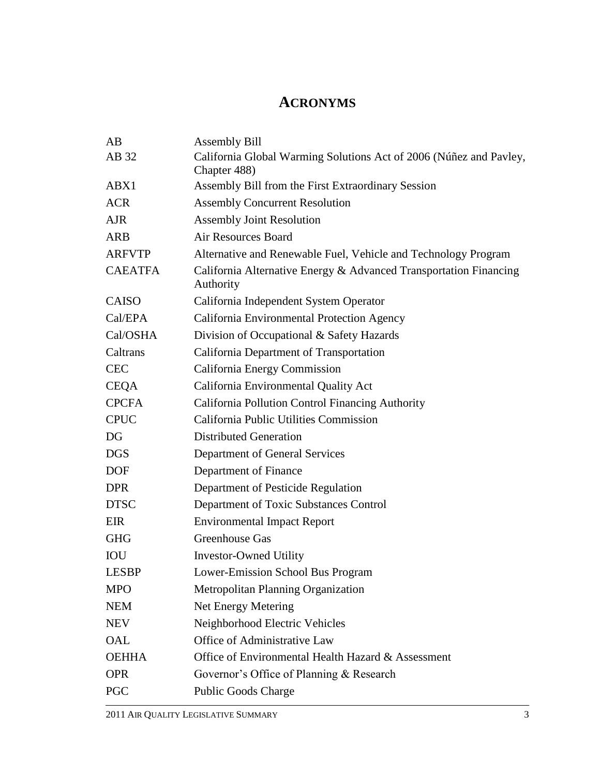# **ACRONYMS**

| AB             | <b>Assembly Bill</b>                                                           |
|----------------|--------------------------------------------------------------------------------|
| AB 32          | California Global Warming Solutions Act of 2006 (Núñez and Pavley,             |
|                | Chapter 488)                                                                   |
| ABX1           | Assembly Bill from the First Extraordinary Session                             |
| <b>ACR</b>     | <b>Assembly Concurrent Resolution</b>                                          |
| <b>AJR</b>     | <b>Assembly Joint Resolution</b>                                               |
| <b>ARB</b>     | <b>Air Resources Board</b>                                                     |
| <b>ARFVTP</b>  | Alternative and Renewable Fuel, Vehicle and Technology Program                 |
| <b>CAEATFA</b> | California Alternative Energy & Advanced Transportation Financing<br>Authority |
| <b>CAISO</b>   | California Independent System Operator                                         |
| Cal/EPA        | California Environmental Protection Agency                                     |
| Cal/OSHA       | Division of Occupational & Safety Hazards                                      |
| Caltrans       | California Department of Transportation                                        |
| <b>CEC</b>     | California Energy Commission                                                   |
| <b>CEQA</b>    | California Environmental Quality Act                                           |
| <b>CPCFA</b>   | California Pollution Control Financing Authority                               |
| <b>CPUC</b>    | California Public Utilities Commission                                         |
| DG             | <b>Distributed Generation</b>                                                  |
| <b>DGS</b>     | Department of General Services                                                 |
| <b>DOF</b>     | Department of Finance                                                          |
| <b>DPR</b>     | Department of Pesticide Regulation                                             |
| <b>DTSC</b>    | Department of Toxic Substances Control                                         |
| EIR            | <b>Environmental Impact Report</b>                                             |
| <b>GHG</b>     | Greenhouse Gas                                                                 |
| <b>IOU</b>     | <b>Investor-Owned Utility</b>                                                  |
| <b>LESBP</b>   | Lower-Emission School Bus Program                                              |
| <b>MPO</b>     | <b>Metropolitan Planning Organization</b>                                      |
| <b>NEM</b>     | Net Energy Metering                                                            |
| <b>NEV</b>     | Neighborhood Electric Vehicles                                                 |
| OAL            | Office of Administrative Law                                                   |
| <b>OEHHA</b>   | Office of Environmental Health Hazard & Assessment                             |
| <b>OPR</b>     | Governor's Office of Planning & Research                                       |
| PGC            | <b>Public Goods Charge</b>                                                     |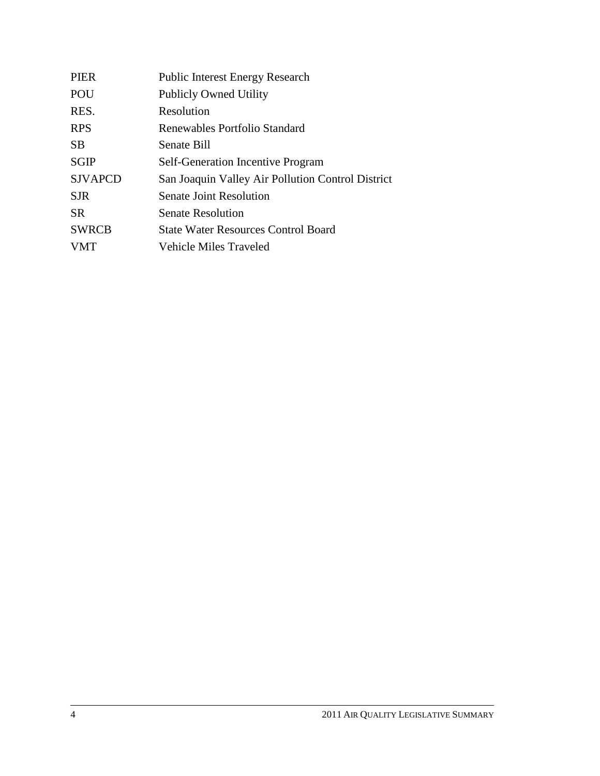| <b>PIER</b>    | <b>Public Interest Energy Research</b>            |
|----------------|---------------------------------------------------|
| POU            | <b>Publicly Owned Utility</b>                     |
| RES.           | Resolution                                        |
| <b>RPS</b>     | Renewables Portfolio Standard                     |
| <b>SB</b>      | Senate Bill                                       |
| <b>SGIP</b>    | <b>Self-Generation Incentive Program</b>          |
| <b>SJVAPCD</b> | San Joaquin Valley Air Pollution Control District |
| <b>SJR</b>     | <b>Senate Joint Resolution</b>                    |
| <b>SR</b>      | <b>Senate Resolution</b>                          |
| <b>SWRCB</b>   | <b>State Water Resources Control Board</b>        |
| <b>VMT</b>     | Vehicle Miles Traveled                            |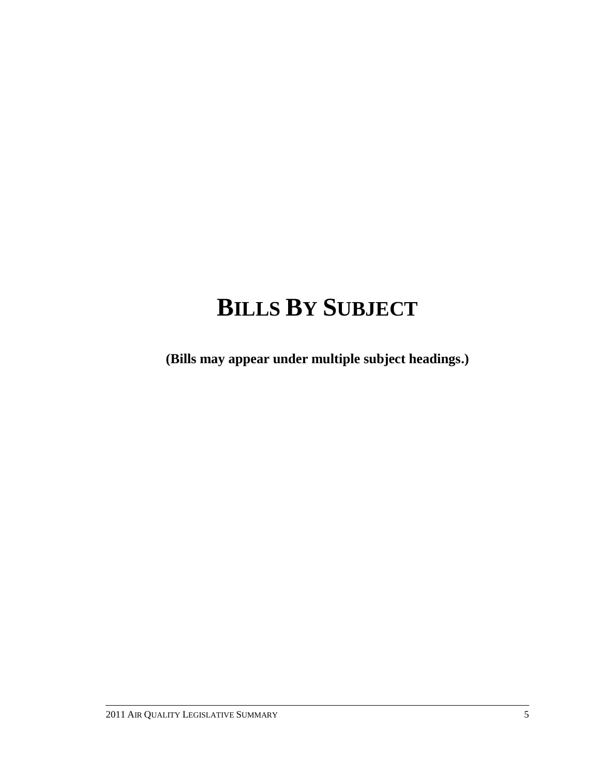# **BILLS BY SUBJECT**

**(Bills may appear under multiple subject headings.)**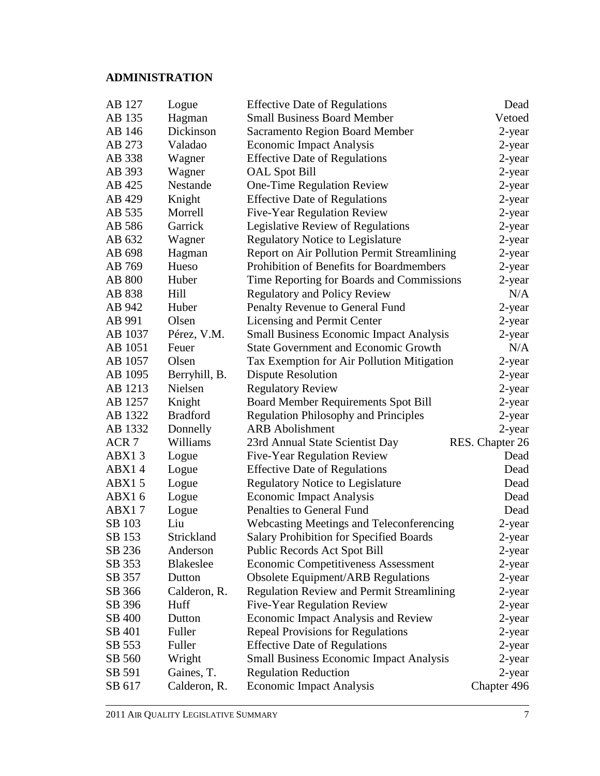# **ADMINISTRATION**

| AB 127           | Logue           | <b>Effective Date of Regulations</b>             | Dead            |
|------------------|-----------------|--------------------------------------------------|-----------------|
| AB 135           | Hagman          | <b>Small Business Board Member</b>               | Vetoed          |
| AB 146           | Dickinson       | <b>Sacramento Region Board Member</b>            | 2-year          |
| AB 273           | Valadao         | <b>Economic Impact Analysis</b>                  | 2-year          |
| AB 338           | Wagner          | <b>Effective Date of Regulations</b>             | 2-year          |
| AB 393           | Wagner          | <b>OAL Spot Bill</b>                             | $2$ -year       |
| AB 425           | Nestande        | One-Time Regulation Review                       | 2-year          |
| AB 429           | Knight          | <b>Effective Date of Regulations</b>             | 2-year          |
| AB 535           | Morrell         | <b>Five-Year Regulation Review</b>               | 2-year          |
| AB 586           | Garrick         | Legislative Review of Regulations                | $2$ -year       |
| AB 632           | Wagner          | <b>Regulatory Notice to Legislature</b>          | 2-year          |
| AB 698           | Hagman          | Report on Air Pollution Permit Streamlining      | 2-year          |
| AB 769           | Hueso           | Prohibition of Benefits for Boardmembers         | 2-year          |
| <b>AB 800</b>    | Huber           | Time Reporting for Boards and Commissions        | 2-year          |
| AB 838           | Hill            | <b>Regulatory and Policy Review</b>              | N/A             |
| AB 942           | Huber           | Penalty Revenue to General Fund                  | 2-year          |
| AB 991           | Olsen           | Licensing and Permit Center                      | 2-year          |
| AB 1037          | Pérez, V.M.     | <b>Small Business Economic Impact Analysis</b>   | 2-year          |
| AB 1051          | Feuer           | <b>State Government and Economic Growth</b>      | N/A             |
| AB 1057          | Olsen           | Tax Exemption for Air Pollution Mitigation       | 2-year          |
| AB 1095          | Berryhill, B.   | <b>Dispute Resolution</b>                        | 2-year          |
| AB 1213          | Nielsen         | <b>Regulatory Review</b>                         | 2-year          |
| AB 1257          | Knight          | <b>Board Member Requirements Spot Bill</b>       | 2-year          |
| AB 1322          | <b>Bradford</b> | <b>Regulation Philosophy and Principles</b>      | 2-year          |
| AB 1332          | Donnelly        | <b>ARB</b> Abolishment                           | 2-year          |
| ACR <sub>7</sub> | Williams        | 23rd Annual State Scientist Day                  | RES. Chapter 26 |
| ABX13            | Logue           | <b>Five-Year Regulation Review</b>               | Dead            |
| ABX14            | Logue           | <b>Effective Date of Regulations</b>             | Dead            |
| ABX15            | Logue           | <b>Regulatory Notice to Legislature</b>          | Dead            |
| ABX16            | Logue           | <b>Economic Impact Analysis</b>                  | Dead            |
| ABX17            | Logue           | Penalties to General Fund                        | Dead            |
| SB 103           | Liu             | <b>Webcasting Meetings and Teleconferencing</b>  | 2-year          |
| SB 153           | Strickland      | <b>Salary Prohibition for Specified Boards</b>   | 2-year          |
| SB 236           | Anderson        | Public Records Act Spot Bill                     | 2-year          |
| SB 353           | Blakeslee       | <b>Economic Competitiveness Assessment</b>       | 2-year          |
| SB 357           | Dutton          | <b>Obsolete Equipment/ARB Regulations</b>        | 2-year          |
| SB 366           | Calderon, R.    | <b>Regulation Review and Permit Streamlining</b> | 2-year          |
| SB 396           | Huff            | <b>Five-Year Regulation Review</b>               | 2-year          |
| SB 400           | Dutton          | <b>Economic Impact Analysis and Review</b>       | 2-year          |
| SB 401           | Fuller          | <b>Repeal Provisions for Regulations</b>         | 2-year          |
| SB 553           | Fuller          | <b>Effective Date of Regulations</b>             | 2-year          |
| SB 560           | Wright          | <b>Small Business Economic Impact Analysis</b>   | 2-year          |
| SB 591           | Gaines, T.      | <b>Regulation Reduction</b>                      | 2-year          |
| SB 617           | Calderon, R.    | <b>Economic Impact Analysis</b>                  | Chapter 496     |
|                  |                 |                                                  |                 |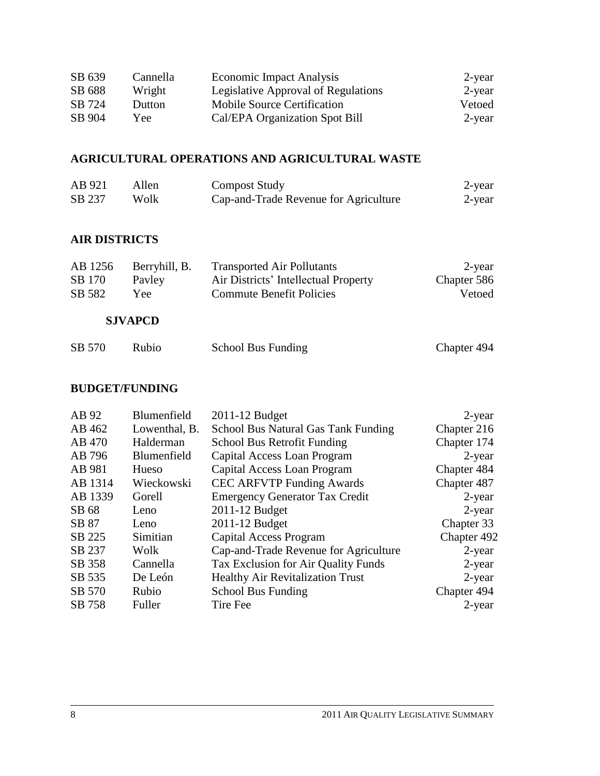| SB 639 | Cannella | Economic Impact Analysis            | 2-year |
|--------|----------|-------------------------------------|--------|
| SB 688 | Wright   | Legislative Approval of Regulations | 2-year |
| SB 724 | Dutton   | Mobile Source Certification         | Vetoed |
| SB 904 | Yee      | Cal/EPA Organization Spot Bill      | 2-year |

# **AGRICULTURAL OPERATIONS AND AGRICULTURAL WASTE**

| AB 921 | Allen | <b>Compost Study</b>                  | 2-year |
|--------|-------|---------------------------------------|--------|
| SB 237 | Wolk  | Cap-and-Trade Revenue for Agriculture | 2-year |

#### **AIR DISTRICTS**

| AB 1256 | Berryhill, B. | <b>Transported Air Pollutants</b>    | 2-year      |
|---------|---------------|--------------------------------------|-------------|
| SB 170  | Payley        | Air Districts' Intellectual Property | Chapter 586 |
| SB 582  | Yee :         | <b>Commute Benefit Policies</b>      | Vetoed      |

#### **SJVAPCD**

| SB 570 | Rubio | <b>School Bus Funding</b> | Chapter 494 |
|--------|-------|---------------------------|-------------|
|        |       |                           |             |

## **BUDGET/FUNDING**

| AB 92   | Blumenfield   | 2011-12 Budget                          | 2-year      |
|---------|---------------|-----------------------------------------|-------------|
| AB 462  | Lowenthal, B. | School Bus Natural Gas Tank Funding     | Chapter 216 |
| AB 470  | Halderman     | School Bus Retrofit Funding             | Chapter 174 |
| AB 796  | Blumenfield   | Capital Access Loan Program             | $2$ -year   |
| AB 981  | Hueso         | Capital Access Loan Program             | Chapter 484 |
| AB 1314 | Wieckowski    | <b>CEC ARFVTP Funding Awards</b>        | Chapter 487 |
| AB 1339 | Gorell        | <b>Emergency Generator Tax Credit</b>   | $2$ -year   |
| SB 68   | Leno          | 2011-12 Budget                          | $2$ -year   |
| SB 87   | Leno          | 2011-12 Budget                          | Chapter 33  |
| SB 225  | Simitian      | Capital Access Program                  | Chapter 492 |
| SB 237  | Wolk          | Cap-and-Trade Revenue for Agriculture   | $2$ -year   |
| SB 358  | Cannella      | Tax Exclusion for Air Quality Funds     | $2$ -year   |
| SB 535  | De León       | <b>Healthy Air Revitalization Trust</b> | $2$ -year   |
| SB 570  | Rubio         | <b>School Bus Funding</b>               | Chapter 494 |
| SB 758  | Fuller        | Tire Fee                                | 2-year      |
|         |               |                                         |             |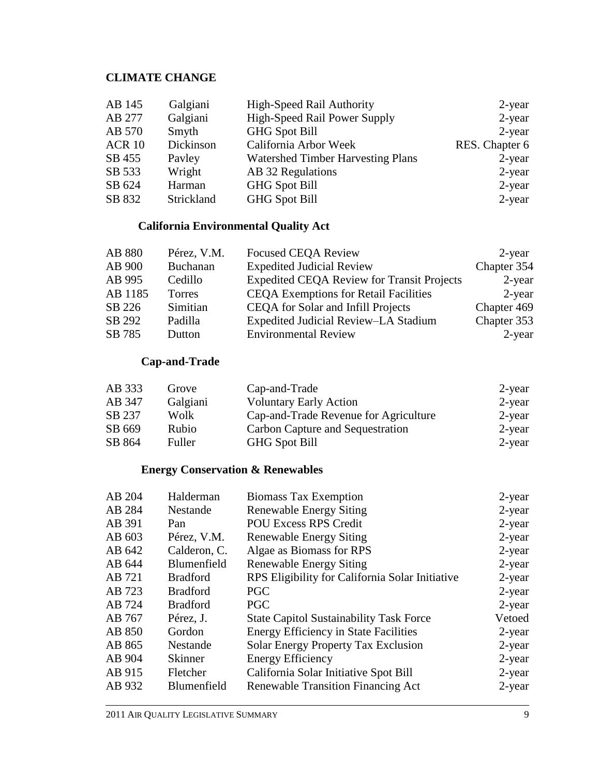# **CLIMATE CHANGE**

| Galgiani   | High-Speed Rail Authority                | 2-year         |
|------------|------------------------------------------|----------------|
| Galgiani   | <b>High-Speed Rail Power Supply</b>      | $2$ -year      |
| Smyth      | <b>GHG Spot Bill</b>                     | $2$ -year      |
| Dickinson  | California Arbor Week                    | RES. Chapter 6 |
| Payley     | <b>Watershed Timber Harvesting Plans</b> | $2$ -year      |
| Wright     | AB 32 Regulations                        | $2$ -year      |
| Harman     | <b>GHG Spot Bill</b>                     | 2-year         |
| Strickland | <b>GHG</b> Spot Bill                     | $2$ -year      |
|            |                                          |                |

## **California Environmental Quality Act**

| AB 880  | Pérez, V.M. | <b>Focused CEQA Review</b>                        | 2-year      |
|---------|-------------|---------------------------------------------------|-------------|
| AB 900  | Buchanan    | <b>Expedited Judicial Review</b>                  | Chapter 354 |
| AB 995  | Cedillo     | <b>Expedited CEQA Review for Transit Projects</b> | 2-year      |
| AB 1185 | Torres      | <b>CEQA Exemptions for Retail Facilities</b>      | 2-year      |
| SB 226  | Simitian    | CEQA for Solar and Infill Projects                | Chapter 469 |
| SB 292  | Padilla     | Expedited Judicial Review-LA Stadium              | Chapter 353 |
| SB 785  | Dutton      | <b>Environmental Review</b>                       | 2-year      |

# **Cap-and-Trade**

| AB 333 | Grove    | Cap-and-Trade                         | $2$ -year |
|--------|----------|---------------------------------------|-----------|
| AB 347 | Galgiani | <b>Voluntary Early Action</b>         | $2$ -year |
| SB 237 | Wolk     | Cap-and-Trade Revenue for Agriculture | $2$ -year |
| SB 669 | Rubio    | Carbon Capture and Sequestration      | 2-year    |
| SB 864 | Fuller   | <b>GHG Spot Bill</b>                  | $2$ -year |

### **Energy Conservation & Renewables**

| AB 204 | Halderman       | <b>Biomass Tax Exemption</b>                    | 2-year    |
|--------|-----------------|-------------------------------------------------|-----------|
| AB 284 | Nestande        | <b>Renewable Energy Siting</b>                  | $2$ -year |
| AB 391 | Pan             | <b>POU Excess RPS Credit</b>                    | $2$ -year |
| AB 603 | Pérez, V.M.     | <b>Renewable Energy Siting</b>                  | $2$ -year |
| AB 642 | Calderon, C.    | Algae as Biomass for RPS                        | $2$ -year |
| AB 644 | Blumenfield     | <b>Renewable Energy Siting</b>                  | $2$ -year |
| AB 721 | <b>Bradford</b> | RPS Eligibility for California Solar Initiative | $2$ -year |
| AB 723 | <b>Bradford</b> | <b>PGC</b>                                      | $2$ -year |
| AB 724 | <b>Bradford</b> | <b>PGC</b>                                      | $2$ -year |
| AB 767 | Pérez, J.       | <b>State Capitol Sustainability Task Force</b>  | Vetoed    |
| AB 850 | Gordon          | <b>Energy Efficiency in State Facilities</b>    | $2$ -year |
| AB 865 | Nestande        | Solar Energy Property Tax Exclusion             | $2$ -year |
| AB 904 | <b>Skinner</b>  | <b>Energy Efficiency</b>                        | 2-year    |
| AB 915 | Fletcher        | California Solar Initiative Spot Bill           | $2$ -year |
| AB 932 | Blumenfield     | <b>Renewable Transition Financing Act</b>       | $2$ -year |
|        |                 |                                                 |           |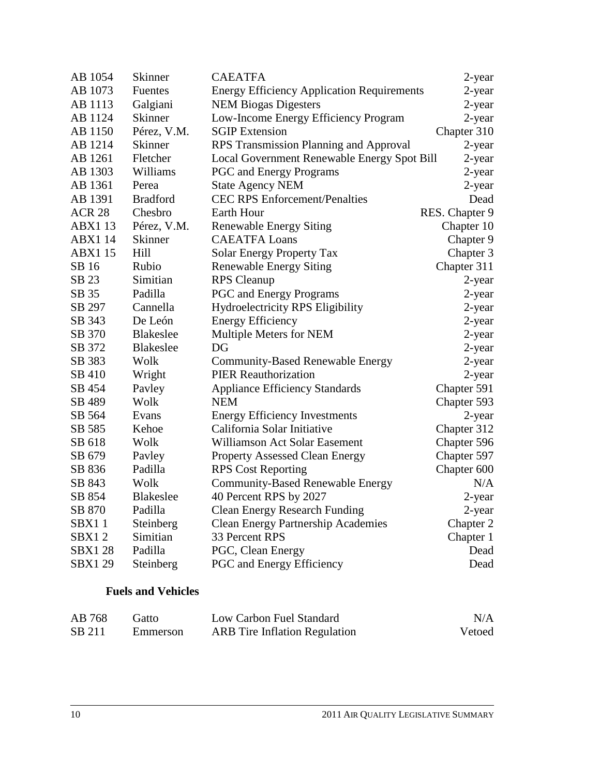| AB 1054        | <b>Skinner</b>   | <b>CAEATFA</b>                                    | 2-year         |
|----------------|------------------|---------------------------------------------------|----------------|
| AB 1073        | <b>Fuentes</b>   | <b>Energy Efficiency Application Requirements</b> | 2-year         |
| AB 1113        | Galgiani         | <b>NEM Biogas Digesters</b>                       | 2-year         |
| AB 1124        | <b>Skinner</b>   | Low-Income Energy Efficiency Program              | 2-year         |
| AB 1150        | Pérez, V.M.      | <b>SGIP</b> Extension                             | Chapter 310    |
| AB 1214        | Skinner          | RPS Transmission Planning and Approval            | 2-year         |
| AB 1261        | Fletcher         | Local Government Renewable Energy Spot Bill       | 2-year         |
| AB 1303        | Williams         | <b>PGC</b> and Energy Programs                    | 2-year         |
| AB 1361        | Perea            | <b>State Agency NEM</b>                           | 2-year         |
| AB 1391        | <b>Bradford</b>  | <b>CEC RPS Enforcement/Penalties</b>              | Dead           |
| <b>ACR 28</b>  | Chesbro          | Earth Hour                                        | RES. Chapter 9 |
| <b>ABX113</b>  | Pérez, V.M.      | <b>Renewable Energy Siting</b>                    | Chapter 10     |
| <b>ABX1 14</b> | Skinner          | <b>CAEATFA Loans</b>                              | Chapter 9      |
| <b>ABX115</b>  | Hill             | <b>Solar Energy Property Tax</b>                  | Chapter 3      |
| SB 16          | Rubio            | <b>Renewable Energy Siting</b>                    | Chapter 311    |
| SB 23          | Simitian         | <b>RPS</b> Cleanup                                | 2-year         |
| SB 35          | Padilla          | PGC and Energy Programs                           | 2-year         |
| SB 297         | Cannella         | <b>Hydroelectricity RPS Eligibility</b>           | 2-year         |
| SB 343         | De León          | <b>Energy Efficiency</b>                          | 2-year         |
| SB 370         | <b>Blakeslee</b> | Multiple Meters for NEM                           | 2-year         |
| SB 372         | <b>Blakeslee</b> | DG                                                | $2$ -year      |
| SB 383         | Wolk             | <b>Community-Based Renewable Energy</b>           | 2-year         |
| SB 410         | Wright           | <b>PIER Reauthorization</b>                       | $2$ -year      |
| SB 454         | Payley           | <b>Appliance Efficiency Standards</b>             | Chapter 591    |
| SB 489         | Wolk             | <b>NEM</b>                                        | Chapter 593    |
| SB 564         | Evans            | <b>Energy Efficiency Investments</b>              | 2-year         |
| SB 585         | Kehoe            | California Solar Initiative                       | Chapter 312    |
| SB 618         | Wolk             | Williamson Act Solar Easement                     | Chapter 596    |
| SB 679         | Pavley           | <b>Property Assessed Clean Energy</b>             | Chapter 597    |
| SB 836         | Padilla          | <b>RPS Cost Reporting</b>                         | Chapter 600    |
| SB 843         | Wolk             | <b>Community-Based Renewable Energy</b>           | N/A            |
| SB 854         | <b>Blakeslee</b> | 40 Percent RPS by 2027                            | 2-year         |
| SB 870         | Padilla          | <b>Clean Energy Research Funding</b>              | 2-year         |
| SBX11          | Steinberg        | <b>Clean Energy Partnership Academies</b>         | Chapter 2      |
| SBX12          | Simitian         | 33 Percent RPS                                    | Chapter 1      |
| <b>SBX128</b>  | Padilla          | PGC, Clean Energy                                 | Dead           |
| <b>SBX129</b>  | Steinberg        | PGC and Energy Efficiency                         | Dead           |
|                |                  |                                                   |                |

### **Fuels and Vehicles**

| AB 768 | Gatto    | Low Carbon Fuel Standard             | N/A    |
|--------|----------|--------------------------------------|--------|
| SB 211 | Emmerson | <b>ARB</b> Tire Inflation Regulation | Vetoed |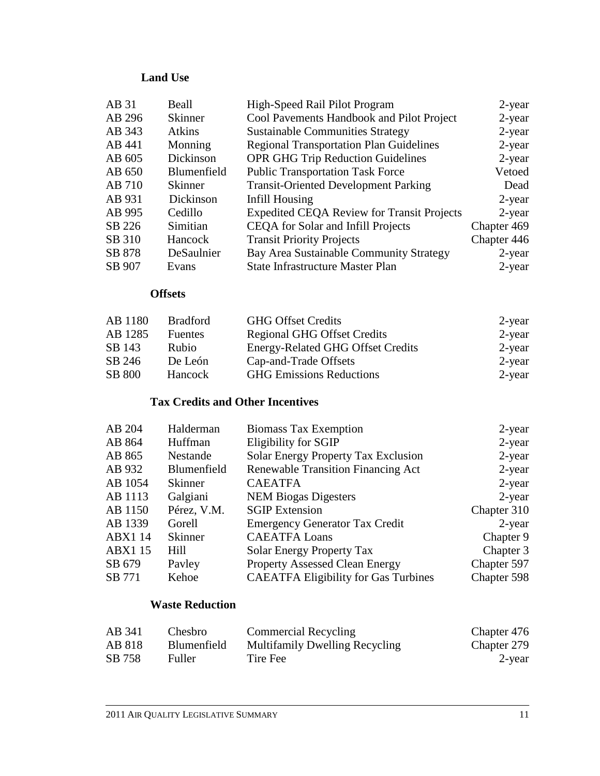# **Land Use**

| AB 31  | Beall          | High-Speed Rail Pilot Program                     | 2-year      |
|--------|----------------|---------------------------------------------------|-------------|
| AB 296 | <b>Skinner</b> | Cool Pavements Handbook and Pilot Project         | $2$ -year   |
| AB 343 | Atkins         | <b>Sustainable Communities Strategy</b>           | $2$ -year   |
| AB 441 | Monning        | <b>Regional Transportation Plan Guidelines</b>    | $2$ -year   |
| AB 605 | Dickinson      | <b>OPR GHG Trip Reduction Guidelines</b>          | $2$ -year   |
| AB 650 | Blumenfield    | <b>Public Transportation Task Force</b>           | Vetoed      |
| AB 710 | Skinner        | <b>Transit-Oriented Development Parking</b>       | Dead        |
| AB 931 | Dickinson      | Infill Housing                                    | 2-year      |
| AB 995 | Cedillo        | <b>Expedited CEQA Review for Transit Projects</b> | $2$ -year   |
| SB 226 | Simitian       | CEQA for Solar and Infill Projects                | Chapter 469 |
| SB 310 | Hancock        | <b>Transit Priority Projects</b>                  | Chapter 446 |
| SB 878 | DeSaulnier     | Bay Area Sustainable Community Strategy           | $2$ -year   |
| SB 907 | Evans          | <b>State Infrastructure Master Plan</b>           | $2$ -year   |

#### **Offsets**

| AB 1180       | <b>Bradford</b> | <b>GHG Offset Credits</b>                | 2-year    |
|---------------|-----------------|------------------------------------------|-----------|
| AB 1285       | <b>Fuentes</b>  | <b>Regional GHG Offset Credits</b>       | $2$ -year |
| SB 143        | <b>Rubio</b>    | <b>Energy-Related GHG Offset Credits</b> | $2$ -year |
| SB 246        | De León         | Cap-and-Trade Offsets                    | $2$ -year |
| <b>SB 800</b> | Hancock         | <b>GHG</b> Emissions Reductions          | $2$ -year |

# **Tax Credits and Other Incentives**

| AB 204         | Halderman      | <b>Biomass Tax Exemption</b>                | $2$ -year   |
|----------------|----------------|---------------------------------------------|-------------|
| AB 864         | Huffman        | Eligibility for SGIP                        | $2$ -year   |
| AB 865         | Nestande       | <b>Solar Energy Property Tax Exclusion</b>  | $2$ -year   |
| AB 932         | Blumenfield    | <b>Renewable Transition Financing Act</b>   | $2$ -year   |
| AB 1054        | <b>Skinner</b> | <b>CAEATFA</b>                              | $2$ -year   |
| AB 1113        | Galgiani       | <b>NEM Biogas Digesters</b>                 | $2$ -year   |
| AB 1150        | Pérez, V.M.    | <b>SGIP</b> Extension                       | Chapter 310 |
| AB 1339        | Gorell         | <b>Emergency Generator Tax Credit</b>       | $2$ -year   |
| <b>ABX1 14</b> | <b>Skinner</b> | <b>CAEATFA Loans</b>                        | Chapter 9   |
| <b>ABX1 15</b> | Hill           | <b>Solar Energy Property Tax</b>            | Chapter 3   |
| SB 679         | Payley         | <b>Property Assessed Clean Energy</b>       | Chapter 597 |
| SB 771         | Kehoe          | <b>CAEATFA Eligibility for Gas Turbines</b> | Chapter 598 |

## **Waste Reduction**

| AB 341 | Chesbro <sub>.</sub> | <b>Commercial Recycling</b>           | Chapter 476 |
|--------|----------------------|---------------------------------------|-------------|
| AB 818 | <b>Blumenfield</b>   | <b>Multifamily Dwelling Recycling</b> | Chapter 279 |
| SB 758 | Fuller               | Tire Fee                              | 2-year      |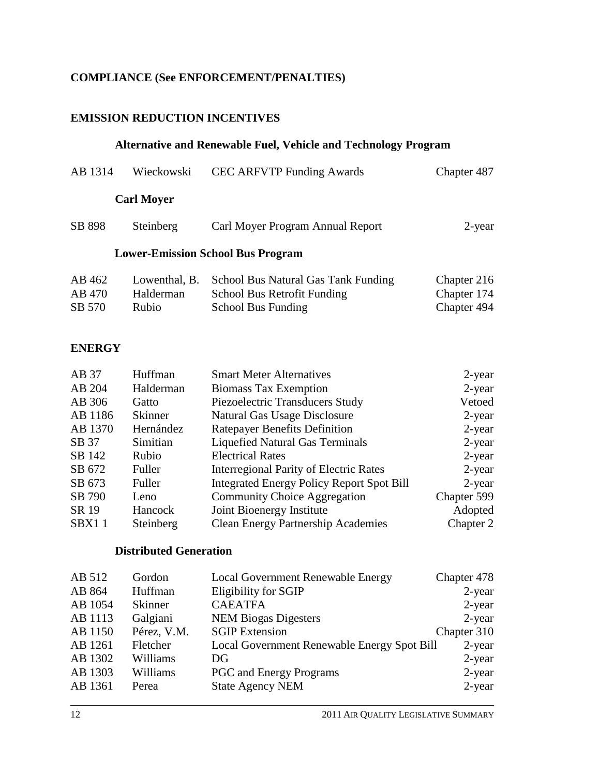# **COMPLIANCE (See ENFORCEMENT/PENALTIES)**

#### **EMISSION REDUCTION INCENTIVES**

### **Alternative and Renewable Fuel, Vehicle and Technology Program**

| AB 1314 | Wieckowski        | <b>CEC ARFVTP Funding Awards</b>         | Chapter 487 |
|---------|-------------------|------------------------------------------|-------------|
|         | <b>Carl Moyer</b> |                                          |             |
| SB 898  | Steinberg         | Carl Moyer Program Annual Report         | $2$ -year   |
|         |                   | <b>Lower-Emission School Bus Program</b> |             |
| AB 462  | Lowenthal, B.     | School Bus Natural Gas Tank Funding      | Chapter 216 |
| AB 470  | Halderman         | School Bus Retrofit Funding              | Chapter 174 |
| SB 570  | Rubio             | School Bus Funding                       | Chapter 494 |

#### **ENERGY**

| Huffman        | <b>Smart Meter Alternatives</b>                  | 2-year      |
|----------------|--------------------------------------------------|-------------|
| Halderman      | <b>Biomass Tax Exemption</b>                     | 2-year      |
| Gatto          | Piezoelectric Transducers Study                  | Vetoed      |
| <b>Skinner</b> | Natural Gas Usage Disclosure                     | $2$ -year   |
| Hernández      | <b>Ratepayer Benefits Definition</b>             | 2-year      |
| Simitian       | <b>Liquefied Natural Gas Terminals</b>           | 2-year      |
| Rubio          | <b>Electrical Rates</b>                          | 2-year      |
| Fuller         | <b>Interregional Parity of Electric Rates</b>    | $2$ -year   |
| Fuller         | <b>Integrated Energy Policy Report Spot Bill</b> | 2-year      |
| Leno           | <b>Community Choice Aggregation</b>              | Chapter 599 |
| Hancock        | Joint Bioenergy Institute                        | Adopted     |
| Steinberg      | <b>Clean Energy Partnership Academies</b>        | Chapter 2   |
|                |                                                  |             |

## **Distributed Generation**

| AB 512  | Gordon         | <b>Local Government Renewable Energy</b>    | Chapter 478 |
|---------|----------------|---------------------------------------------|-------------|
| AB 864  | Huffman        | Eligibility for SGIP                        | $2$ -year   |
| AB 1054 | <b>Skinner</b> | <b>CAEATFA</b>                              | $2$ -year   |
| AB 1113 | Galgiani       | <b>NEM Biogas Digesters</b>                 | $2$ -year   |
| AB 1150 | Pérez, V.M.    | <b>SGIP</b> Extension                       | Chapter 310 |
| AB 1261 | Fletcher       | Local Government Renewable Energy Spot Bill | $2$ -year   |
| AB 1302 | Williams       | DG                                          | $2$ -year   |
| AB 1303 | Williams       | <b>PGC</b> and Energy Programs              | $2$ -year   |
| AB 1361 | Perea          | <b>State Agency NEM</b>                     | $2$ -year   |
|         |                |                                             |             |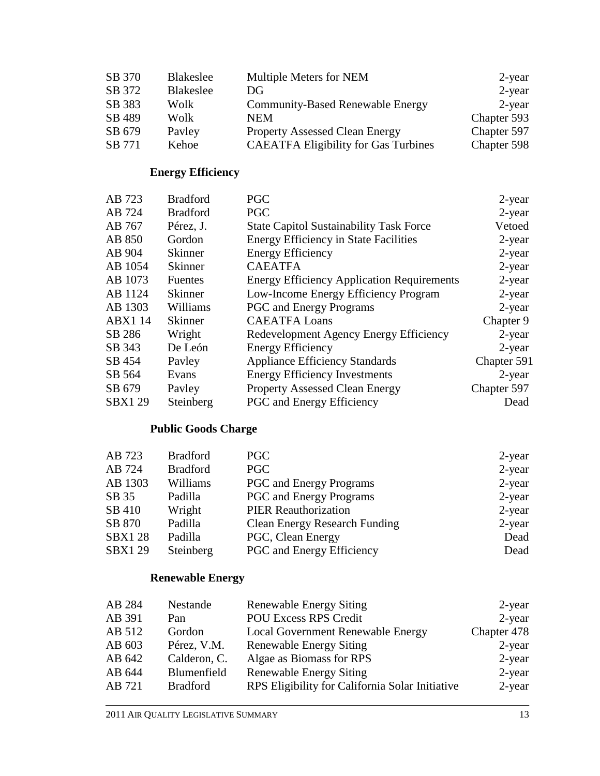| SB 370 | Blakeslee | Multiple Meters for NEM                     | 2-year      |
|--------|-----------|---------------------------------------------|-------------|
| SB 372 | Blakeslee | DG                                          | $2$ -year   |
| SB 383 | Wolk      | <b>Community-Based Renewable Energy</b>     | 2-year      |
| SB 489 | Wolk      | NEM                                         | Chapter 593 |
| SB 679 | Payley    | <b>Property Assessed Clean Energy</b>       | Chapter 597 |
| SB 771 | Kehoe     | <b>CAEATFA Eligibility for Gas Turbines</b> | Chapter 598 |

# **Energy Efficiency**

| AB 723         | <b>Bradford</b> | <b>PGC</b>                                        | $2$ -year   |
|----------------|-----------------|---------------------------------------------------|-------------|
| AB 724         | <b>Bradford</b> | <b>PGC</b>                                        | $2$ -year   |
| AB 767         | Pérez, J.       | <b>State Capitol Sustainability Task Force</b>    | Vetoed      |
| AB 850         | Gordon          | <b>Energy Efficiency in State Facilities</b>      | 2-year      |
| AB 904         | <b>Skinner</b>  | <b>Energy Efficiency</b>                          | $2$ -year   |
| AB 1054        | <b>Skinner</b>  | <b>CAEATFA</b>                                    | $2$ -year   |
| AB 1073        | <b>Fuentes</b>  | <b>Energy Efficiency Application Requirements</b> | $2$ -year   |
| AB 1124        | <b>Skinner</b>  | Low-Income Energy Efficiency Program              | $2$ -year   |
| AB 1303        | Williams        | <b>PGC</b> and Energy Programs                    | $2$ -year   |
| <b>ABX1 14</b> | <b>Skinner</b>  | <b>CAEATFA Loans</b>                              | Chapter 9   |
| SB 286         | Wright          | Redevelopment Agency Energy Efficiency            | $2$ -year   |
| SB 343         | De León         | <b>Energy Efficiency</b>                          | $2$ -year   |
| SB 454         | Payley          | <b>Appliance Efficiency Standards</b>             | Chapter 591 |
| SB 564         | Evans           | <b>Energy Efficiency Investments</b>              | $2$ -year   |
| SB 679         | Payley          | <b>Property Assessed Clean Energy</b>             | Chapter 597 |
| <b>SBX129</b>  | Steinberg       | <b>PGC</b> and Energy Efficiency                  | Dead        |

# **Public Goods Charge**

| AB 723        | <b>Bradford</b> | <b>PGC</b>                           | 2-year    |
|---------------|-----------------|--------------------------------------|-----------|
| AB 724        | <b>Bradford</b> | <b>PGC</b>                           | $2$ -year |
| AB 1303       | Williams        | <b>PGC</b> and Energy Programs       | $2$ -year |
| SB 35         | Padilla         | <b>PGC</b> and Energy Programs       | $2$ -year |
| SB 410        | Wright          | <b>PIER Reauthorization</b>          | $2$ -year |
| SB 870        | Padilla         | <b>Clean Energy Research Funding</b> | $2$ -year |
| <b>SBX128</b> | Padilla         | PGC, Clean Energy                    | Dead      |
| <b>SBX129</b> | Steinberg       | PGC and Energy Efficiency            | Dead      |

# **Renewable Energy**

| AB 284<br>Nestande<br><b>Renewable Energy Siting</b>                         | 2-year      |
|------------------------------------------------------------------------------|-------------|
| <b>POU Excess RPS Credit</b><br>AB 391<br>Pan                                | $2$ -year   |
| AB 512<br>Local Government Renewable Energy<br>Gordon                        | Chapter 478 |
| AB 603<br>Pérez, V.M.<br><b>Renewable Energy Siting</b>                      | 2-year      |
| Algae as Biomass for RPS<br>Calderon, C.<br>AB 642                           | 2-year      |
| Blumenfield<br><b>Renewable Energy Siting</b><br>AB 644                      | 2-year      |
| RPS Eligibility for California Solar Initiative<br><b>Bradford</b><br>AB 721 | 2-year      |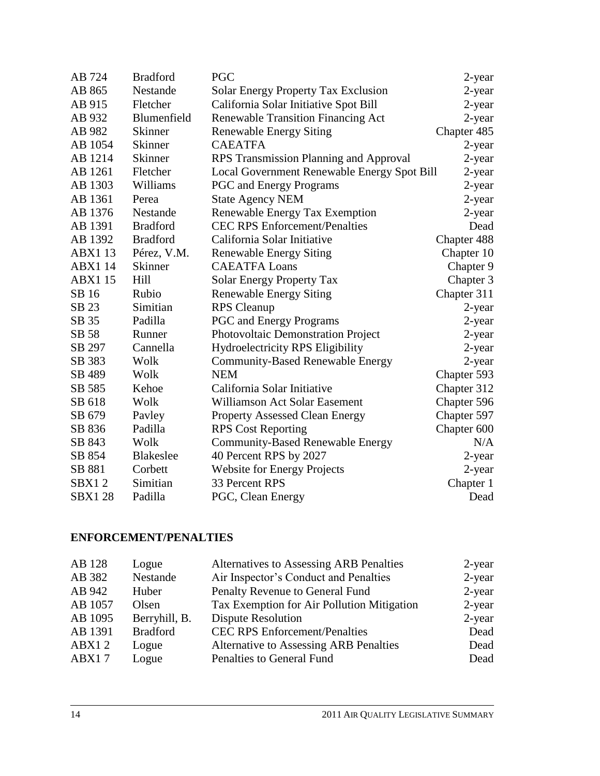| AB 724         | <b>Bradford</b>  | <b>PGC</b>                                  | 2-year      |
|----------------|------------------|---------------------------------------------|-------------|
| AB 865         | Nestande         | <b>Solar Energy Property Tax Exclusion</b>  | $2$ -year   |
| AB 915         | Fletcher         | California Solar Initiative Spot Bill       | 2-year      |
| AB 932         | Blumenfield      | <b>Renewable Transition Financing Act</b>   | 2-year      |
| AB 982         | <b>Skinner</b>   | <b>Renewable Energy Siting</b>              | Chapter 485 |
| AB 1054        | <b>Skinner</b>   | <b>CAEATFA</b>                              | 2-year      |
| AB 1214        | Skinner          | RPS Transmission Planning and Approval      | 2-year      |
| AB 1261        | Fletcher         | Local Government Renewable Energy Spot Bill | 2-year      |
| AB 1303        | Williams         | <b>PGC</b> and Energy Programs              | 2-year      |
| AB 1361        | Perea            | <b>State Agency NEM</b>                     | 2-year      |
| AB 1376        | Nestande         | Renewable Energy Tax Exemption              | $2$ -year   |
| AB 1391        | <b>Bradford</b>  | <b>CEC RPS Enforcement/Penalties</b>        | Dead        |
| AB 1392        | <b>Bradford</b>  | California Solar Initiative                 | Chapter 488 |
| <b>ABX113</b>  | Pérez, V.M.      | <b>Renewable Energy Siting</b>              | Chapter 10  |
| <b>ABX1 14</b> | <b>Skinner</b>   | <b>CAEATFA Loans</b>                        | Chapter 9   |
| <b>ABX115</b>  | Hill             | <b>Solar Energy Property Tax</b>            | Chapter 3   |
| SB 16          | Rubio            | <b>Renewable Energy Siting</b>              | Chapter 311 |
| SB 23          | Simitian         | <b>RPS</b> Cleanup                          | 2-year      |
| SB 35          | Padilla          | <b>PGC</b> and Energy Programs              | 2-year      |
| SB 58          | Runner           | Photovoltaic Demonstration Project          | 2-year      |
| SB 297         | Cannella         | Hydroelectricity RPS Eligibility            | 2-year      |
| SB 383         | Wolk             | <b>Community-Based Renewable Energy</b>     | 2-year      |
| SB 489         | Wolk             | <b>NEM</b>                                  | Chapter 593 |
| SB 585         | Kehoe            | California Solar Initiative                 | Chapter 312 |
| SB 618         | Wolk             | Williamson Act Solar Easement               | Chapter 596 |
| SB 679         | Pavley           | <b>Property Assessed Clean Energy</b>       | Chapter 597 |
| SB 836         | Padilla          | <b>RPS Cost Reporting</b>                   | Chapter 600 |
| SB 843         | Wolk             | <b>Community-Based Renewable Energy</b>     | N/A         |
| SB 854         | <b>Blakeslee</b> | 40 Percent RPS by 2027                      | 2-year      |
| SB 881         | Corbett          | <b>Website for Energy Projects</b>          | 2-year      |
| SBX12          | Simitian         | 33 Percent RPS                              | Chapter 1   |
| <b>SBX128</b>  | Padilla          | PGC, Clean Energy                           | Dead        |

## **ENFORCEMENT/PENALTIES**

| AB 128  | Logue           | <b>Alternatives to Assessing ARB Penalties</b> | $2$ -year |
|---------|-----------------|------------------------------------------------|-----------|
| AB 382  | Nestande        | Air Inspector's Conduct and Penalties          | $2$ -year |
| AB 942  | Huber           | Penalty Revenue to General Fund                | $2$ -year |
| AB 1057 | Olsen           | Tax Exemption for Air Pollution Mitigation     | $2$ -year |
| AB 1095 | Berryhill, B.   | <b>Dispute Resolution</b>                      | $2$ -year |
| AB 1391 | <b>Bradford</b> | <b>CEC RPS Enforcement/Penalties</b>           | Dead      |
| ABX12   | Logue           | <b>Alternative to Assessing ARB Penalties</b>  | Dead      |
| ABX17   | Logue           | Penalties to General Fund                      | Dead      |
|         |                 |                                                |           |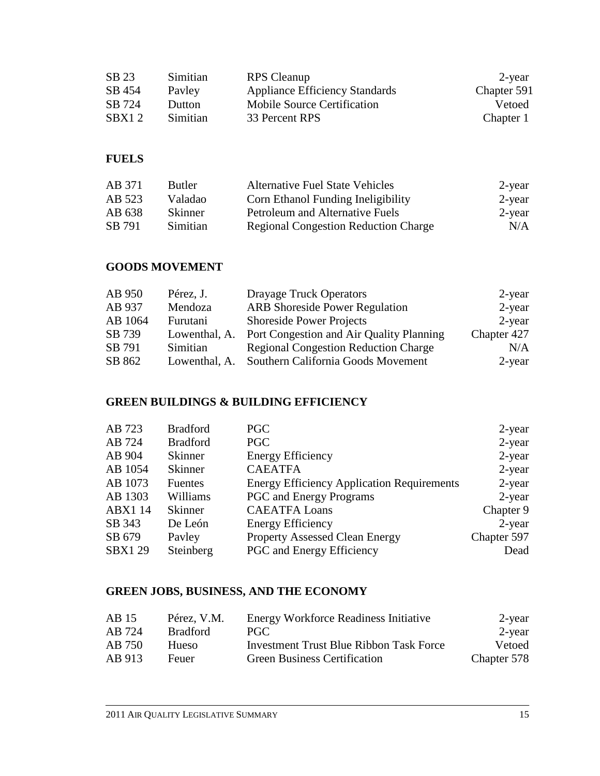| SB 23  | Simitian | <b>RPS</b> Cleanup                    | 2-year      |
|--------|----------|---------------------------------------|-------------|
| SB 454 | Payley   | <b>Appliance Efficiency Standards</b> | Chapter 591 |
| SB 724 | Dutton   | <b>Mobile Source Certification</b>    | Vetoed      |
| SBX12  | Simitian | 33 Percent RPS                        | Chapter 1   |

#### **FUELS**

| AB 371 | <b>Butler</b> | <b>Alternative Fuel State Vehicles</b>      | 2-year    |
|--------|---------------|---------------------------------------------|-----------|
| AB 523 | Valadao       | <b>Corn Ethanol Funding Ineligibility</b>   | 2-year    |
| AB 638 | Skinner       | Petroleum and Alternative Fuels             | $2$ -year |
| SB 791 | Simitian      | <b>Regional Congestion Reduction Charge</b> | N/A       |

# **GOODS MOVEMENT**

| AB 950  | Pérez, J.     | <b>Drayage Truck Operators</b>              | 2-year      |
|---------|---------------|---------------------------------------------|-------------|
| AB 937  | Mendoza       | <b>ARB</b> Shoreside Power Regulation       | $2$ -year   |
| AB 1064 | Furutani      | <b>Shoreside Power Projects</b>             | 2-year      |
| SB 739  | Lowenthal, A. | Port Congestion and Air Quality Planning    | Chapter 427 |
| SB 791  | Simitian      | <b>Regional Congestion Reduction Charge</b> | N/A         |
| SB 862  | Lowenthal, A. | Southern California Goods Movement          | 2-year      |

# **GREEN BUILDINGS & BUILDING EFFICIENCY**

| <b>Bradford</b> | PGC                                               | $2$ -year   |
|-----------------|---------------------------------------------------|-------------|
| <b>Bradford</b> | <b>PGC</b>                                        | $2$ -year   |
| <b>Skinner</b>  | <b>Energy Efficiency</b>                          | $2$ -year   |
| <b>Skinner</b>  | <b>CAEATFA</b>                                    | $2$ -year   |
| <b>Fuentes</b>  | <b>Energy Efficiency Application Requirements</b> | $2$ -year   |
| Williams        | <b>PGC</b> and Energy Programs                    | $2$ -year   |
| <b>Skinner</b>  | <b>CAEATFA Loans</b>                              | Chapter 9   |
| De León         | <b>Energy Efficiency</b>                          | $2$ -year   |
| Payley          | <b>Property Assessed Clean Energy</b>             | Chapter 597 |
| Steinberg       | <b>PGC</b> and Energy Efficiency                  | Dead        |
|                 |                                                   |             |

## **GREEN JOBS, BUSINESS, AND THE ECONOMY**

| AB 15  | Pérez, V.M.     | <b>Energy Workforce Readiness Initiative</b>   | $2$ -year     |
|--------|-----------------|------------------------------------------------|---------------|
| AB 724 | <b>Bradford</b> | PGC.                                           | 2-year        |
| AB 750 | <b>Hueso</b>    | <b>Investment Trust Blue Ribbon Task Force</b> | <b>Vetoed</b> |
| AB 913 | Feuer           | <b>Green Business Certification</b>            | Chapter 578   |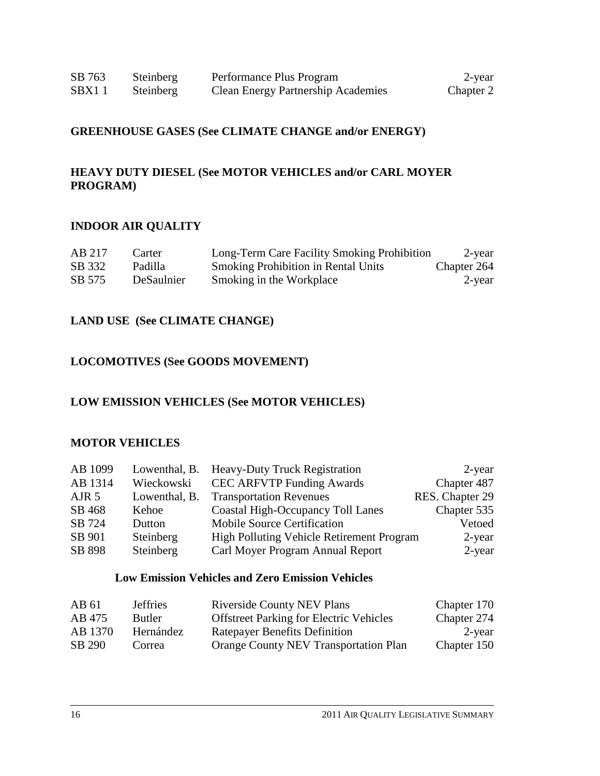## **GREENHOUSE GASES (See CLIMATE CHANGE and/or ENERGY)**

#### **HEAVY DUTY DIESEL (See MOTOR VEHICLES and/or CARL MOYER PROGRAM)**

#### **INDOOR AIR QUALITY**

| AB 217 | Carter     | Long-Term Care Facility Smoking Prohibition | 2-year      |
|--------|------------|---------------------------------------------|-------------|
| SB 332 | Padilla    | <b>Smoking Prohibition in Rental Units</b>  | Chapter 264 |
| SB 575 | DeSaulnier | Smoking in the Workplace                    | 2-year      |

#### **LAND USE (See CLIMATE CHANGE)**

#### **LOCOMOTIVES (See GOODS MOVEMENT)**

#### **LOW EMISSION VEHICLES (See MOTOR VEHICLES)**

#### **MOTOR VEHICLES**

| AB 1099          |               | Lowenthal, B. Heavy-Duty Truck Registration      | 2-year          |
|------------------|---------------|--------------------------------------------------|-----------------|
| AB 1314          | Wieckowski    | <b>CEC ARFVTP Funding Awards</b>                 | Chapter 487     |
| AIR <sub>5</sub> | Lowenthal, B. | <b>Transportation Revenues</b>                   | RES. Chapter 29 |
| SB 468           | Kehoe         | <b>Coastal High-Occupancy Toll Lanes</b>         | Chapter 535     |
| SB 724           | Dutton        | Mobile Source Certification                      | Vetoed          |
| SB 901           | Steinberg     | <b>High Polluting Vehicle Retirement Program</b> | 2-year          |
| SB 898           | Steinberg     | Carl Moyer Program Annual Report                 | 2-year          |

#### **Low Emission Vehicles and Zero Emission Vehicles**

| AB 61   | <b>Jeffries</b> | <b>Riverside County NEV Plans</b>              | Chapter 170 |
|---------|-----------------|------------------------------------------------|-------------|
| AB 475  | <b>Butler</b>   | <b>Offstreet Parking for Electric Vehicles</b> | Chapter 274 |
| AB 1370 | Hernández       | <b>Ratepayer Benefits Definition</b>           | 2-year      |
| SB 290  | Correa          | <b>Orange County NEV Transportation Plan</b>   | Chapter 150 |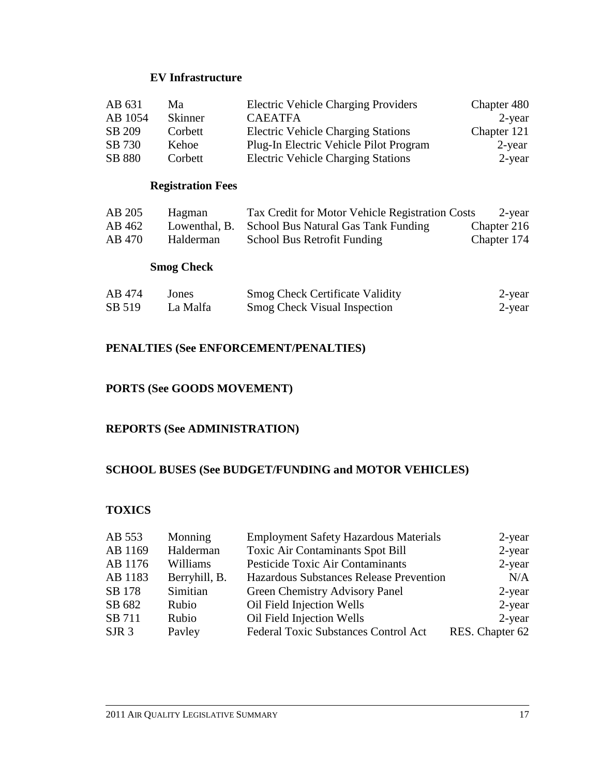#### **EV Infrastructure**

| AB 631  | Ma             | <b>Electric Vehicle Charging Providers</b> | Chapter 480 |
|---------|----------------|--------------------------------------------|-------------|
| AB 1054 | <b>Skinner</b> | <b>CAEATFA</b>                             | $2$ -year   |
| SB 209  | Corbett        | <b>Electric Vehicle Charging Stations</b>  | Chapter 121 |
| SB 730  | Kehoe          | Plug-In Electric Vehicle Pilot Program     | $2$ -year   |
| SB 880  | Corbett        | <b>Electric Vehicle Charging Stations</b>  | 2-year      |

## **Registration Fees**

| AB 205 | Hagman    | Tax Credit for Motor Vehicle Registration Costs   | 2-year      |
|--------|-----------|---------------------------------------------------|-------------|
| AB 462 |           | Lowenthal, B. School Bus Natural Gas Tank Funding | Chapter 216 |
| AB 470 | Halderman | School Bus Retrofit Funding                       | Chapter 174 |

## **Smog Check**

| AB 474 | Jones    | <b>Smog Check Certificate Validity</b> | 2-year |
|--------|----------|----------------------------------------|--------|
| SB 519 | La Malfa | <b>Smog Check Visual Inspection</b>    | 2-year |

#### **PENALTIES (See ENFORCEMENT/PENALTIES)**

#### **PORTS (See GOODS MOVEMENT)**

#### **REPORTS (See ADMINISTRATION)**

#### **SCHOOL BUSES (See BUDGET/FUNDING and MOTOR VEHICLES)**

#### **TOXICS**

| AB 553           | Monning       | <b>Employment Safety Hazardous Materials</b> | $2$ -year       |
|------------------|---------------|----------------------------------------------|-----------------|
| AB 1169          | Halderman     | <b>Toxic Air Contaminants Spot Bill</b>      | $2$ -year       |
| AB 1176          | Williams      | Pesticide Toxic Air Contaminants             | $2$ -year       |
| AB 1183          | Berryhill, B. | Hazardous Substances Release Prevention      | N/A             |
| SB 178           | Simitian      | Green Chemistry Advisory Panel               | $2$ -year       |
| SB 682           | Rubio         | Oil Field Injection Wells                    | $2$ -year       |
| SB 711           | Rubio         | Oil Field Injection Wells                    | $2$ -year       |
| SJR <sub>3</sub> | Payley        | Federal Toxic Substances Control Act         | RES. Chapter 62 |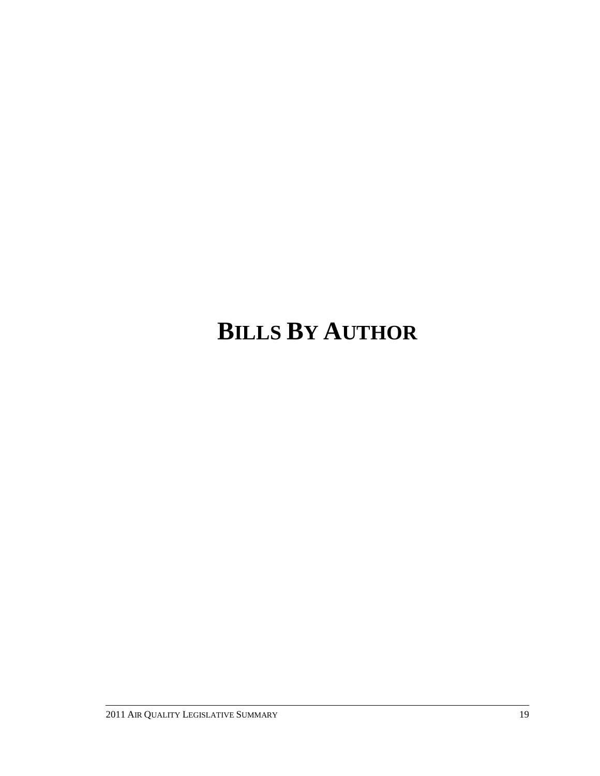# **BILLS BY AUTHOR**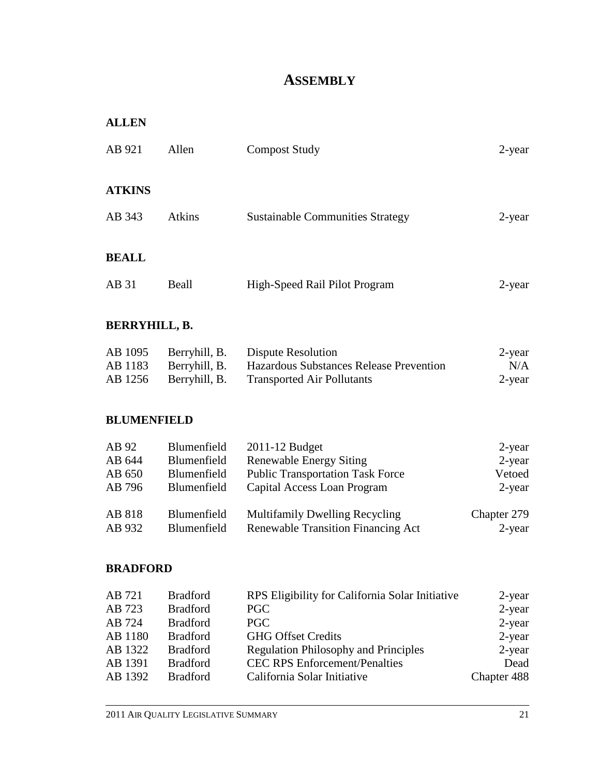# **ASSEMBLY**

| <b>ALLEN</b>                        |                                                          |                                                                                                                            |                                      |
|-------------------------------------|----------------------------------------------------------|----------------------------------------------------------------------------------------------------------------------------|--------------------------------------|
| AB 921                              | Allen                                                    | <b>Compost Study</b>                                                                                                       | 2-year                               |
| <b>ATKINS</b>                       |                                                          |                                                                                                                            |                                      |
| AB 343                              | <b>Atkins</b>                                            | <b>Sustainable Communities Strategy</b>                                                                                    | 2-year                               |
| <b>BEALL</b>                        |                                                          |                                                                                                                            |                                      |
| AB 31                               | Beall                                                    | High-Speed Rail Pilot Program                                                                                              | 2-year                               |
| <b>BERRYHILL, B.</b>                |                                                          |                                                                                                                            |                                      |
| AB 1095<br>AB 1183<br>AB 1256       | Berryhill, B.<br>Berryhill, B.<br>Berryhill, B.          | <b>Dispute Resolution</b><br>Hazardous Substances Release Prevention<br><b>Transported Air Pollutants</b>                  | 2-year<br>N/A<br>2-year              |
| <b>BLUMENFIELD</b>                  |                                                          |                                                                                                                            |                                      |
| AB 92<br>AB 644<br>AB 650<br>AB 796 | Blumenfield<br>Blumenfield<br>Blumenfield<br>Blumenfield | 2011-12 Budget<br><b>Renewable Energy Siting</b><br><b>Public Transportation Task Force</b><br>Capital Access Loan Program | 2-year<br>2-year<br>Vetoed<br>2-year |
| AB 818<br>AB 932                    | Blumenfield<br>Blumenfield                               | <b>Multifamily Dwelling Recycling</b><br><b>Renewable Transition Financing Act</b>                                         | Chapter 279<br>2-year                |
| <b>BRADFORD</b>                     |                                                          |                                                                                                                            |                                      |
| $\sqrt{D}$ 701                      | $\mathbf{D}$ 10 1                                        | $\mathbf{p}$                                                                                                               |                                      |

| AB 721  | <b>Bradford</b> | RPS Eligibility for California Solar Initiative | 2-year      |
|---------|-----------------|-------------------------------------------------|-------------|
| AB 723  | <b>Bradford</b> | <b>PGC</b>                                      | $2$ -year   |
| AB 724  | <b>Bradford</b> | PGC                                             | $2$ -year   |
| AB 1180 | <b>Bradford</b> | <b>GHG Offset Credits</b>                       | $2$ -year   |
| AB 1322 | <b>Bradford</b> | <b>Regulation Philosophy and Principles</b>     | $2$ -year   |
| AB 1391 | <b>Bradford</b> | <b>CEC RPS Enforcement/Penalties</b>            | Dead        |
| AB 1392 | <b>Bradford</b> | California Solar Initiative                     | Chapter 488 |
|         |                 |                                                 |             |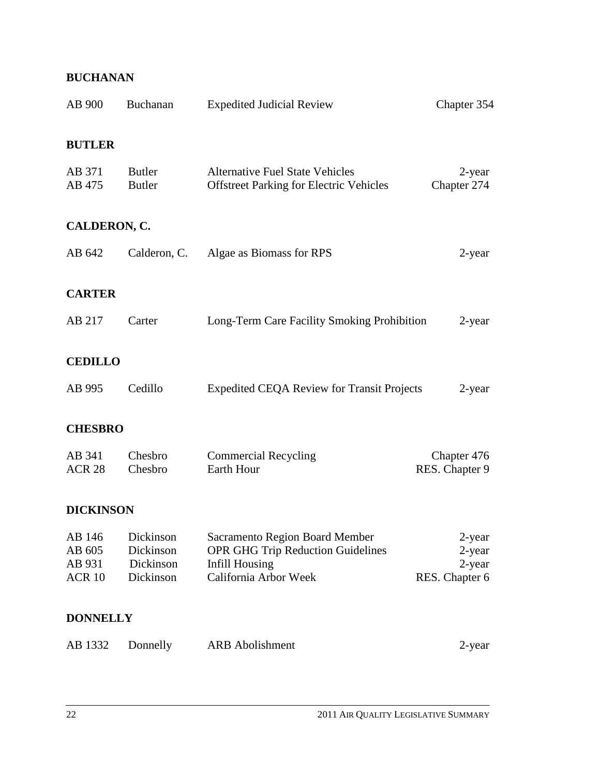# **BUCHANAN**

| AB 900                                          | Buchanan                                         | <b>Expedited Judicial Review</b>                                                                                      | Chapter 354                                  |
|-------------------------------------------------|--------------------------------------------------|-----------------------------------------------------------------------------------------------------------------------|----------------------------------------------|
| <b>BUTLER</b>                                   |                                                  |                                                                                                                       |                                              |
| AB 371<br>AB 475                                | Butler<br><b>Butler</b>                          | <b>Alternative Fuel State Vehicles</b><br><b>Offstreet Parking for Electric Vehicles</b>                              | $2$ -year<br>Chapter 274                     |
| CALDERON, C.                                    |                                                  |                                                                                                                       |                                              |
| AB 642                                          | Calderon, C.                                     | Algae as Biomass for RPS                                                                                              | 2-year                                       |
| <b>CARTER</b>                                   |                                                  |                                                                                                                       |                                              |
| AB 217                                          | Carter                                           | Long-Term Care Facility Smoking Prohibition                                                                           | 2-year                                       |
| <b>CEDILLO</b>                                  |                                                  |                                                                                                                       |                                              |
| AB 995                                          | Cedillo                                          | <b>Expedited CEQA Review for Transit Projects</b>                                                                     | 2-year                                       |
| <b>CHESBRO</b>                                  |                                                  |                                                                                                                       |                                              |
| AB 341<br><b>ACR 28</b>                         | Chesbro<br>Chesbro                               | <b>Commercial Recycling</b><br>Earth Hour                                                                             | Chapter 476<br>RES. Chapter 9                |
| <b>DICKINSON</b>                                |                                                  |                                                                                                                       |                                              |
| AB 146<br>AB 605<br>AB 931<br>ACR <sub>10</sub> | Dickinson<br>Dickinson<br>Dickinson<br>Dickinson | Sacramento Region Board Member<br><b>OPR GHG Trip Reduction Guidelines</b><br>Infill Housing<br>California Arbor Week | 2-year<br>2-year<br>2-year<br>RES. Chapter 6 |
| <b>DONNELLY</b>                                 |                                                  |                                                                                                                       |                                              |
| AB 1332                                         | Donnelly                                         | <b>ARB</b> Abolishment                                                                                                | 2-year                                       |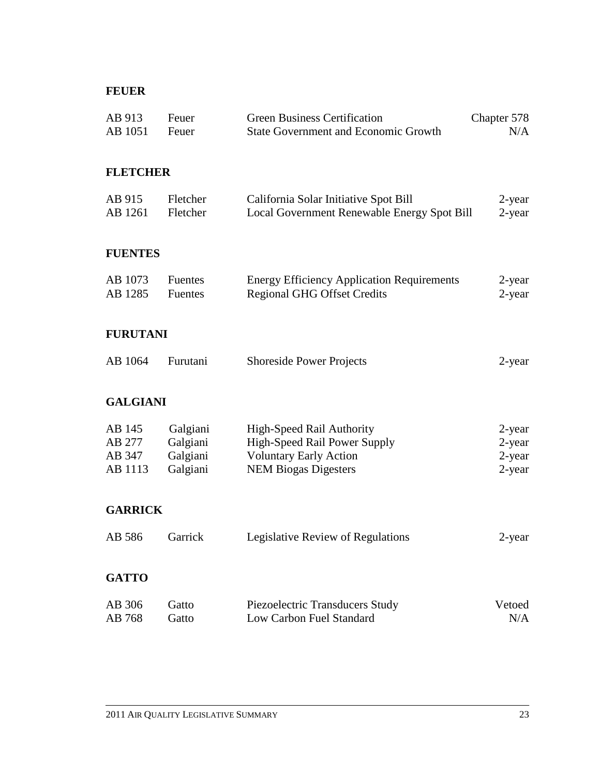## **FEUER**

| AB 913<br>AB 1051                     | Feuer<br>Feuer                               | <b>Green Business Certification</b><br><b>State Government and Economic Growth</b>                                                      | Chapter 578<br>N/A                   |
|---------------------------------------|----------------------------------------------|-----------------------------------------------------------------------------------------------------------------------------------------|--------------------------------------|
| <b>FLETCHER</b>                       |                                              |                                                                                                                                         |                                      |
| AB 915<br>AB 1261                     | Fletcher<br>Fletcher                         | California Solar Initiative Spot Bill<br>Local Government Renewable Energy Spot Bill                                                    | $2$ -year<br>2-year                  |
| <b>FUENTES</b>                        |                                              |                                                                                                                                         |                                      |
| AB 1073<br>AB 1285                    | Fuentes<br>Fuentes                           | <b>Energy Efficiency Application Requirements</b><br><b>Regional GHG Offset Credits</b>                                                 | 2-year<br>2-year                     |
| <b>FURUTANI</b>                       |                                              |                                                                                                                                         |                                      |
| AB 1064                               | Furutani                                     | <b>Shoreside Power Projects</b>                                                                                                         | $2$ -year                            |
| <b>GALGIANI</b>                       |                                              |                                                                                                                                         |                                      |
| AB 145<br>AB 277<br>AB 347<br>AB 1113 | Galgiani<br>Galgiani<br>Galgiani<br>Galgiani | <b>High-Speed Rail Authority</b><br><b>High-Speed Rail Power Supply</b><br><b>Voluntary Early Action</b><br><b>NEM Biogas Digesters</b> | 2-year<br>2-year<br>2-year<br>2-year |
| <b>GARRICK</b>                        |                                              |                                                                                                                                         |                                      |
| AB 586                                | Garrick                                      | Legislative Review of Regulations                                                                                                       | $2$ -year                            |
| <b>GATTO</b>                          |                                              |                                                                                                                                         |                                      |
| AB 306<br>AB 768                      | Gatto<br>Gatto                               | Piezoelectric Transducers Study<br>Low Carbon Fuel Standard                                                                             | Vetoed<br>N/A                        |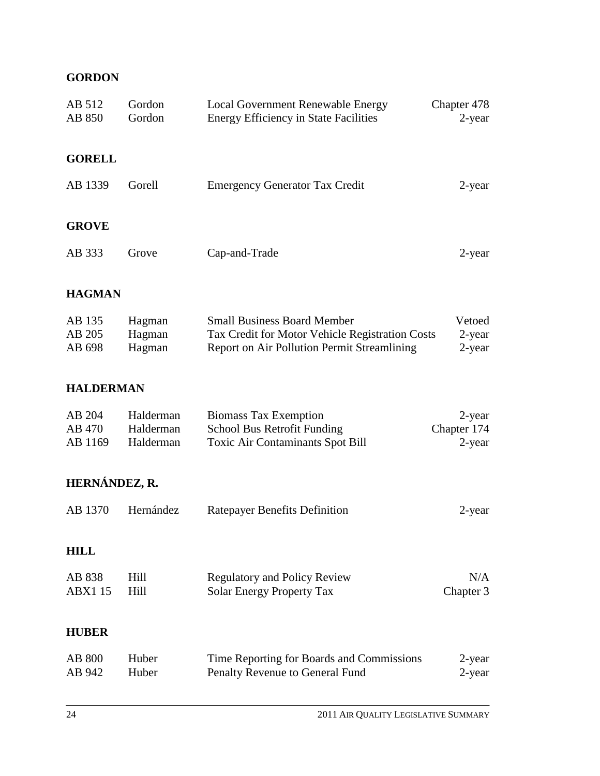# **GORDON**

| AB 512<br>AB 850            | Gordon<br>Gordon                    | Local Government Renewable Energy<br><b>Energy Efficiency in State Facilities</b>                                                    | Chapter 478<br>2-year              |
|-----------------------------|-------------------------------------|--------------------------------------------------------------------------------------------------------------------------------------|------------------------------------|
| <b>GORELL</b>               |                                     |                                                                                                                                      |                                    |
| AB 1339                     | Gorell                              | <b>Emergency Generator Tax Credit</b>                                                                                                | 2-year                             |
| <b>GROVE</b>                |                                     |                                                                                                                                      |                                    |
| AB 333                      | Grove                               | Cap-and-Trade                                                                                                                        | 2-year                             |
| <b>HAGMAN</b>               |                                     |                                                                                                                                      |                                    |
| AB 135<br>AB 205<br>AB 698  | Hagman<br>Hagman<br>Hagman          | <b>Small Business Board Member</b><br>Tax Credit for Motor Vehicle Registration Costs<br>Report on Air Pollution Permit Streamlining | Vetoed<br>2-year<br>2-year         |
| <b>HALDERMAN</b>            |                                     |                                                                                                                                      |                                    |
| AB 204<br>AB 470<br>AB 1169 | Halderman<br>Halderman<br>Halderman | <b>Biomass Tax Exemption</b><br>School Bus Retrofit Funding<br><b>Toxic Air Contaminants Spot Bill</b>                               | 2-year<br>Chapter 174<br>$2$ -year |
| HERNÁNDEZ, R.               |                                     |                                                                                                                                      |                                    |
| AB 1370                     | Hernández                           | <b>Ratepayer Benefits Definition</b>                                                                                                 | 2-year                             |
| <b>HILL</b>                 |                                     |                                                                                                                                      |                                    |
| AB 838<br><b>ABX1 15</b>    | Hill<br>Hill                        | <b>Regulatory and Policy Review</b><br><b>Solar Energy Property Tax</b>                                                              | N/A<br>Chapter 3                   |
| <b>HUBER</b>                |                                     |                                                                                                                                      |                                    |
| <b>AB 800</b><br>AB 942     | Huber<br>Huber                      | Time Reporting for Boards and Commissions<br>Penalty Revenue to General Fund                                                         | 2-year<br>2-year                   |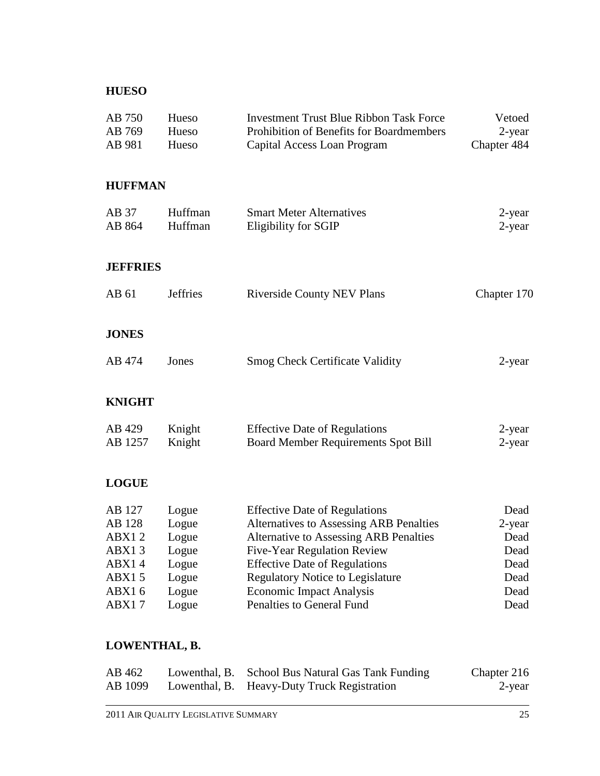## **HUESO**

| AB 750<br>AB 769<br>AB 981 | Hueso<br>Hueso<br>Hueso | <b>Investment Trust Blue Ribbon Task Force</b><br>Prohibition of Benefits for Boardmembers<br>Capital Access Loan Program | Vetoed<br>2-year<br>Chapter 484 |
|----------------------------|-------------------------|---------------------------------------------------------------------------------------------------------------------------|---------------------------------|
| <b>HUFFMAN</b>             |                         |                                                                                                                           |                                 |
| AB 37<br>AB 864            | Huffman<br>Huffman      | <b>Smart Meter Alternatives</b><br>Eligibility for SGIP                                                                   | $2$ -year<br>$2$ -year          |
| <b>JEFFRIES</b>            |                         |                                                                                                                           |                                 |
| AB 61                      | <b>Jeffries</b>         | <b>Riverside County NEV Plans</b>                                                                                         | Chapter 170                     |
| <b>JONES</b>               |                         |                                                                                                                           |                                 |
| AB 474                     | Jones                   | <b>Smog Check Certificate Validity</b>                                                                                    | 2-year                          |
| <b>KNIGHT</b>              |                         |                                                                                                                           |                                 |
| AB 429<br>AB 1257          | Knight<br>Knight        | <b>Effective Date of Regulations</b><br>Board Member Requirements Spot Bill                                               | $2$ -year<br>2-year             |
| <b>LOGUE</b>               |                         |                                                                                                                           |                                 |
| AB 127                     | Logue                   | <b>Effective Date of Regulations</b>                                                                                      | Dead                            |
| AB 128                     | Logue                   | Alternatives to Assessing ARB Penalties                                                                                   | 2-year                          |
| ABX12                      | Logue                   | <b>Alternative to Assessing ARB Penalties</b>                                                                             | Dead                            |
| ABX13                      | Logue                   | Five-Year Regulation Review                                                                                               | Dead                            |
| ABX14                      | Logue                   | <b>Effective Date of Regulations</b>                                                                                      | Dead                            |
| ABX15<br><b>ABX16</b>      | Logue<br>Logue          | <b>Regulatory Notice to Legislature</b><br><b>Economic Impact Analysis</b>                                                | Dead<br>Dead                    |
| ABX17                      | Logue                   | Penalties to General Fund                                                                                                 | Dead                            |
| I AUTRITULLE D             |                         |                                                                                                                           |                                 |

#### **LOWENTHAL, B.**

| AB 462  | Lowenthal, B. School Bus Natural Gas Tank Funding | Chapter 216 |
|---------|---------------------------------------------------|-------------|
| AB 1099 | Lowenthal, B. Heavy-Duty Truck Registration       | 2-year      |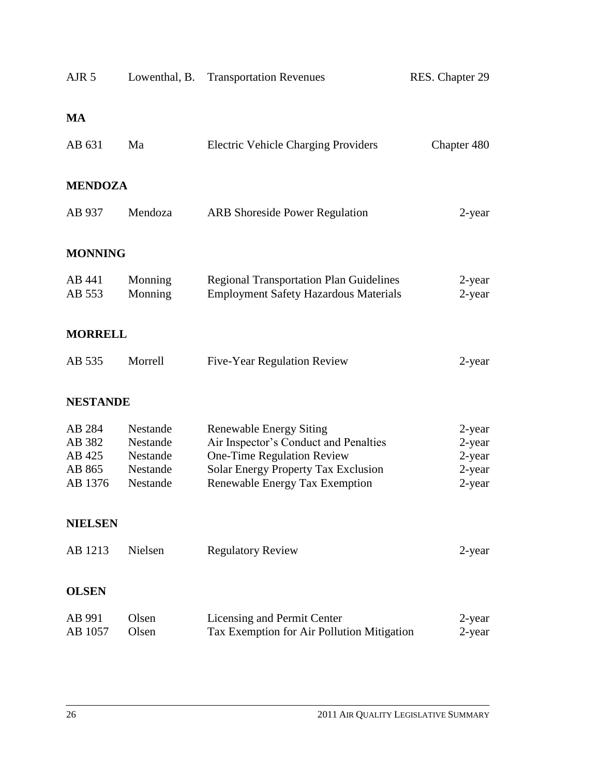| AJR <sub>5</sub>  | Lowenthal, B.        | <b>Transportation Revenues</b>                                               | RES. Chapter 29     |
|-------------------|----------------------|------------------------------------------------------------------------------|---------------------|
| <b>MA</b>         |                      |                                                                              |                     |
| AB 631            | Ma                   | <b>Electric Vehicle Charging Providers</b>                                   | Chapter 480         |
| <b>MENDOZA</b>    |                      |                                                                              |                     |
| AB 937            | Mendoza              | <b>ARB</b> Shoreside Power Regulation                                        | 2-year              |
| <b>MONNING</b>    |                      |                                                                              |                     |
| AB 441            | Monning              | <b>Regional Transportation Plan Guidelines</b>                               | 2-year              |
| AB 553            | Monning              | <b>Employment Safety Hazardous Materials</b>                                 | 2-year              |
| <b>MORRELL</b>    |                      |                                                                              |                     |
| AB 535            | Morrell              | Five-Year Regulation Review                                                  | 2-year              |
| <b>NESTANDE</b>   |                      |                                                                              |                     |
| AB 284            | Nestande             | <b>Renewable Energy Siting</b>                                               | 2-year              |
| AB 382            | Nestande             | Air Inspector's Conduct and Penalties                                        | 2-year              |
| AB 425<br>AB 865  | Nestande<br>Nestande | One-Time Regulation Review                                                   | 2-year              |
| AB 1376           | Nestande             | <b>Solar Energy Property Tax Exclusion</b><br>Renewable Energy Tax Exemption | $2$ -year<br>2-year |
| <b>NIELSEN</b>    |                      |                                                                              |                     |
| AB 1213           | Nielsen              | <b>Regulatory Review</b>                                                     | 2-year              |
| <b>OLSEN</b>      |                      |                                                                              |                     |
| AB 991<br>AB 1057 | Olsen<br>Olsen       | Licensing and Permit Center<br>Tax Exemption for Air Pollution Mitigation    | 2-year<br>2-year    |
|                   |                      |                                                                              |                     |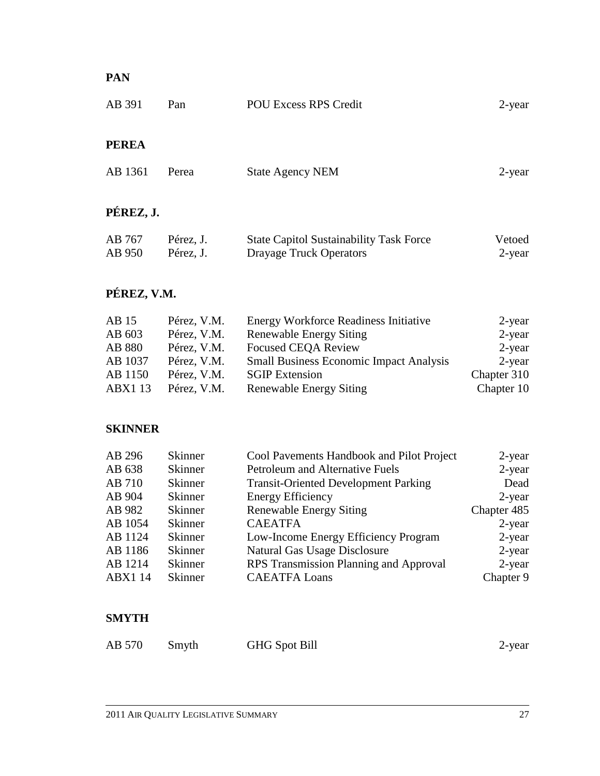# **PAN**

| <b>PEREA</b> |       |                         |           |
|--------------|-------|-------------------------|-----------|
| AB 1361      | Perea | <b>State Agency NEM</b> | $2$ -year |
| PÉREZ, J.    |       |                         |           |

| AB 767 | Pérez, J. | <b>State Capitol Sustainability Task Force</b> | Vetoed |
|--------|-----------|------------------------------------------------|--------|
| AB 950 | Pérez, J. | Drayage Truck Operators                        | 2-year |

# **PÉREZ, V.M.**

| AB 15         | Pérez, V.M. | <b>Energy Workforce Readiness Initiative</b>   | 2-year      |
|---------------|-------------|------------------------------------------------|-------------|
| AB 603        | Pérez, V.M. | <b>Renewable Energy Siting</b>                 | $2$ -year   |
| AB 880        | Pérez, V.M. | <b>Focused CEQA Review</b>                     | 2-year      |
| AB 1037       | Pérez, V.M. | <b>Small Business Economic Impact Analysis</b> | 2-year      |
| AB 1150       | Pérez, V.M. | <b>SGIP</b> Extension                          | Chapter 310 |
| <b>ABX113</b> | Pérez, V.M. | <b>Renewable Energy Siting</b>                 | Chapter 10  |

# **SKINNER**

| AB 296         | <b>Skinner</b> | Cool Pavements Handbook and Pilot Project   | $2$ -year   |
|----------------|----------------|---------------------------------------------|-------------|
| AB 638         | <b>Skinner</b> | Petroleum and Alternative Fuels             | $2$ -year   |
| AB 710         | <b>Skinner</b> | <b>Transit-Oriented Development Parking</b> | Dead        |
| AB 904         | <b>Skinner</b> | <b>Energy Efficiency</b>                    | $2$ -year   |
| AB 982         | <b>Skinner</b> | <b>Renewable Energy Siting</b>              | Chapter 485 |
| AB 1054        | <b>Skinner</b> | <b>CAEATFA</b>                              | $2$ -year   |
| AB 1124        | <b>Skinner</b> | Low-Income Energy Efficiency Program        | $2$ -year   |
| AB 1186        | <b>Skinner</b> | <b>Natural Gas Usage Disclosure</b>         | $2$ -year   |
| AB 1214        | <b>Skinner</b> | RPS Transmission Planning and Approval      | $2$ -year   |
| <b>ABX1 14</b> | Skinner        | <b>CAEATFA Loans</b>                        | Chapter 9   |

# **SMYTH**

| AB 570 | Smyth | <b>GHG</b> Spot Bill | 2-year |
|--------|-------|----------------------|--------|
|--------|-------|----------------------|--------|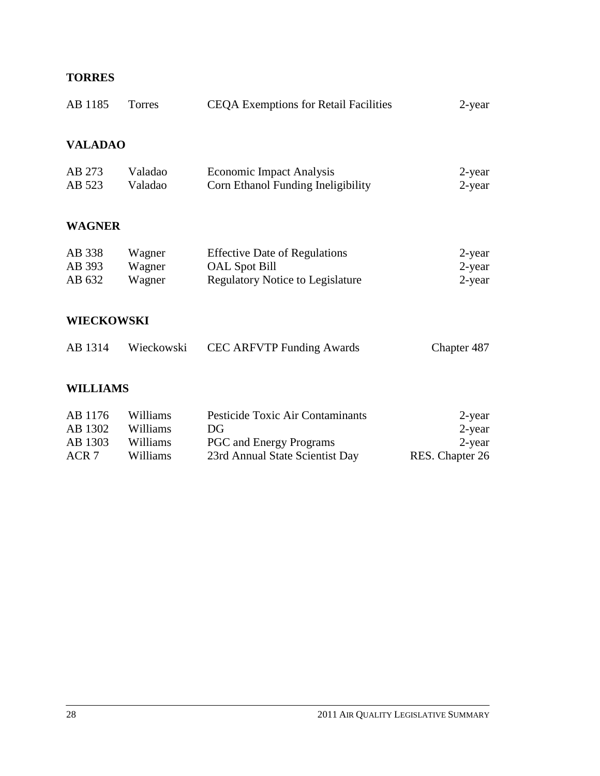# **TORRES**

| AB 1185                    | Torres                     | <b>CEQA Exemptions for Retail Facilities</b>                                                            | 2-year                        |  |
|----------------------------|----------------------------|---------------------------------------------------------------------------------------------------------|-------------------------------|--|
| <b>VALADAO</b>             |                            |                                                                                                         |                               |  |
| AB 273<br>AB 523           | Valadao<br>Valadao         | <b>Economic Impact Analysis</b><br>Corn Ethanol Funding Ineligibility                                   | 2-year<br>$2$ -year           |  |
| <b>WAGNER</b>              |                            |                                                                                                         |                               |  |
| AB 338<br>AB 393<br>AB 632 | Wagner<br>Wagner<br>Wagner | <b>Effective Date of Regulations</b><br><b>OAL</b> Spot Bill<br><b>Regulatory Notice to Legislature</b> | 2-year<br>2-year<br>$2$ -year |  |
| <b>WIECKOWSKI</b>          |                            |                                                                                                         |                               |  |
| AB 1314                    | Wieckowski                 | <b>CEC ARFVTP Funding Awards</b>                                                                        | Chapter 487                   |  |

# **WILLIAMS**

| AB 1176 | Williams | Pesticide Toxic Air Contaminants | 2-year          |
|---------|----------|----------------------------------|-----------------|
| AB 1302 | Williams | DG                               | 2-year          |
| AB 1303 | Williams | <b>PGC</b> and Energy Programs   | 2-year          |
| ACR 7   | Williams | 23rd Annual State Scientist Day  | RES. Chapter 26 |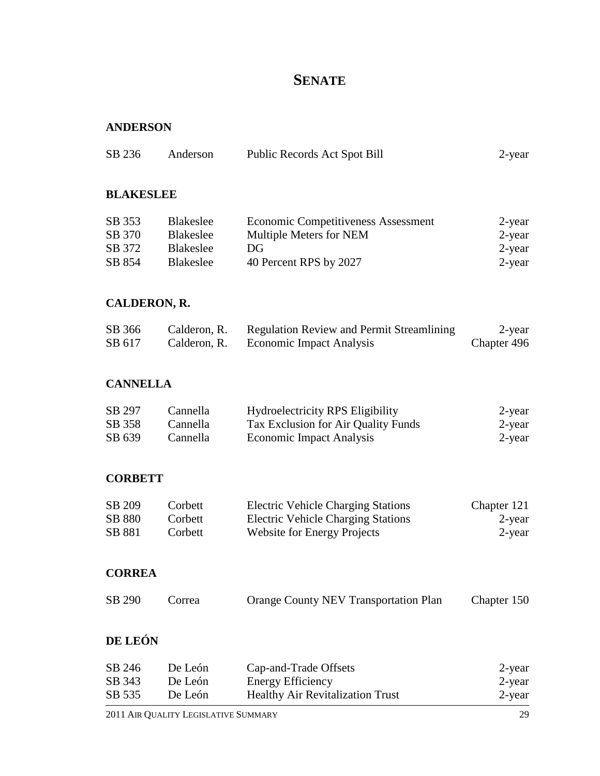# **SENATE**

#### **ANDERSON**

| SB 236 | Anderson | Public Records Act Spot Bill | $2$ -year |
|--------|----------|------------------------------|-----------|
|        |          |                              |           |

#### **BLAKESLEE**

| SB 353 | <b>Blakeslee</b> | <b>Economic Competitiveness Assessment</b> | 2-year |
|--------|------------------|--------------------------------------------|--------|
| SB 370 | <b>Blakeslee</b> | Multiple Meters for NEM                    | 2-year |
| SB 372 | <b>Blakeslee</b> | DG                                         | 2-year |
| SB 854 | Blakeslee        | 40 Percent RPS by 2027                     | 2-year |

# **CALDERON, R.**

| SB 366 | Calderon, R. | <b>Regulation Review and Permit Streamlining</b> | 2-year      |
|--------|--------------|--------------------------------------------------|-------------|
| SB 617 | Calderon, R. | <b>Economic Impact Analysis</b>                  | Chapter 496 |

#### **CANNELLA**

| SB 297 | Cannella | <b>Hydroelectricity RPS Eligibility</b> | 2-year |
|--------|----------|-----------------------------------------|--------|
| SB 358 | Cannella | Tax Exclusion for Air Quality Funds     | 2-year |
| SB 639 | Cannella | Economic Impact Analysis                | 2-year |

#### **CORBETT**

| SB 209        | Corbett | <b>Electric Vehicle Charging Stations</b> | Chapter 121 |
|---------------|---------|-------------------------------------------|-------------|
| <b>SB 880</b> | Corbett | <b>Electric Vehicle Charging Stations</b> | 2-year      |
| SB 881        | Corbett | <b>Website for Energy Projects</b>        | 2-year      |

#### **CORREA**

| SB 290 | Correa | <b>Orange County NEV Transportation Plan</b> | Chapter 150 |
|--------|--------|----------------------------------------------|-------------|
|--------|--------|----------------------------------------------|-------------|

# **DE LEÓN**

| SB 246 | De León | Cap-and-Trade Offsets                   | 2-year |
|--------|---------|-----------------------------------------|--------|
| SB 343 | De León | Energy Efficiency                       | 2-year |
| SB 535 | De León | <b>Healthy Air Revitalization Trust</b> | 2-year |
|        |         |                                         |        |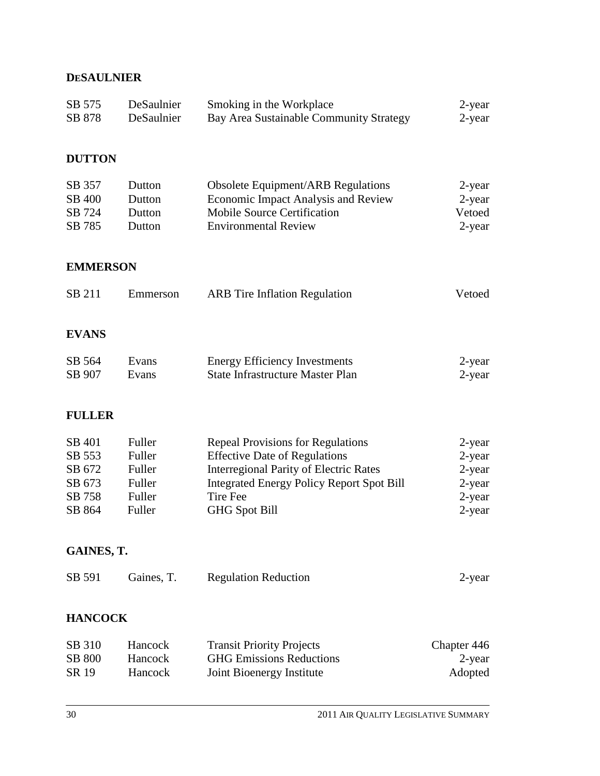# **DESAULNIER**

| SB 575<br>SB 878                                         | DeSaulnier<br>DeSaulnier                                 | Smoking in the Workplace<br>Bay Area Sustainable Community Strategy                                                                                                                                                              | 2-year<br>2-year                                               |
|----------------------------------------------------------|----------------------------------------------------------|----------------------------------------------------------------------------------------------------------------------------------------------------------------------------------------------------------------------------------|----------------------------------------------------------------|
| <b>DUTTON</b>                                            |                                                          |                                                                                                                                                                                                                                  |                                                                |
| SB 357<br>SB 400<br>SB 724<br>SB 785                     | Dutton<br>Dutton<br>Dutton<br>Dutton                     | <b>Obsolete Equipment/ARB Regulations</b><br><b>Economic Impact Analysis and Review</b><br><b>Mobile Source Certification</b><br><b>Environmental Review</b>                                                                     | 2-year<br>$2$ -year<br>Vetoed<br>$2$ -year                     |
| <b>EMMERSON</b>                                          |                                                          |                                                                                                                                                                                                                                  |                                                                |
| SB 211                                                   | Emmerson                                                 | <b>ARB</b> Tire Inflation Regulation                                                                                                                                                                                             | Vetoed                                                         |
| <b>EVANS</b>                                             |                                                          |                                                                                                                                                                                                                                  |                                                                |
| SB 564<br>SB 907                                         | Evans<br>Evans                                           | <b>Energy Efficiency Investments</b><br><b>State Infrastructure Master Plan</b>                                                                                                                                                  | 2-year<br>2-year                                               |
| <b>FULLER</b>                                            |                                                          |                                                                                                                                                                                                                                  |                                                                |
| SB 401<br>SB 553<br>SB 672<br>SB 673<br>SB 758<br>SB 864 | Fuller<br>Fuller<br>Fuller<br>Fuller<br>Fuller<br>Fuller | <b>Repeal Provisions for Regulations</b><br><b>Effective Date of Regulations</b><br><b>Interregional Parity of Electric Rates</b><br><b>Integrated Energy Policy Report Spot Bill</b><br><b>Tire Fee</b><br><b>GHG Spot Bill</b> | $2$ -year<br>2-year<br>2-year<br>2-year<br>$2$ -year<br>2-year |
| GAINES, T.                                               |                                                          |                                                                                                                                                                                                                                  |                                                                |
| SB 591                                                   | Gaines, T.                                               | <b>Regulation Reduction</b>                                                                                                                                                                                                      | 2-year                                                         |
| <b>HANCOCK</b>                                           |                                                          |                                                                                                                                                                                                                                  |                                                                |
| SB 310<br><b>SB 800</b><br>SR 19                         | Hancock<br>Hancock<br>Hancock                            | <b>Transit Priority Projects</b><br><b>GHG Emissions Reductions</b><br>Joint Bioenergy Institute                                                                                                                                 | Chapter 446<br>2-year<br>Adopted                               |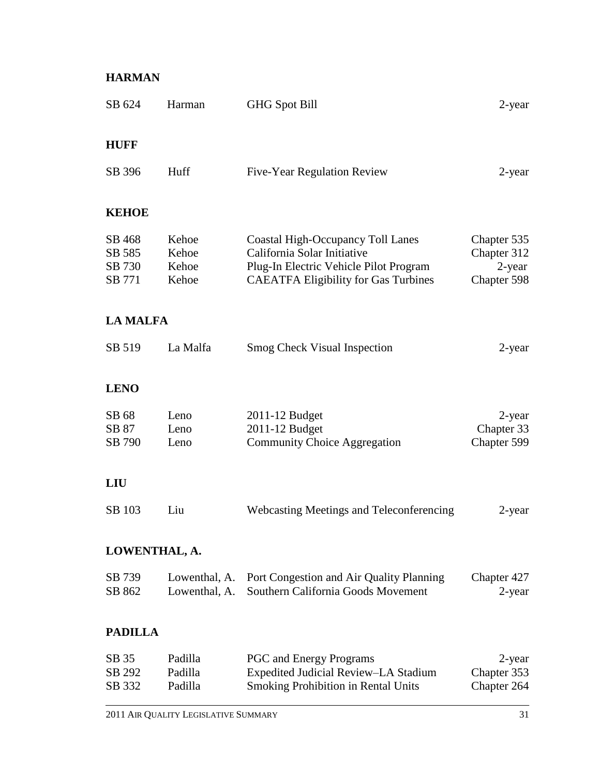# **HARMAN**

| SB 624                               | Harman                           | <b>GHG Spot Bill</b>                                                                                                                                             | $2$ -year                                           |
|--------------------------------------|----------------------------------|------------------------------------------------------------------------------------------------------------------------------------------------------------------|-----------------------------------------------------|
| <b>HUFF</b>                          |                                  |                                                                                                                                                                  |                                                     |
| SB 396                               | Huff                             | Five-Year Regulation Review                                                                                                                                      | 2-year                                              |
| <b>KEHOE</b>                         |                                  |                                                                                                                                                                  |                                                     |
| SB 468<br>SB 585<br>SB 730<br>SB 771 | Kehoe<br>Kehoe<br>Kehoe<br>Kehoe | <b>Coastal High-Occupancy Toll Lanes</b><br>California Solar Initiative<br>Plug-In Electric Vehicle Pilot Program<br><b>CAEATFA Eligibility for Gas Turbines</b> | Chapter 535<br>Chapter 312<br>2-year<br>Chapter 598 |
| <b>LA MALFA</b>                      |                                  |                                                                                                                                                                  |                                                     |
| SB 519                               | La Malfa                         | <b>Smog Check Visual Inspection</b>                                                                                                                              | 2-year                                              |
| <b>LENO</b>                          |                                  |                                                                                                                                                                  |                                                     |
| SB 68<br>SB 87<br>SB 790             | Leno<br>Leno<br>Leno             | 2011-12 Budget<br>2011-12 Budget<br><b>Community Choice Aggregation</b>                                                                                          | 2-year<br>Chapter 33<br>Chapter 599                 |
| <b>LIU</b>                           |                                  |                                                                                                                                                                  |                                                     |
| SB 103                               | Liu                              | Webcasting Meetings and Teleconferencing                                                                                                                         | 2-year                                              |
| LOWENTHAL, A.                        |                                  |                                                                                                                                                                  |                                                     |
| SB 739<br>SB 862                     | Lowenthal, A.<br>Lowenthal, A.   | Port Congestion and Air Quality Planning<br>Southern California Goods Movement                                                                                   | Chapter 427<br>$2$ -year                            |
| <b>PADILLA</b>                       |                                  |                                                                                                                                                                  |                                                     |
| SB 35<br>SB 292<br>SB 332            | Padilla<br>Padilla<br>Padilla    | <b>PGC</b> and Energy Programs<br>Expedited Judicial Review-LA Stadium<br><b>Smoking Prohibition in Rental Units</b>                                             | 2-year<br>Chapter 353<br>Chapter 264                |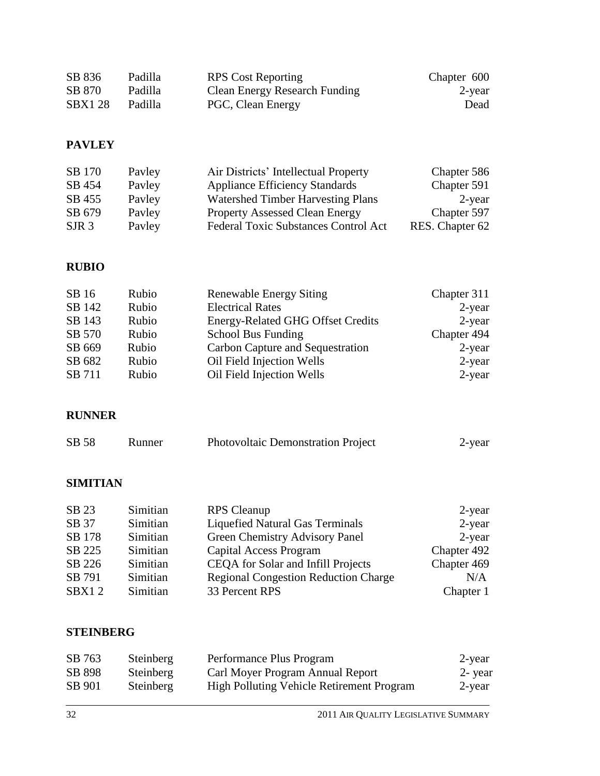| SB 836        | Padilla | <b>RPS</b> Cost Reporting     | Chapter 600 |
|---------------|---------|-------------------------------|-------------|
| SB 870        | Padilla | Clean Energy Research Funding | 2-year      |
| <b>SBX128</b> | Padilla | PGC, Clean Energy             | Dead        |

# **PAVLEY**

| SB 170           | Payley | Air Districts' Intellectual Property        | Chapter 586     |
|------------------|--------|---------------------------------------------|-----------------|
| SB 454           | Payley | <b>Appliance Efficiency Standards</b>       | Chapter 591     |
| SB 455           | Payley | <b>Watershed Timber Harvesting Plans</b>    | 2-year          |
| SB 679           | Payley | <b>Property Assessed Clean Energy</b>       | Chapter 597     |
| SJR <sub>3</sub> | Payley | <b>Federal Toxic Substances Control Act</b> | RES. Chapter 62 |

# **RUBIO**

| SB 16  | Rubio | <b>Renewable Energy Siting</b>           | Chapter 311 |
|--------|-------|------------------------------------------|-------------|
| SB 142 | Rubio | <b>Electrical Rates</b>                  | $2$ -year   |
| SB 143 | Rubio | <b>Energy-Related GHG Offset Credits</b> | $2$ -year   |
| SB 570 | Rubio | School Bus Funding                       | Chapter 494 |
| SB 669 | Rubio | Carbon Capture and Sequestration         | $2$ -year   |
| SB 682 | Rubio | Oil Field Injection Wells                | $2$ -year   |
| SB 711 | Rubio | Oil Field Injection Wells                | $2$ -year   |

# **RUNNER**

| SB 58 | Runner | <b>Photovoltaic Demonstration Project</b> | $2$ -year |
|-------|--------|-------------------------------------------|-----------|
|-------|--------|-------------------------------------------|-----------|

# **SIMITIAN**

| SB 23  | Simitian | <b>RPS</b> Cleanup                          | 2-year      |
|--------|----------|---------------------------------------------|-------------|
| SB 37  | Simitian | <b>Liquefied Natural Gas Terminals</b>      | $2$ -year   |
| SB 178 | Simitian | Green Chemistry Advisory Panel              | $2$ -year   |
| SB 225 | Simitian | Capital Access Program                      | Chapter 492 |
| SB 226 | Simitian | CEQA for Solar and Infill Projects          | Chapter 469 |
| SB 791 | Simitian | <b>Regional Congestion Reduction Charge</b> | N/A         |
| SBX12  | Simitian | 33 Percent RPS                              | Chapter 1   |

### **STEINBERG**

| SB 763 | Steinberg | Performance Plus Program                         | 2-year |
|--------|-----------|--------------------------------------------------|--------|
| SB 898 | Steinberg | Carl Moyer Program Annual Report                 | 2-year |
| SB 901 | Steinberg | <b>High Polluting Vehicle Retirement Program</b> | 2-year |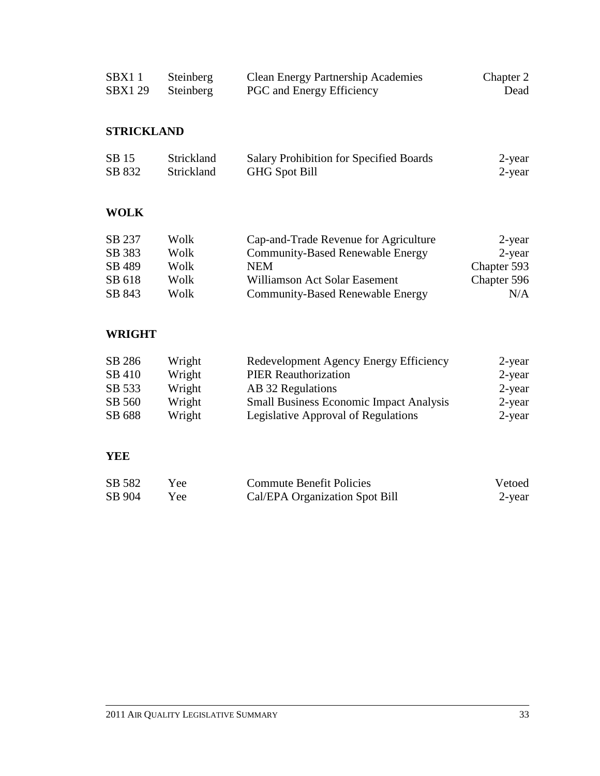| SBX1 1  | Steinberg | <b>Clean Energy Partnership Academies</b> | Chapter 2 |
|---------|-----------|-------------------------------------------|-----------|
| SBX1 29 | Steinberg | <b>PGC</b> and Energy Efficiency          | Dead      |

# **STRICKLAND**

| SB 15  | <b>Strickland</b> | Salary Prohibition for Specified Boards | 2-year |
|--------|-------------------|-----------------------------------------|--------|
| SB 832 | <b>Strickland</b> | <b>GHG</b> Spot Bill                    | 2-year |

# **WOLK**

| SB 237 | Wolk | Cap-and-Trade Revenue for Agriculture   | 2-year      |
|--------|------|-----------------------------------------|-------------|
| SB 383 | Wolk | <b>Community-Based Renewable Energy</b> | 2-year      |
| SB 489 | Wolk | <b>NEM</b>                              | Chapter 593 |
| SB 618 | Wolk | Williamson Act Solar Easement           | Chapter 596 |
| SB 843 | Wolk | <b>Community-Based Renewable Energy</b> | N/A         |

# **WRIGHT**

| SB 286 | Wright | Redevelopment Agency Energy Efficiency         | 2-year |
|--------|--------|------------------------------------------------|--------|
| SB 410 | Wright | <b>PIER Reauthorization</b>                    | 2-year |
| SB 533 | Wright | AB 32 Regulations                              | 2-year |
| SB 560 | Wright | <b>Small Business Economic Impact Analysis</b> | 2-year |
| SB 688 | Wright | Legislative Approval of Regulations            | 2-year |

### **YEE**

| SB 582 | Yee. | <b>Commute Benefit Policies</b> | Vetoed |
|--------|------|---------------------------------|--------|
| SB 904 | Yee  | Cal/EPA Organization Spot Bill  | 2-year |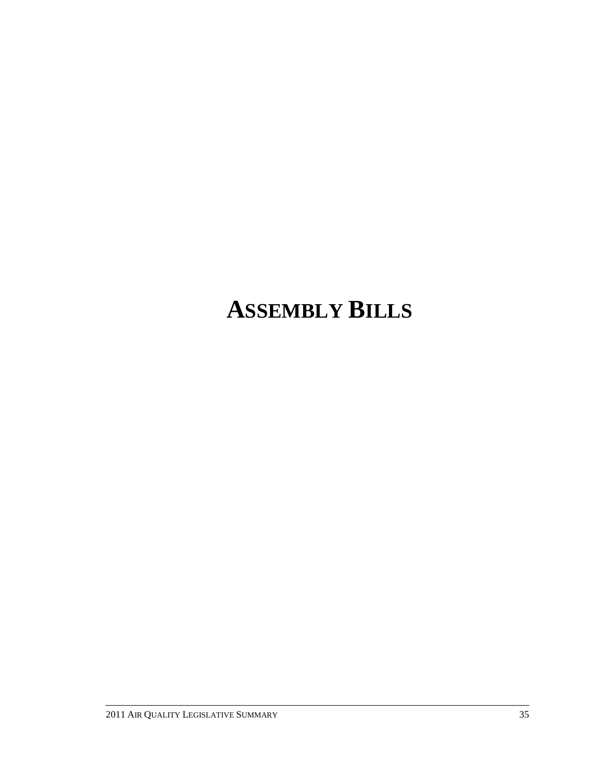# **ASSEMBLY BILLS**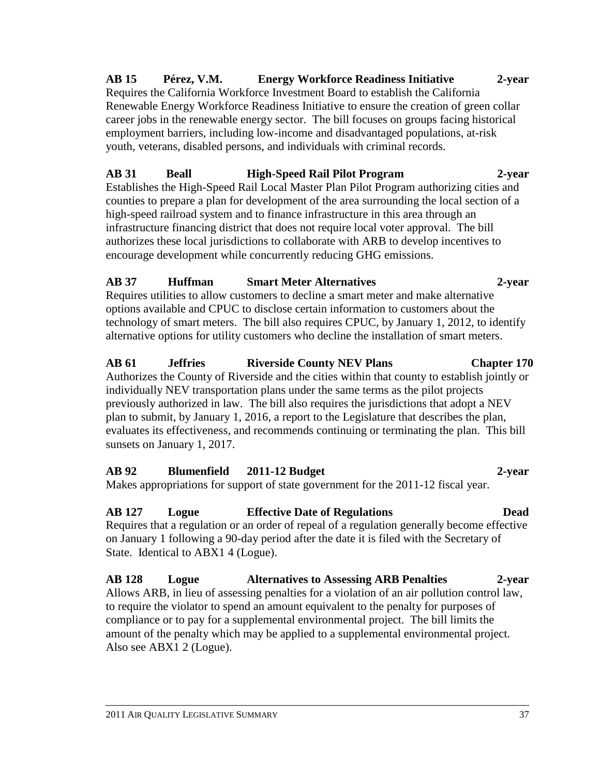### **AB 15 Pérez, V.M. Energy Workforce Readiness Initiative 2-year** Requires the California Workforce Investment Board to establish the California Renewable Energy Workforce Readiness Initiative to ensure the creation of green collar career jobs in the renewable energy sector. The bill focuses on groups facing historical employment barriers, including low-income and disadvantaged populations, at-risk youth, veterans, disabled persons, and individuals with criminal records.

# **AB 31 Beall High-Speed Rail Pilot Program 2-year**

Establishes the High-Speed Rail Local Master Plan Pilot Program authorizing cities and counties to prepare a plan for development of the area surrounding the local section of a high-speed railroad system and to finance infrastructure in this area through an infrastructure financing district that does not require local voter approval. The bill authorizes these local jurisdictions to collaborate with ARB to develop incentives to encourage development while concurrently reducing GHG emissions.

# **AB 37 Huffman Smart Meter Alternatives 2-year**

Requires utilities to allow customers to decline a smart meter and make alternative options available and CPUC to disclose certain information to customers about the technology of smart meters. The bill also requires CPUC, by January 1, 2012, to identify alternative options for utility customers who decline the installation of smart meters.

# **AB 61 Jeffries Riverside County NEV Plans Chapter 170**

Authorizes the County of Riverside and the cities within that county to establish jointly or individually NEV transportation plans under the same terms as the pilot projects previously authorized in law. The bill also requires the jurisdictions that adopt a NEV plan to submit, by January 1, 2016, a report to the Legislature that describes the plan, evaluates its effectiveness, and recommends continuing or terminating the plan. This bill sunsets on January 1, 2017.

# **AB 92 Blumenfield 2011-12 Budget 2-year**

Makes appropriations for support of state government for the 2011-12 fiscal year.

# **AB 127 Logue Effective Date of Regulations Dead**

Requires that a regulation or an order of repeal of a regulation generally become effective on January 1 following a 90-day period after the date it is filed with the Secretary of State. Identical to ABX1 4 (Logue).

**AB 128 Logue Alternatives to Assessing ARB Penalties 2-year** Allows ARB, in lieu of assessing penalties for a violation of an air pollution control law, to require the violator to spend an amount equivalent to the penalty for purposes of compliance or to pay for a supplemental environmental project. The bill limits the amount of the penalty which may be applied to a supplemental environmental project. Also see ABX1 2 (Logue).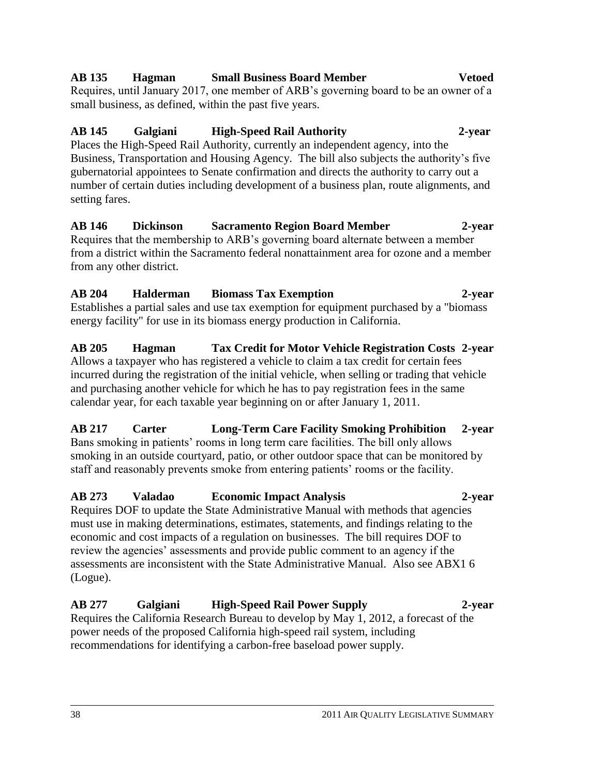# must use in making determinations, estimates, statements, and findings relating to the

# Requires DOF to update the State Administrative Manual with methods that agencies

# **AB 273 Valadao Economic Impact Analysis 2-year**

# economic and cost impacts of a regulation on businesses. The bill requires DOF to review the agencies' assessments and provide public comment to an agency if the assessments are inconsistent with the State Administrative Manual. Also see ABX1 6

# (Logue).

setting fares.

power needs of the proposed California high-speed rail system, including recommendations for identifying a carbon-free baseload power supply.

**AB 277 Galgiani High-Speed Rail Power Supply 2-year** Requires the California Research Bureau to develop by May 1, 2012, a forecast of the

**AB 146 Dickinson Sacramento Region Board Member 2-year**

Requires that the membership to ARB's governing board alternate between a member from a district within the Sacramento federal nonattainment area for ozone and a member from any other district.

Establishes a partial sales and use tax exemption for equipment purchased by a "biomass energy facility" for use in its biomass energy production in California.

**AB 205 Hagman Tax Credit for Motor Vehicle Registration Costs 2-year**

**AB 217 Carter Long-Term Care Facility Smoking Prohibition 2-year**

smoking in an outside courtyard, patio, or other outdoor space that can be monitored by staff and reasonably prevents smoke from entering patients' rooms or the facility.

**AB 204 Halderman Biomass Tax Exemption 2-year**

Allows a taxpayer who has registered a vehicle to claim a tax credit for certain fees incurred during the registration of the initial vehicle, when selling or trading that vehicle and purchasing another vehicle for which he has to pay registration fees in the same

Bans smoking in patients' rooms in long term care facilities. The bill only allows

calendar year, for each taxable year beginning on or after January 1, 2011.

Places the High-Speed Rail Authority, currently an independent agency, into the Business, Transportation and Housing Agency. The bill also subjects the authority's five gubernatorial appointees to Senate confirmation and directs the authority to carry out a number of certain duties including development of a business plan, route alignments, and

**AB 145 Galgiani High-Speed Rail Authority 2-year**

Requires, until January 2017, one member of ARB's governing board to be an owner of a small business, as defined, within the past five years.

#### **AB 135 Hagman Small Business Board Member Vetoed**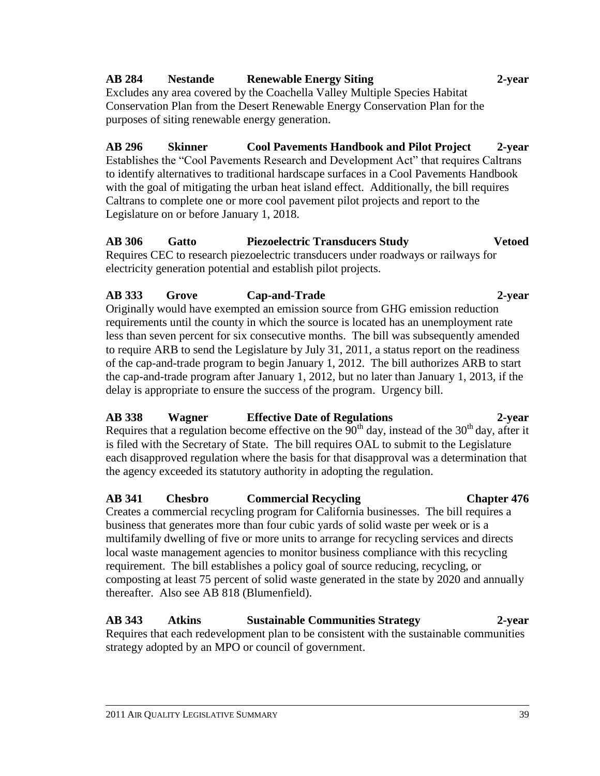# **AB 284 Nestande Renewable Energy Siting 2-year**

Excludes any area covered by the Coachella Valley Multiple Species Habitat Conservation Plan from the Desert Renewable Energy Conservation Plan for the purposes of siting renewable energy generation.

**AB 296 Skinner Cool Pavements Handbook and Pilot Project 2-year** Establishes the "Cool Pavements Research and Development Act" that requires Caltrans to identify alternatives to traditional hardscape surfaces in a Cool Pavements Handbook with the goal of mitigating the urban heat island effect. Additionally, the bill requires Caltrans to complete one or more cool pavement pilot projects and report to the Legislature on or before January 1, 2018.

**AB 306 Gatto Piezoelectric Transducers Study Vetoed** Requires CEC to research piezoelectric transducers under roadways or railways for electricity generation potential and establish pilot projects.

### **AB 333 Grove Cap-and-Trade 2-year**

Originally would have exempted an emission source from GHG emission reduction requirements until the county in which the source is located has an unemployment rate less than seven percent for six consecutive months. The bill was subsequently amended to require ARB to send the Legislature by July 31, 2011, a status report on the readiness of the cap-and-trade program to begin January 1, 2012. The bill authorizes ARB to start the cap-and-trade program after January 1, 2012, but no later than January 1, 2013, if the delay is appropriate to ensure the success of the program. Urgency bill.

### **AB 338 Wagner Effective Date of Regulations 2-year**

Requires that a regulation become effective on the  $90<sup>th</sup>$  day, instead of the  $30<sup>th</sup>$  day, after it is filed with the Secretary of State. The bill requires OAL to submit to the Legislature each disapproved regulation where the basis for that disapproval was a determination that the agency exceeded its statutory authority in adopting the regulation.

### **AB 341 Chesbro Commercial Recycling Chapter 476**

Creates a commercial recycling program for California businesses. The bill requires a business that generates more than four cubic yards of solid waste per week or is a multifamily dwelling of five or more units to arrange for recycling services and directs local waste management agencies to monitor business compliance with this recycling requirement. The bill establishes a policy goal of source reducing, recycling, or composting at least 75 percent of solid waste generated in the state by 2020 and annually thereafter. Also see AB 818 (Blumenfield).

**AB 343 Atkins Sustainable Communities Strategy 2-year** Requires that each redevelopment plan to be consistent with the sustainable communities strategy adopted by an MPO or council of government.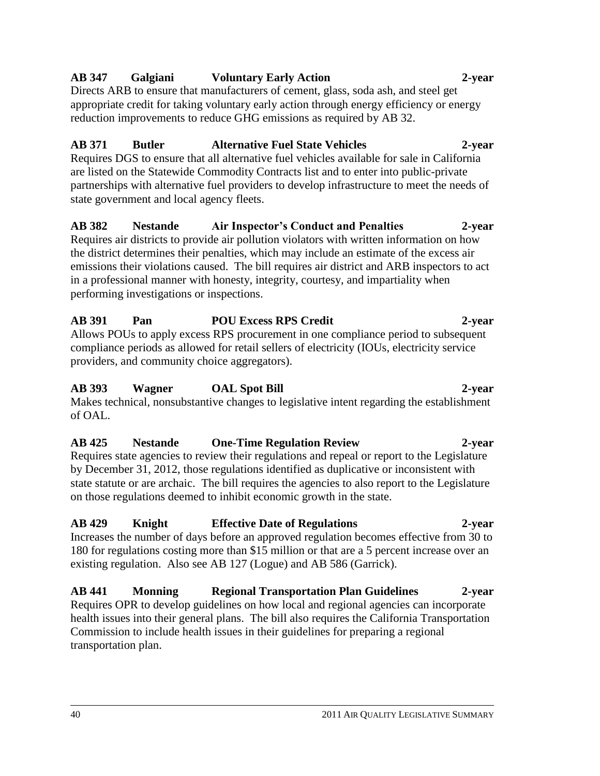#### compliance periods as allowed for retail sellers of electricity (IOUs, electricity service providers, and community choice aggregators).

# **AB 425 Nestande One-Time Regulation Review 2-year**

Requires state agencies to review their regulations and repeal or report to the Legislature by December 31, 2012, those regulations identified as duplicative or inconsistent with state statute or are archaic. The bill requires the agencies to also report to the Legislature on those regulations deemed to inhibit economic growth in the state.

Increases the number of days before an approved regulation becomes effective from 30 to 180 for regulations costing more than \$15 million or that are a 5 percent increase over an existing regulation. Also see AB 127 (Logue) and AB 586 (Garrick).

**AB 441 Monning Regional Transportation Plan Guidelines 2-year** Requires OPR to develop guidelines on how local and regional agencies can incorporate health issues into their general plans. The bill also requires the California Transportation Commission to include health issues in their guidelines for preparing a regional transportation plan.

## **AB 347 Galgiani Voluntary Early Action 2-year**

Directs ARB to ensure that manufacturers of cement, glass, soda ash, and steel get appropriate credit for taking voluntary early action through energy efficiency or energy reduction improvements to reduce GHG emissions as required by AB 32.

# **AB 371 Butler Alternative Fuel State Vehicles 2-year**

Requires DGS to ensure that all alternative fuel vehicles available for sale in California are listed on the Statewide Commodity Contracts list and to enter into public-private partnerships with alternative fuel providers to develop infrastructure to meet the needs of state government and local agency fleets.

# **AB 382 Nestande Air Inspector's Conduct and Penalties 2-year**

Requires air districts to provide air pollution violators with written information on how the district determines their penalties, which may include an estimate of the excess air emissions their violations caused. The bill requires air district and ARB inspectors to act in a professional manner with honesty, integrity, courtesy, and impartiality when performing investigations or inspections.

**AB 391 Pan POU Excess RPS Credit 2-year** Allows POUs to apply excess RPS procurement in one compliance period to subsequent

**AB 393 Wagner OAL Spot Bill 2-year**

Makes technical, nonsubstantive changes to legislative intent regarding the establishment of OAL.

**AB 429 Knight Effective Date of Regulations 2-year**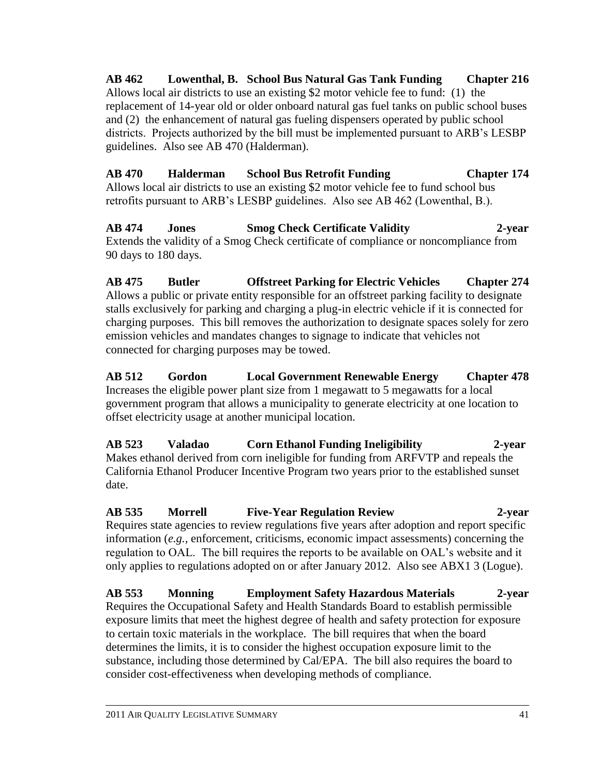**AB 462 Lowenthal, B. School Bus Natural Gas Tank Funding Chapter 216** Allows local air districts to use an existing \$2 motor vehicle fee to fund: (1) the replacement of 14-year old or older onboard natural gas fuel tanks on public school buses and (2) the enhancement of natural gas fueling dispensers operated by public school districts. Projects authorized by the bill must be implemented pursuant to ARB's LESBP guidelines. Also see AB 470 (Halderman).

**AB 470 Halderman School Bus Retrofit Funding Chapter 174** Allows local air districts to use an existing \$2 motor vehicle fee to fund school bus retrofits pursuant to ARB's LESBP guidelines. Also see AB 462 (Lowenthal, B.).

**AB 474 Jones Smog Check Certificate Validity 2-year** Extends the validity of a Smog Check certificate of compliance or noncompliance from 90 days to 180 days.

**AB 475 Butler Offstreet Parking for Electric Vehicles Chapter 274** Allows a public or private entity responsible for an offstreet parking facility to designate stalls exclusively for parking and charging a plug-in electric vehicle if it is connected for charging purposes. This bill removes the authorization to designate spaces solely for zero emission vehicles and mandates changes to signage to indicate that vehicles not connected for charging purposes may be towed.

**AB 512 Gordon Local Government Renewable Energy Chapter 478** Increases the eligible power plant size from 1 megawatt to 5 megawatts for a local government program that allows a municipality to generate electricity at one location to offset electricity usage at another municipal location.

**AB 523 Valadao Corn Ethanol Funding Ineligibility 2-year** Makes ethanol derived from corn ineligible for funding from ARFVTP and repeals the California Ethanol Producer Incentive Program two years prior to the established sunset date.

**AB 535 Morrell Five-Year Regulation Review 2-year** Requires state agencies to review regulations five years after adoption and report specific information (*e.g.,* enforcement, criticisms, economic impact assessments) concerning the regulation to OAL. The bill requires the reports to be available on OAL's website and it only applies to regulations adopted on or after January 2012. Also see ABX1 3 (Logue).

**AB 553 Monning Employment Safety Hazardous Materials 2-year** Requires the Occupational Safety and Health Standards Board to establish permissible exposure limits that meet the highest degree of health and safety protection for exposure to certain toxic materials in the workplace. The bill requires that when the board determines the limits, it is to consider the highest occupation exposure limit to the substance, including those determined by Cal/EPA. The bill also requires the board to consider cost-effectiveness when developing methods of compliance.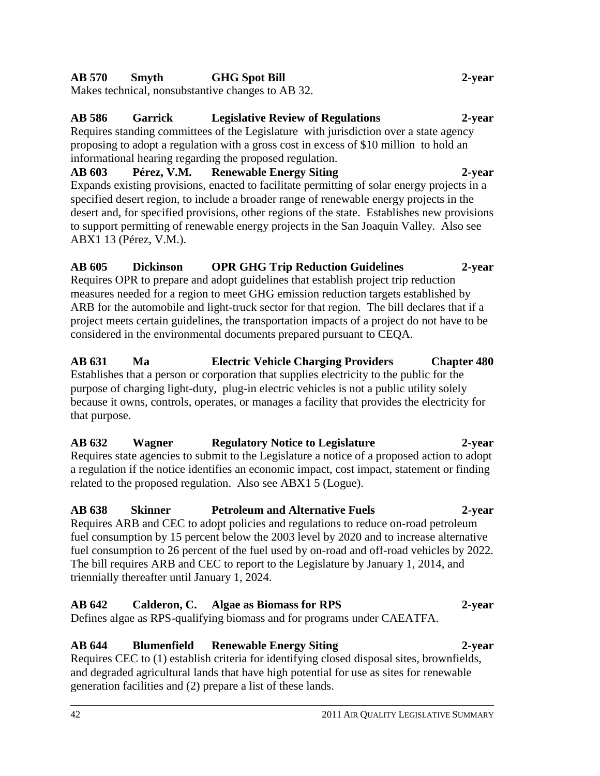# **AB 570 Smyth GHG Spot Bill 2-year**

Makes technical, nonsubstantive changes to AB 32.

# **AB 586 Garrick Legislative Review of Regulations 2-year**

Requires standing committees of the Legislature with jurisdiction over a state agency proposing to adopt a regulation with a gross cost in excess of \$10 million to hold an informational hearing regarding the proposed regulation.

### **AB 603 Pérez, V.M. Renewable Energy Siting 2-year** Expands existing provisions, enacted to facilitate permitting of solar energy projects in a specified desert region, to include a broader range of renewable energy projects in the desert and, for specified provisions, other regions of the state. Establishes new provisions to support permitting of renewable energy projects in the San Joaquin Valley. Also see ABX1 13 (Pérez, V.M.).

### **AB 605 Dickinson OPR GHG Trip Reduction Guidelines 2-year** Requires OPR to prepare and adopt guidelines that establish project trip reduction measures needed for a region to meet GHG emission reduction targets established by ARB for the automobile and light-truck sector for that region. The bill declares that if a project meets certain guidelines, the transportation impacts of a project do not have to be considered in the environmental documents prepared pursuant to CEQA.

### **AB 631 Ma Electric Vehicle Charging Providers Chapter 480** Establishes that a person or corporation that supplies electricity to the public for the purpose of charging light-duty, plug-in electric vehicles is not a public utility solely because it owns, controls, operates, or manages a facility that provides the electricity for that purpose.

# **AB 632 Wagner Regulatory Notice to Legislature 2-year**

Requires state agencies to submit to the Legislature a notice of a proposed action to adopt a regulation if the notice identifies an economic impact, cost impact, statement or finding related to the proposed regulation. Also see ABX1 5 (Logue).

### **AB 638 Skinner Petroleum and Alternative Fuels 2-year**  Requires ARB and CEC to adopt policies and regulations to reduce on-road petroleum fuel consumption by 15 percent below the 2003 level by 2020 and to increase alternative fuel consumption to 26 percent of the fuel used by on-road and off-road vehicles by 2022. The bill requires ARB and CEC to report to the Legislature by January 1, 2014, and triennially thereafter until January 1, 2024.

#### **AB 642 Calderon, C. Algae as Biomass for RPS 2-year** Defines algae as RPS-qualifying biomass and for programs under CAEATFA.

# **AB 644 Blumenfield Renewable Energy Siting 2-year**

Requires CEC to (1) establish criteria for identifying closed disposal sites, brownfields, and degraded agricultural lands that have high potential for use as sites for renewable generation facilities and (2) prepare a list of these lands.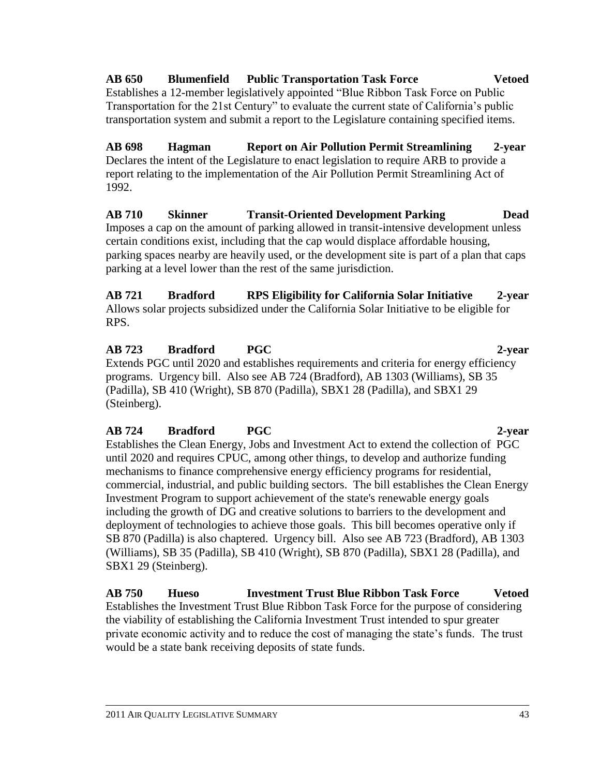### **AB 650 Blumenfield Public Transportation Task Force Vetoed** Establishes a 12-member legislatively appointed "Blue Ribbon Task Force on Public Transportation for the 21st Century" to evaluate the current state of California's public transportation system and submit a report to the Legislature containing specified items.

**AB 698 Hagman Report on Air Pollution Permit Streamlining 2-year** Declares the intent of the Legislature to enact legislation to require ARB to provide a report relating to the implementation of the Air Pollution Permit Streamlining Act of 1992.

**AB 710 Skinner Transit-Oriented Development Parking Dead** Imposes a cap on the amount of parking allowed in transit-intensive development unless certain conditions exist, including that the cap would displace affordable housing, parking spaces nearby are heavily used, or the development site is part of a plan that caps parking at a level lower than the rest of the same jurisdiction.

**AB 721 Bradford RPS Eligibility for California Solar Initiative 2-year** Allows solar projects subsidized under the California Solar Initiative to be eligible for RPS.

#### **AB 723 Bradford PGC 2-year** Extends PGC until 2020 and establishes requirements and criteria for energy efficiency programs. Urgency bill. Also see AB 724 (Bradford), AB 1303 (Williams), SB 35 (Padilla), SB 410 (Wright), SB 870 (Padilla), SBX1 28 (Padilla), and SBX1 29 (Steinberg).

# **AB 724 Bradford PGC 2-year**

Establishes the Clean Energy, Jobs and Investment Act to extend the collection of PGC until 2020 and requires CPUC, among other things, to develop and authorize funding mechanisms to finance comprehensive energy efficiency programs for residential, commercial, industrial, and public building sectors. The bill establishes the Clean Energy Investment Program to support achievement of the state's renewable energy goals including the growth of DG and creative solutions to barriers to the development and deployment of technologies to achieve those goals. This bill becomes operative only if SB 870 (Padilla) is also chaptered. Urgency bill. Also see AB 723 (Bradford), AB 1303 (Williams), SB 35 (Padilla), SB 410 (Wright), SB 870 (Padilla), SBX1 28 (Padilla), and SBX1 29 (Steinberg).

**AB 750 Hueso Investment Trust Blue Ribbon Task Force Vetoed** Establishes the Investment Trust Blue Ribbon Task Force for the purpose of considering the viability of establishing the California Investment Trust intended to spur greater private economic activity and to reduce the cost of managing the state's funds. The trust would be a state bank receiving deposits of state funds.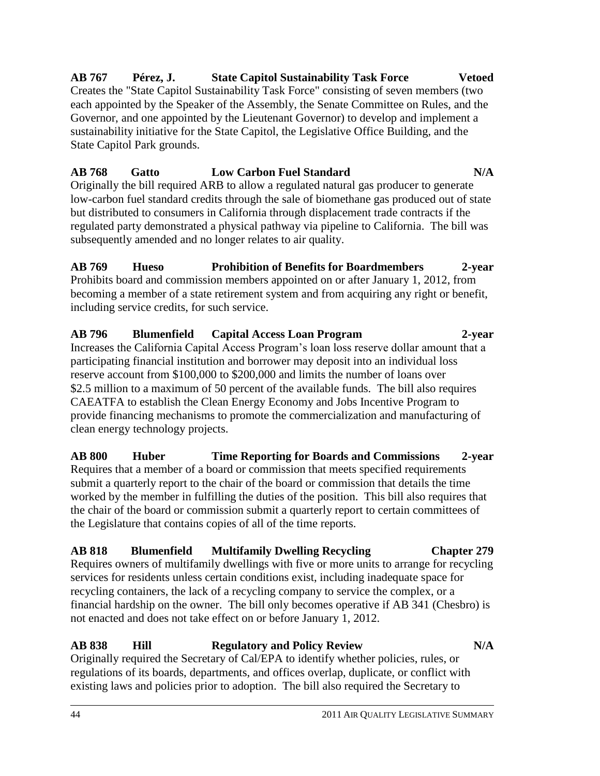### **AB 767 Pérez, J. State Capitol Sustainability Task Force Vetoed** Creates the "State Capitol Sustainability Task Force" consisting of seven members (two

each appointed by the Speaker of the Assembly, the Senate Committee on Rules, and the Governor, and one appointed by the Lieutenant Governor) to develop and implement a sustainability initiative for the State Capitol, the Legislative Office Building, and the State Capitol Park grounds.

# **AB 768 Gatto Low Carbon Fuel Standard N/A**

Originally the bill required ARB to allow a regulated natural gas producer to generate low-carbon fuel standard credits through the sale of biomethane gas produced out of state but distributed to consumers in California through displacement trade contracts if the regulated party demonstrated a physical pathway via pipeline to California. The bill was subsequently amended and no longer relates to air quality.

**AB 769 Hueso Prohibition of Benefits for Boardmembers 2-year** Prohibits board and commission members appointed on or after January 1, 2012, from becoming a member of a state retirement system and from acquiring any right or benefit, including service credits, for such service.

**AB 796 Blumenfield Capital Access Loan Program 2-year** Increases the California Capital Access Program's loan loss reserve dollar amount that a participating financial institution and borrower may deposit into an individual loss reserve account from \$100,000 to \$200,000 and limits the number of loans over \$2.5 million to a maximum of 50 percent of the available funds. The bill also requires CAEATFA to establish the Clean Energy Economy and Jobs Incentive Program to provide financing mechanisms to promote the commercialization and manufacturing of clean energy technology projects.

**AB 800 Huber Time Reporting for Boards and Commissions 2-year** Requires that a member of a board or commission that meets specified requirements submit a quarterly report to the chair of the board or commission that details the time worked by the member in fulfilling the duties of the position. This bill also requires that the chair of the board or commission submit a quarterly report to certain committees of the Legislature that contains copies of all of the time reports.

# **AB 818 Blumenfield Multifamily Dwelling Recycling Chapter 279**

Requires owners of multifamily dwellings with five or more units to arrange for recycling services for residents unless certain conditions exist, including inadequate space for recycling containers, the lack of a recycling company to service the complex, or a financial hardship on the owner. The bill only becomes operative if AB 341 (Chesbro) is not enacted and does not take effect on or before January 1, 2012.

# **AB 838 Hill Regulatory and Policy Review N/A**

Originally required the Secretary of Cal/EPA to identify whether policies, rules, or regulations of its boards, departments, and offices overlap, duplicate, or conflict with existing laws and policies prior to adoption. The bill also required the Secretary to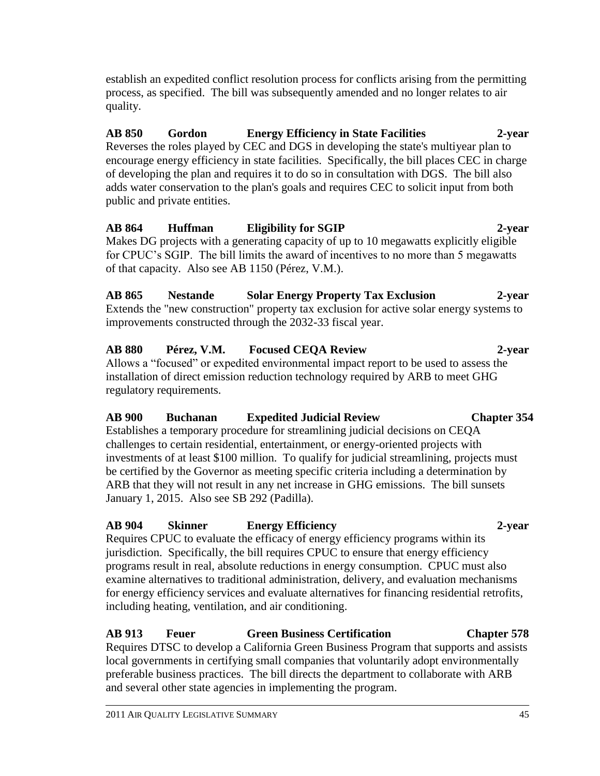establish an expedited conflict resolution process for conflicts arising from the permitting process, as specified. The bill was subsequently amended and no longer relates to air quality.

**AB 850 Gordon Energy Efficiency in State Facilities 2-year** Reverses the roles played by CEC and DGS in developing the state's multiyear plan to encourage energy efficiency in state facilities. Specifically, the bill places CEC in charge of developing the plan and requires it to do so in consultation with DGS. The bill also adds water conservation to the plan's goals and requires CEC to solicit input from both public and private entities.

**AB 864 Huffman Eligibility for SGIP 2-year** Makes DG projects with a generating capacity of up to 10 megawatts explicitly eligible for CPUC's SGIP. The bill limits the award of incentives to no more than 5 megawatts of that capacity. Also see AB 1150 (Pérez, V.M.).

**AB 865 Nestande Solar Energy Property Tax Exclusion 2-year** Extends the "new construction" property tax exclusion for active solar energy systems to improvements constructed through the 2032-33 fiscal year.

**AB 880 Pérez, V.M. Focused CEQA Review 2-year**  Allows a "focused" or expedited environmental impact report to be used to assess the installation of direct emission reduction technology required by ARB to meet GHG regulatory requirements.

**AB 900 Buchanan Expedited Judicial Review Chapter 354**  Establishes a temporary procedure for streamlining judicial decisions on CEQA challenges to certain residential, entertainment, or energy-oriented projects with investments of at least \$100 million. To qualify for judicial streamlining, projects must be certified by the Governor as meeting specific criteria including a determination by ARB that they will not result in any net increase in GHG emissions. The bill sunsets January 1, 2015. Also see SB 292 (Padilla).

## **AB 904 Skinner Energy Efficiency 2-year** Requires CPUC to evaluate the efficacy of energy efficiency programs within its jurisdiction. Specifically, the bill requires CPUC to ensure that energy efficiency programs result in real, absolute reductions in energy consumption. CPUC must also examine alternatives to traditional administration, delivery, and evaluation mechanisms for energy efficiency services and evaluate alternatives for financing residential retrofits, including heating, ventilation, and air conditioning.

# **AB 913 Feuer Green Business Certification Chapter 578**

Requires DTSC to develop a California Green Business Program that supports and assists local governments in certifying small companies that voluntarily adopt environmentally preferable business practices. The bill directs the department to collaborate with ARB and several other state agencies in implementing the program.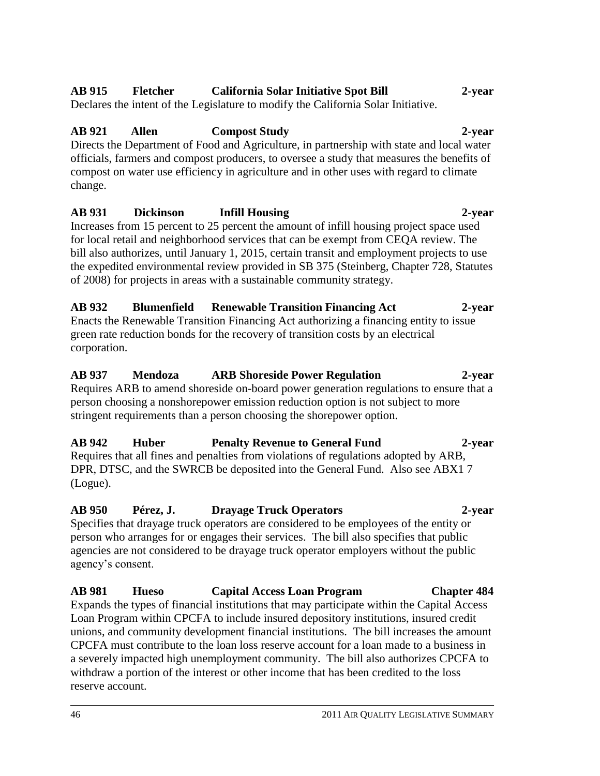#### 46 2011 AIR QUALITY LEGISLATIVE SUMMARY

# agency's consent. **AB 981 Hueso Capital Access Loan Program Chapter 484** Expands the types of financial institutions that may participate within the Capital Access Loan Program within CPCFA to include insured depository institutions, insured credit unions, and community development financial institutions. The bill increases the amount

CPCFA must contribute to the loan loss reserve account for a loan made to a business in a severely impacted high unemployment community. The bill also authorizes CPCFA to

withdraw a portion of the interest or other income that has been credited to the loss

**AB 950 Pérez, J. Drayage Truck Operators 2-year** Specifies that drayage truck operators are considered to be employees of the entity or person who arranges for or engages their services. The bill also specifies that public agencies are not considered to be drayage truck operator employers without the public

Requires that all fines and penalties from violations of regulations adopted by ARB, DPR, DTSC, and the SWRCB be deposited into the General Fund. Also see ABX1 7

**AB 937 Mendoza ARB Shoreside Power Regulation 2-year**  Requires ARB to amend shoreside on-board power generation regulations to ensure that a person choosing a nonshorepower emission reduction option is not subject to more stringent requirements than a person choosing the shorepower option.

# corporation.

Enacts the Renewable Transition Financing Act authorizing a financing entity to issue green rate reduction bonds for the recovery of transition costs by an electrical

of 2008) for projects in areas with a sustainable community strategy. **AB 932 Blumenfield Renewable Transition Financing Act 2-year**

the expedited environmental review provided in SB 375 (Steinberg, Chapter 728, Statutes

for local retail and neighborhood services that can be exempt from CEQA review. The bill also authorizes, until January 1, 2015, certain transit and employment projects to use

**AB 931 Dickinson Infill Housing 2-year**

Declares the intent of the Legislature to modify the California Solar Initiative.

**AB 921 Allen Compost Study 2-year** Directs the Department of Food and Agriculture, in partnership with state and local water officials, farmers and compost producers, to oversee a study that measures the benefits of compost on water use efficiency in agriculture and in other uses with regard to climate change.

# **AB 915 Fletcher California Solar Initiative Spot Bill 2-year**

reserve account.

(Logue).

# Increases from 15 percent to 25 percent the amount of infill housing project space used

**AB 942 Huber Penalty Revenue to General Fund 2-year**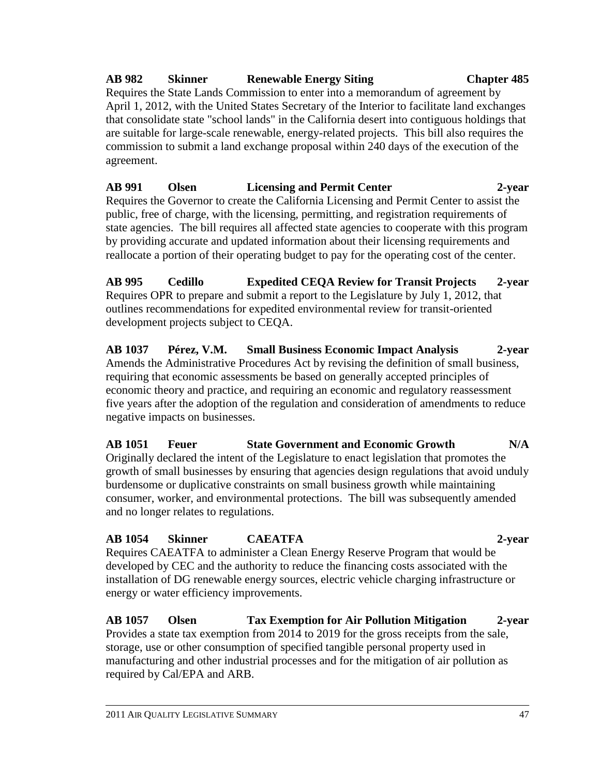# **AB 982 Skinner Renewable Energy Siting Chapter 485**

Requires the State Lands Commission to enter into a memorandum of agreement by April 1, 2012, with the United States Secretary of the Interior to facilitate land exchanges that consolidate state "school lands" in the California desert into contiguous holdings that are suitable for large-scale renewable, energy-related projects. This bill also requires the commission to submit a land exchange proposal within 240 days of the execution of the agreement.

**AB 991 Olsen Licensing and Permit Center 2-year** Requires the Governor to create the California Licensing and Permit Center to assist the public, free of charge, with the licensing, permitting, and registration requirements of state agencies. The bill requires all affected state agencies to cooperate with this program by providing accurate and updated information about their licensing requirements and reallocate a portion of their operating budget to pay for the operating cost of the center.

**AB 995 Cedillo Expedited CEQA Review for Transit Projects 2-year** Requires OPR to prepare and submit a report to the Legislature by July 1, 2012, that outlines recommendations for expedited environmental review for transit-oriented development projects subject to CEQA.

**AB 1037 Pérez, V.M. Small Business Economic Impact Analysis 2-year** Amends the Administrative Procedures Act by revising the definition of small business, requiring that economic assessments be based on generally accepted principles of economic theory and practice, and requiring an economic and regulatory reassessment five years after the adoption of the regulation and consideration of amendments to reduce negative impacts on businesses.

**AB 1051 Feuer State Government and Economic Growth N/A** Originally declared the intent of the Legislature to enact legislation that promotes the growth of small businesses by ensuring that agencies design regulations that avoid unduly burdensome or duplicative constraints on small business growth while maintaining consumer, worker, and environmental protections. The bill was subsequently amended and no longer relates to regulations.

**AB 1054 Skinner CAEATFA 2-year** Requires CAEATFA to administer a Clean Energy Reserve Program that would be developed by CEC and the authority to reduce the financing costs associated with the installation of DG renewable energy sources, electric vehicle charging infrastructure or energy or water efficiency improvements.

**AB 1057 Olsen Tax Exemption for Air Pollution Mitigation 2-year** Provides a state tax exemption from 2014 to 2019 for the gross receipts from the sale, storage, use or other consumption of specified tangible personal property used in manufacturing and other industrial processes and for the mitigation of air pollution as required by Cal/EPA and ARB.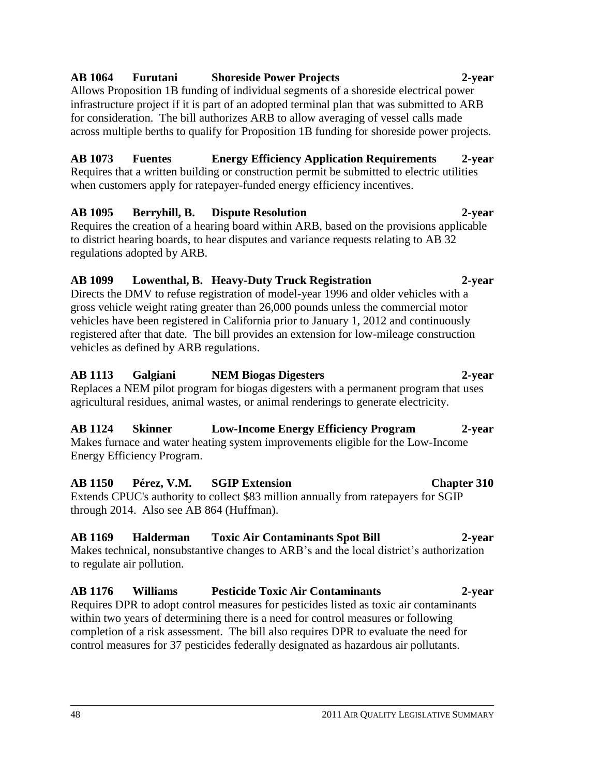# **AB 1064 Furutani Shoreside Power Projects 2-year**

Allows Proposition 1B funding of individual segments of a shoreside electrical power infrastructure project if it is part of an adopted terminal plan that was submitted to ARB for consideration. The bill authorizes ARB to allow averaging of vessel calls made across multiple berths to qualify for Proposition 1B funding for shoreside power projects.

### **AB 1073 Fuentes Energy Efficiency Application Requirements 2-year** Requires that a written building or construction permit be submitted to electric utilities when customers apply for ratepayer-funded energy efficiency incentives.

# **AB 1095 Berryhill, B. Dispute Resolution 2-year**

Requires the creation of a hearing board within ARB, based on the provisions applicable to district hearing boards, to hear disputes and variance requests relating to AB 32 regulations adopted by ARB.

# **AB 1099 Lowenthal, B. Heavy-Duty Truck Registration 2-year**

Directs the DMV to refuse registration of model-year 1996 and older vehicles with a gross vehicle weight rating greater than 26,000 pounds unless the commercial motor vehicles have been registered in California prior to January 1, 2012 and continuously registered after that date. The bill provides an extension for low-mileage construction vehicles as defined by ARB regulations.

# **AB 1113 Galgiani NEM Biogas Digesters 2-year**

Replaces a NEM pilot program for biogas digesters with a permanent program that uses agricultural residues, animal wastes, or animal renderings to generate electricity.

# **AB 1124 Skinner Low-Income Energy Efficiency Program 2-year**

Makes furnace and water heating system improvements eligible for the Low-Income Energy Efficiency Program.

# **AB 1150 Pérez, V.M. SGIP Extension Chapter 310** Extends CPUC's authority to collect \$83 million annually from ratepayers for SGIP through 2014. Also see AB 864 (Huffman).

# **AB 1169 Halderman Toxic Air Contaminants Spot Bill 2-year**

Makes technical, nonsubstantive changes to ARB's and the local district's authorization to regulate air pollution.

### **AB 1176 Williams Pesticide Toxic Air Contaminants 2-year** Requires DPR to adopt control measures for pesticides listed as toxic air contaminants within two years of determining there is a need for control measures or following completion of a risk assessment. The bill also requires DPR to evaluate the need for

control measures for 37 pesticides federally designated as hazardous air pollutants.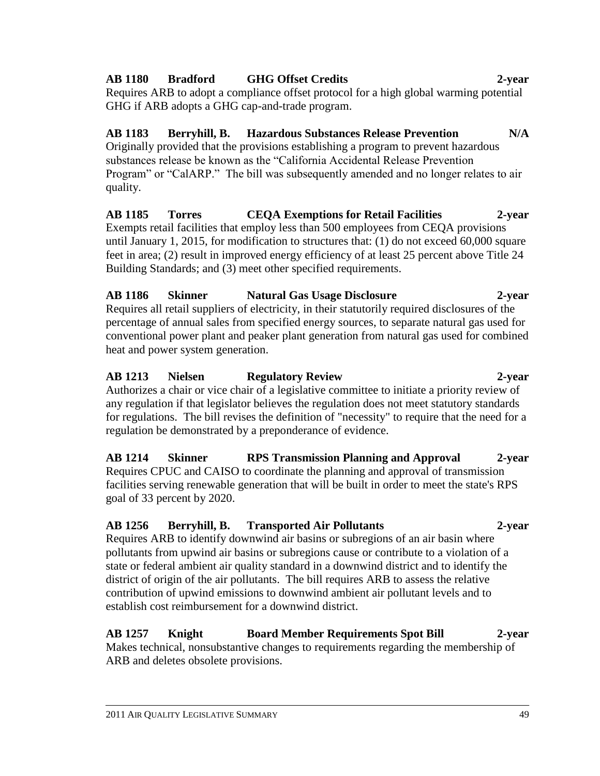### **AB 1180 Bradford GHG Offset Credits 2-year**

Requires ARB to adopt a compliance offset protocol for a high global warming potential GHG if ARB adopts a GHG cap-and-trade program.

# **AB 1183 Berryhill, B. Hazardous Substances Release Prevention N/A**

Originally provided that the provisions establishing a program to prevent hazardous substances release be known as the "California Accidental Release Prevention Program" or "CalARP." The bill was subsequently amended and no longer relates to air quality.

**AB 1185 Torres CEQA Exemptions for Retail Facilities 2-year** Exempts retail facilities that employ less than 500 employees from CEQA provisions until January 1, 2015, for modification to structures that: (1) do not exceed 60,000 square feet in area; (2) result in improved energy efficiency of at least 25 percent above Title 24 Building Standards; and (3) meet other specified requirements.

# **AB 1186 Skinner Natural Gas Usage Disclosure 2-year**

Requires all retail suppliers of electricity, in their statutorily required disclosures of the percentage of annual sales from specified energy sources, to separate natural gas used for conventional power plant and peaker plant generation from natural gas used for combined heat and power system generation.

# **AB 1213 Nielsen Regulatory Review 2-year**

Authorizes a chair or vice chair of a legislative committee to initiate a priority review of any regulation if that legislator believes the regulation does not meet statutory standards for regulations. The bill revises the definition of "necessity" to require that the need for a regulation be demonstrated by a preponderance of evidence.

**AB 1214 Skinner RPS Transmission Planning and Approval 2-year** Requires CPUC and CAISO to coordinate the planning and approval of transmission facilities serving renewable generation that will be built in order to meet the state's RPS goal of 33 percent by 2020.

# **AB 1256 Berryhill, B. Transported Air Pollutants 2-year**

Requires ARB to identify downwind air basins or subregions of an air basin where pollutants from upwind air basins or subregions cause or contribute to a violation of a state or federal ambient air quality standard in a downwind district and to identify the district of origin of the air pollutants. The bill requires ARB to assess the relative contribution of upwind emissions to downwind ambient air pollutant levels and to establish cost reimbursement for a downwind district.

# **AB 1257 Knight Board Member Requirements Spot Bill 2-year**

Makes technical, nonsubstantive changes to requirements regarding the membership of ARB and deletes obsolete provisions.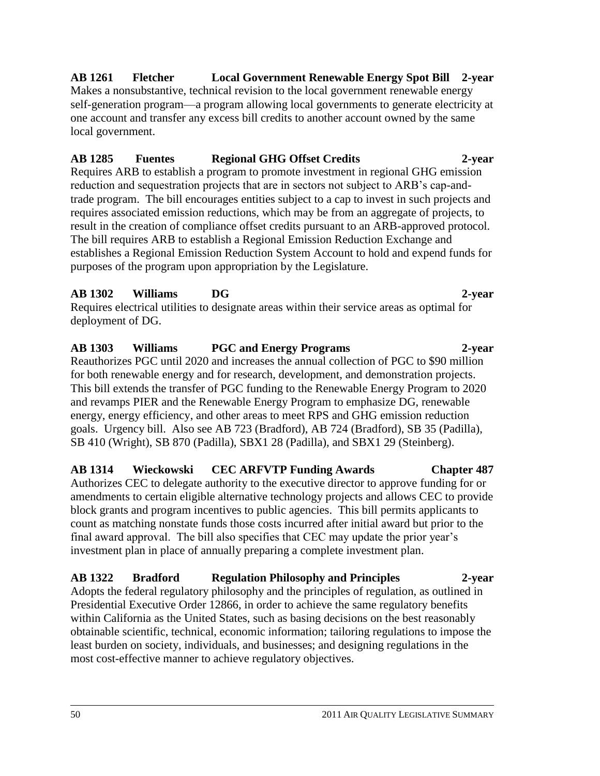### **AB 1261 Fletcher Local Government Renewable Energy Spot Bill 2-year** Makes a nonsubstantive, technical revision to the local government renewable energy self-generation program—a program allowing local governments to generate electricity at one account and transfer any excess bill credits to another account owned by the same

# **AB 1285 Fuentes Regional GHG Offset Credits 2-year**

Requires ARB to establish a program to promote investment in regional GHG emission reduction and sequestration projects that are in sectors not subject to ARB's cap-andtrade program. The bill encourages entities subject to a cap to invest in such projects and requires associated emission reductions, which may be from an aggregate of projects, to result in the creation of compliance offset credits pursuant to an ARB-approved protocol. The bill requires ARB to establish a Regional Emission Reduction Exchange and establishes a Regional Emission Reduction System Account to hold and expend funds for purposes of the program upon appropriation by the Legislature.

# **AB 1302 Williams DG 2-year**

local government.

Requires electrical utilities to designate areas within their service areas as optimal for deployment of DG.

# **AB 1303 Williams PGC and Energy Programs 2-year**

Reauthorizes PGC until 2020 and increases the annual collection of PGC to \$90 million for both renewable energy and for research, development, and demonstration projects. This bill extends the transfer of PGC funding to the Renewable Energy Program to 2020 and revamps PIER and the Renewable Energy Program to emphasize DG, renewable energy, energy efficiency, and other areas to meet RPS and GHG emission reduction goals. Urgency bill. Also see AB 723 (Bradford), AB 724 (Bradford), SB 35 (Padilla), SB 410 (Wright), SB 870 (Padilla), SBX1 28 (Padilla), and SBX1 29 (Steinberg).

**AB 1314 Wieckowski CEC ARFVTP Funding Awards Chapter 487** Authorizes CEC to delegate authority to the executive director to approve funding for or amendments to certain eligible alternative technology projects and allows CEC to provide block grants and program incentives to public agencies. This bill permits applicants to count as matching nonstate funds those costs incurred after initial award but prior to the final award approval. The bill also specifies that CEC may update the prior year's investment plan in place of annually preparing a complete investment plan.

# **AB 1322 Bradford Regulation Philosophy and Principles 2-year**

Adopts the federal regulatory philosophy and the principles of regulation, as outlined in Presidential Executive Order 12866, in order to achieve the same regulatory benefits within California as the United States, such as basing decisions on the best reasonably obtainable scientific, technical, economic information; tailoring regulations to impose the least burden on society, individuals, and businesses; and designing regulations in the most cost-effective manner to achieve regulatory objectives.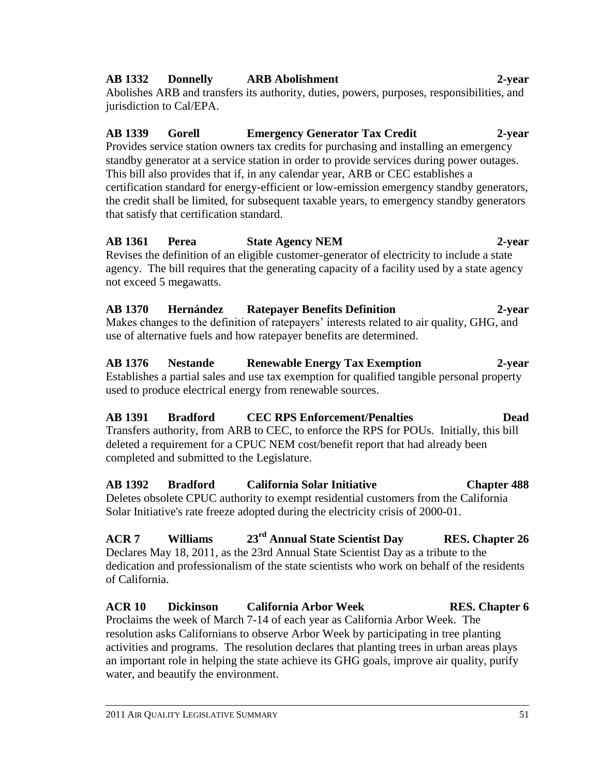### **AB 1332 Donnelly ARB Abolishment 2-year**

Abolishes ARB and transfers its authority, duties, powers, purposes, responsibilities, and jurisdiction to Cal/EPA.

# **AB 1339 Gorell Emergency Generator Tax Credit 2-year**

Provides service station owners tax credits for purchasing and installing an emergency standby generator at a service station in order to provide services during power outages. This bill also provides that if, in any calendar year, ARB or CEC establishes a certification standard for energy-efficient or low-emission emergency standby generators, the credit shall be limited, for subsequent taxable years, to emergency standby generators that satisfy that certification standard.

**AB 1361 Perea State Agency NEM 2-year** Revises the definition of an eligible customer-generator of electricity to include a state agency. The bill requires that the generating capacity of a facility used by a state agency not exceed 5 megawatts.

**AB 1370 Hernández Ratepayer Benefits Definition 2-year** Makes changes to the definition of ratepayers' interests related to air quality, GHG, and use of alternative fuels and how ratepayer benefits are determined.

**AB 1376 Nestande Renewable Energy Tax Exemption 2-year** Establishes a partial sales and use tax exemption for qualified tangible personal property used to produce electrical energy from renewable sources.

**AB 1391 Bradford CEC RPS Enforcement/Penalties Dead** Transfers authority, from ARB to CEC, to enforce the RPS for POUs. Initially, this bill deleted a requirement for a CPUC NEM cost/benefit report that had already been completed and submitted to the Legislature.

**AB 1392 Bradford California Solar Initiative Chapter 488** Deletes obsolete CPUC authority to exempt residential customers from the California Solar Initiative's rate freeze adopted during the electricity crisis of 2000-01.

**ACR 7 Williams 23rd Annual State Scientist Day RES. Chapter 26** Declares May 18, 2011, as the 23rd Annual State Scientist Day as a tribute to the dedication and professionalism of the state scientists who work on behalf of the residents of California.

**ACR 10 Dickinson California Arbor Week RES. Chapter 6** Proclaims the week of March 7-14 of each year as California Arbor Week. The resolution asks Californians to observe Arbor Week by participating in tree planting activities and programs. The resolution declares that planting trees in urban areas plays an important role in helping the state achieve its GHG goals, improve air quality, purify water, and beautify the environment.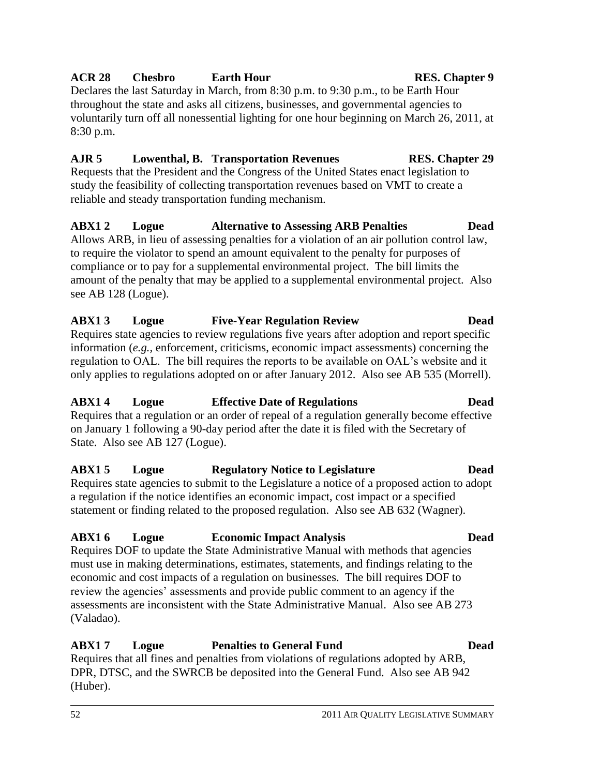#### 52 2011 AIR QUALITY LEGISLATIVE SUMMARY

# **ACR 28 Chesbro Earth Hour RES. Chapter 9**

Declares the last Saturday in March, from 8:30 p.m. to 9:30 p.m., to be Earth Hour throughout the state and asks all citizens, businesses, and governmental agencies to voluntarily turn off all nonessential lighting for one hour beginning on March 26, 2011, at 8:30 p.m.

# **AJR 5 Lowenthal, B. Transportation Revenues RES. Chapter 29**

Requests that the President and the Congress of the United States enact legislation to study the feasibility of collecting transportation revenues based on VMT to create a reliable and steady transportation funding mechanism.

# **ABX1 2 Logue Alternative to Assessing ARB Penalties Dead** Allows ARB, in lieu of assessing penalties for a violation of an air pollution control law, to require the violator to spend an amount equivalent to the penalty for purposes of

compliance or to pay for a supplemental environmental project. The bill limits the amount of the penalty that may be applied to a supplemental environmental project. Also see AB 128 (Logue).

#### **ABX1 3 Logue Five-Year Regulation Review Dead** Requires state agencies to review regulations five years after adoption and report specific information (*e.g.,* enforcement, criticisms, economic impact assessments) concerning the regulation to OAL. The bill requires the reports to be available on OAL's website and it only applies to regulations adopted on or after January 2012. Also see AB 535 (Morrell).

# **ABX1 4 Logue Effective Date of Regulations Dead**

Requires that a regulation or an order of repeal of a regulation generally become effective on January 1 following a 90-day period after the date it is filed with the Secretary of State. Also see AB 127 (Logue).

# **ABX1 5 Logue Regulatory Notice to Legislature Dead**

Requires state agencies to submit to the Legislature a notice of a proposed action to adopt a regulation if the notice identifies an economic impact, cost impact or a specified statement or finding related to the proposed regulation. Also see AB 632 (Wagner).

# **ABX1 6 Logue Economic Impact Analysis Dead**

Requires DOF to update the State Administrative Manual with methods that agencies must use in making determinations, estimates, statements, and findings relating to the economic and cost impacts of a regulation on businesses. The bill requires DOF to review the agencies' assessments and provide public comment to an agency if the assessments are inconsistent with the State Administrative Manual. Also see AB 273 (Valadao).

# **ABX1 7 Logue Penalties to General Fund Dead**

Requires that all fines and penalties from violations of regulations adopted by ARB, DPR, DTSC, and the SWRCB be deposited into the General Fund. Also see AB 942 (Huber).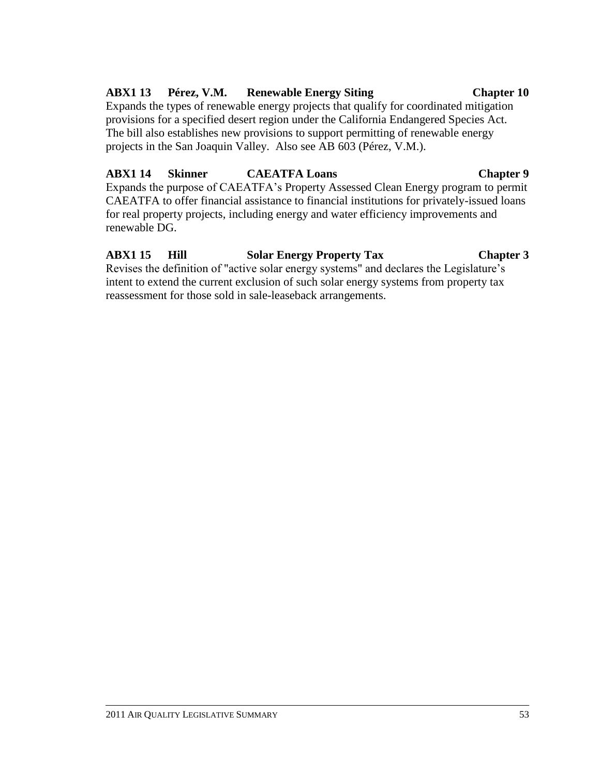#### for real property projects, including energy and water efficiency improvements and renewable DG.

# **ABX1 15 Hill Solar Energy Property Tax Chapter 3**

Expands the purpose of CAEATFA's Property Assessed Clean Energy program to permit

Revises the definition of "active solar energy systems" and declares the Legislature's intent to extend the current exclusion of such solar energy systems from property tax reassessment for those sold in sale-leaseback arrangements.

provisions for a specified desert region under the California Endangered Species Act. The bill also establishes new provisions to support permitting of renewable energy

projects in the San Joaquin Valley. Also see AB 603 (Pérez, V.M.).

## **ABX1 14 Skinner CAEATFA Loans Chapter 9**

#### **ABX1 13 Pérez, V.M. Renewable Energy Siting Chapter 10** Expands the types of renewable energy projects that qualify for coordinated mitigation

CAEATFA to offer financial assistance to financial institutions for privately-issued loans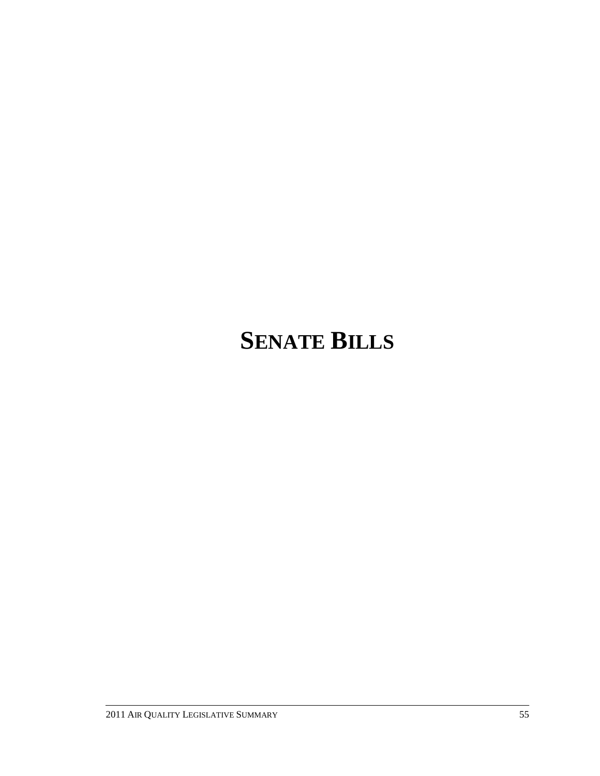# **SENATE BILLS**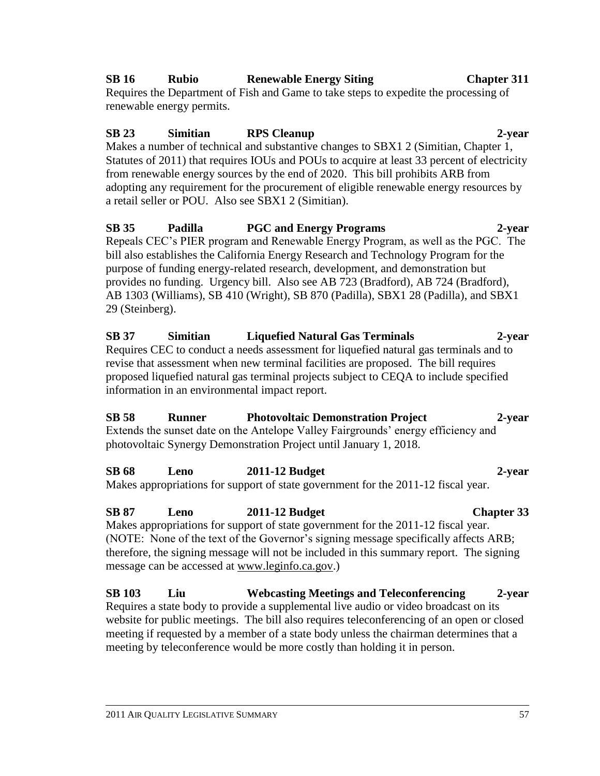# **SB 16 Rubio Renewable Energy Siting Chapter 311**

Requires the Department of Fish and Game to take steps to expedite the processing of renewable energy permits.

# **SB 23 Simitian RPS Cleanup 2-year**

Makes a number of technical and substantive changes to SBX1 2 (Simitian, Chapter 1, Statutes of 2011) that requires IOUs and POUs to acquire at least 33 percent of electricity from renewable energy sources by the end of 2020. This bill prohibits ARB from adopting any requirement for the procurement of eligible renewable energy resources by a retail seller or POU. Also see SBX1 2 (Simitian).

**SB 35 Padilla PGC and Energy Programs 2-year** Repeals CEC's PIER program and Renewable Energy Program, as well as the PGC. The bill also establishes the California Energy Research and Technology Program for the purpose of funding energy-related research, development, and demonstration but provides no funding. Urgency bill. Also see AB 723 (Bradford), AB 724 (Bradford), AB 1303 (Williams), SB 410 (Wright), SB 870 (Padilla), SBX1 28 (Padilla), and SBX1 29 (Steinberg).

**SB 37 Simitian Liquefied Natural Gas Terminals 2-year** Requires CEC to conduct a needs assessment for liquefied natural gas terminals and to revise that assessment when new terminal facilities are proposed. The bill requires proposed liquefied natural gas terminal projects subject to CEQA to include specified information in an environmental impact report.

**SB 58 Runner Photovoltaic Demonstration Project 2-year** Extends the sunset date on the Antelope Valley Fairgrounds' energy efficiency and photovoltaic Synergy Demonstration Project until January 1, 2018.

**SB 68 Leno 2011-12 Budget 2-year** Makes appropriations for support of state government for the 2011-12 fiscal year.

**SB 87 Leno 2011-12 Budget Chapter 33** Makes appropriations for support of state government for the 2011-12 fiscal year. (NOTE: None of the text of the Governor's signing message specifically affects ARB; therefore, the signing message will not be included in this summary report. The signing message can be accessed at www.leginfo.ca.gov.)

**SB 103 Liu Webcasting Meetings and Teleconferencing 2-year** Requires a state body to provide a supplemental live audio or video broadcast on its website for public meetings. The bill also requires teleconferencing of an open or closed meeting if requested by a member of a state body unless the chairman determines that a meeting by teleconference would be more costly than holding it in person.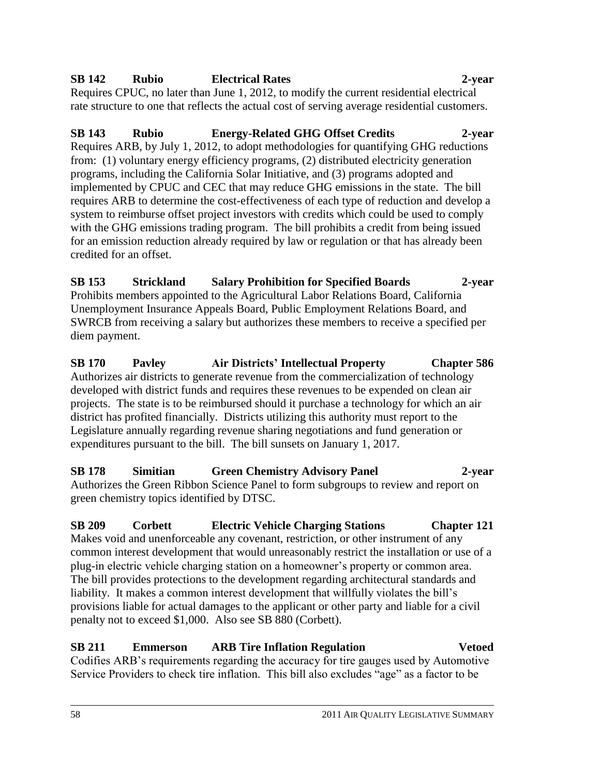# **SB 142 Rubio Electrical Rates 2-year**

Requires CPUC, no later than June 1, 2012, to modify the current residential electrical rate structure to one that reflects the actual cost of serving average residential customers.

# **SB 143 Rubio Energy-Related GHG Offset Credits 2-year**

Requires ARB, by July 1, 2012, to adopt methodologies for quantifying GHG reductions from: (1) voluntary energy efficiency programs, (2) distributed electricity generation programs, including the California Solar Initiative, and (3) programs adopted and implemented by CPUC and CEC that may reduce GHG emissions in the state. The bill requires ARB to determine the cost-effectiveness of each type of reduction and develop a system to reimburse offset project investors with credits which could be used to comply with the GHG emissions trading program. The bill prohibits a credit from being issued for an emission reduction already required by law or regulation or that has already been credited for an offset.

**SB 153 Strickland Salary Prohibition for Specified Boards 2-year** Prohibits members appointed to the Agricultural Labor Relations Board, California Unemployment Insurance Appeals Board, Public Employment Relations Board, and SWRCB from receiving a salary but authorizes these members to receive a specified per diem payment.

**SB 170 Pavley Air Districts' Intellectual Property Chapter 586** Authorizes air districts to generate revenue from the commercialization of technology developed with district funds and requires these revenues to be expended on clean air projects. The state is to be reimbursed should it purchase a technology for which an air district has profited financially. Districts utilizing this authority must report to the Legislature annually regarding revenue sharing negotiations and fund generation or expenditures pursuant to the bill. The bill sunsets on January 1, 2017.

**SB 178 Simitian Green Chemistry Advisory Panel 2-year** Authorizes the Green Ribbon Science Panel to form subgroups to review and report on green chemistry topics identified by DTSC.

**SB 209 Corbett Electric Vehicle Charging Stations Chapter 121** Makes void and unenforceable any covenant, restriction, or other instrument of any common interest development that would unreasonably restrict the installation or use of a plug-in electric vehicle charging station on a homeowner's property or common area. The bill provides protections to the development regarding architectural standards and liability. It makes a common interest development that willfully violates the bill's provisions liable for actual damages to the applicant or other party and liable for a civil penalty not to exceed \$1,000. Also see SB 880 (Corbett).

**SB 211 Emmerson ARB Tire Inflation Regulation Vetoed** Codifies ARB's requirements regarding the accuracy for tire gauges used by Automotive Service Providers to check tire inflation. This bill also excludes "age" as a factor to be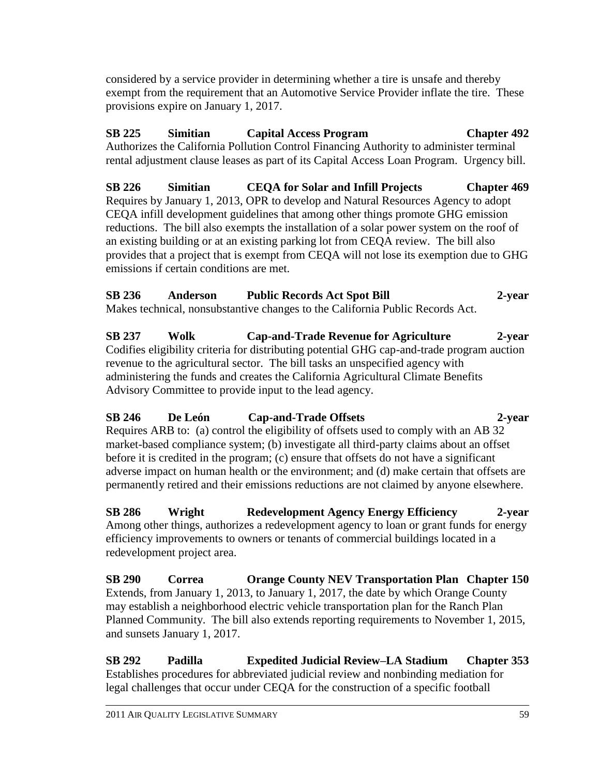considered by a service provider in determining whether a tire is unsafe and thereby exempt from the requirement that an Automotive Service Provider inflate the tire. These provisions expire on January 1, 2017.

# **SB 225 Simitian Capital Access Program Chapter 492**

Authorizes the California Pollution Control Financing Authority to administer terminal rental adjustment clause leases as part of its Capital Access Loan Program. Urgency bill.

**SB 226 Simitian CEQA for Solar and Infill Projects Chapter 469** Requires by January 1, 2013, OPR to develop and Natural Resources Agency to adopt CEQA infill development guidelines that among other things promote GHG emission reductions. The bill also exempts the installation of a solar power system on the roof of an existing building or at an existing parking lot from CEQA review. The bill also provides that a project that is exempt from CEQA will not lose its exemption due to GHG emissions if certain conditions are met.

# **SB 236 Anderson Public Records Act Spot Bill 2-year**

Makes technical, nonsubstantive changes to the California Public Records Act.

**SB 237 Wolk Cap-and-Trade Revenue for Agriculture 2-year** Codifies eligibility criteria for distributing potential GHG cap-and-trade program auction revenue to the agricultural sector. The bill tasks an unspecified agency with administering the funds and creates the California Agricultural Climate Benefits Advisory Committee to provide input to the lead agency.

### **SB 246 De León Cap-and-Trade Offsets 2-year**  Requires ARB to: (a) control the eligibility of offsets used to comply with an AB 32 market-based compliance system; (b) investigate all third-party claims about an offset before it is credited in the program; (c) ensure that offsets do not have a significant adverse impact on human health or the environment; and (d) make certain that offsets are permanently retired and their emissions reductions are not claimed by anyone elsewhere.

**SB 286 Wright Redevelopment Agency Energy Efficiency 2-year** Among other things, authorizes a redevelopment agency to loan or grant funds for energy efficiency improvements to owners or tenants of commercial buildings located in a redevelopment project area.

**SB 290 Correa Orange County NEV Transportation Plan Chapter 150** Extends, from January 1, 2013, to January 1, 2017, the date by which Orange County may establish a neighborhood electric vehicle transportation plan for the Ranch Plan Planned Community. The bill also extends reporting requirements to November 1, 2015, and sunsets January 1, 2017.

**SB 292 Padilla Expedited Judicial Review–LA Stadium Chapter 353** Establishes procedures for abbreviated judicial review and nonbinding mediation for legal challenges that occur under CEQA for the construction of a specific football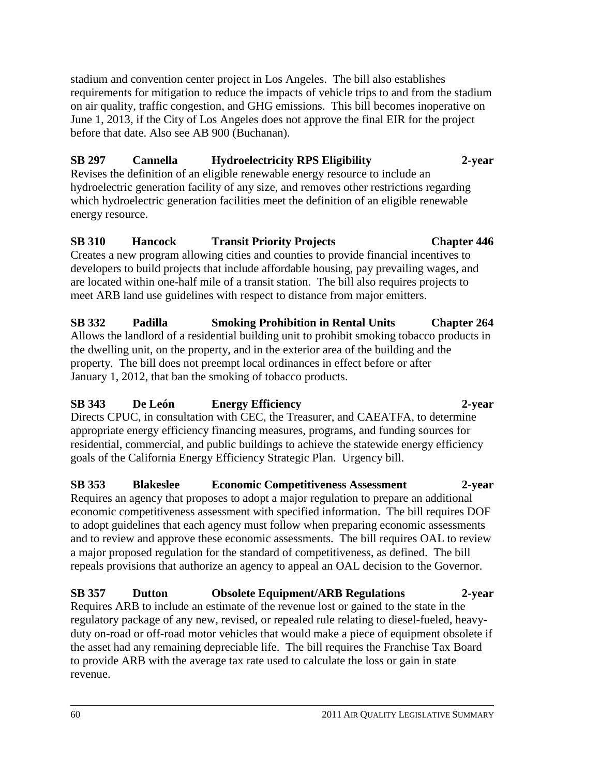stadium and convention center project in Los Angeles. The bill also establishes requirements for mitigation to reduce the impacts of vehicle trips to and from the stadium on air quality, traffic congestion, and GHG emissions. This bill becomes inoperative on June 1, 2013, if the City of Los Angeles does not approve the final EIR for the project before that date. Also see AB 900 (Buchanan).

## **SB 297 Cannella Hydroelectricity RPS Eligibility 2-year**

Revises the definition of an eligible renewable energy resource to include an hydroelectric generation facility of any size, and removes other restrictions regarding which hydroelectric generation facilities meet the definition of an eligible renewable energy resource.

### **SB 310 Hancock Transit Priority Projects Chapter 446** Creates a new program allowing cities and counties to provide financial incentives to developers to build projects that include affordable housing, pay prevailing wages, and

are located within one-half mile of a transit station. The bill also requires projects to meet ARB land use guidelines with respect to distance from major emitters. **SB 332 Padilla Smoking Prohibition in Rental Units Chapter 264**

Allows the landlord of a residential building unit to prohibit smoking tobacco products in the dwelling unit, on the property, and in the exterior area of the building and the property. The bill does not preempt local ordinances in effect before or after January 1, 2012, that ban the smoking of tobacco products.

# **SB 343 De León Energy Efficiency 2-year**

Directs CPUC, in consultation with CEC, the Treasurer, and CAEATFA, to determine appropriate energy efficiency financing measures, programs, and funding sources for residential, commercial, and public buildings to achieve the statewide energy efficiency goals of the California Energy Efficiency Strategic Plan. Urgency bill.

# **SB 353 Blakeslee Economic Competitiveness Assessment 2-year**

Requires an agency that proposes to adopt a major regulation to prepare an additional economic competitiveness assessment with specified information. The bill requires DOF to adopt guidelines that each agency must follow when preparing economic assessments and to review and approve these economic assessments. The bill requires OAL to review a major proposed regulation for the standard of competitiveness, as defined. The bill repeals provisions that authorize an agency to appeal an OAL decision to the Governor.

# **SB 357 Dutton Obsolete Equipment/ARB Regulations 2-year**

Requires ARB to include an estimate of the revenue lost or gained to the state in the regulatory package of any new, revised, or repealed rule relating to diesel-fueled, heavyduty on-road or off-road motor vehicles that would make a piece of equipment obsolete if the asset had any remaining depreciable life. The bill requires the Franchise Tax Board to provide ARB with the average tax rate used to calculate the loss or gain in state revenue.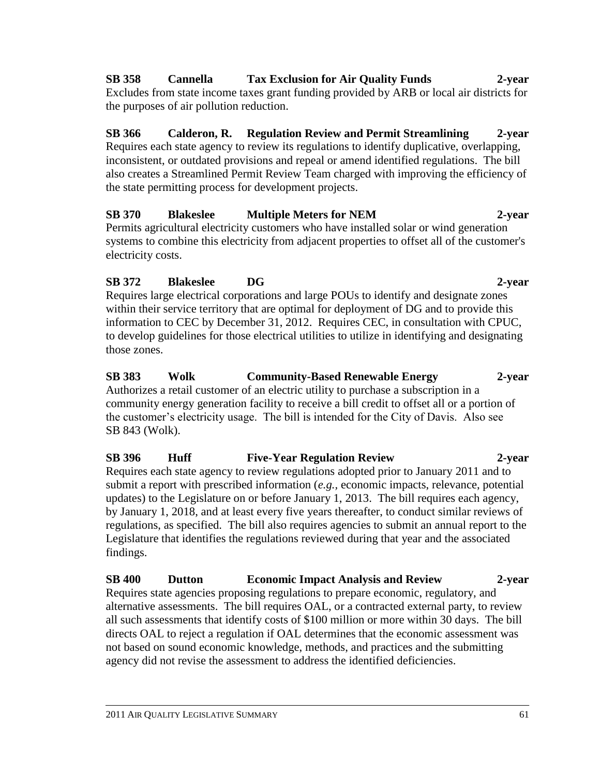**SB 358 Cannella Tax Exclusion for Air Quality Funds 2-year** Excludes from state income taxes grant funding provided by ARB or local air districts for the purposes of air pollution reduction.

**SB 366 Calderon, R. Regulation Review and Permit Streamlining 2-year** Requires each state agency to review its regulations to identify duplicative, overlapping, inconsistent, or outdated provisions and repeal or amend identified regulations. The bill also creates a Streamlined Permit Review Team charged with improving the efficiency of the state permitting process for development projects.

# **SB 370 Blakeslee Multiple Meters for NEM 2-year** Permits agricultural electricity customers who have installed solar or wind generation

systems to combine this electricity from adjacent properties to offset all of the customer's electricity costs.

# **SB 372 Blakeslee DG 2-year**

Requires large electrical corporations and large POUs to identify and designate zones within their service territory that are optimal for deployment of DG and to provide this information to CEC by December 31, 2012. Requires CEC, in consultation with CPUC, to develop guidelines for those electrical utilities to utilize in identifying and designating those zones.

**SB 383 Wolk Community-Based Renewable Energy 2-year** Authorizes a retail customer of an electric utility to purchase a subscription in a community energy generation facility to receive a bill credit to offset all or a portion of the customer's electricity usage. The bill is intended for the City of Davis. Also see SB 843 (Wolk).

# **SB 396 Huff Five-Year Regulation Review 2-year**

Requires each state agency to review regulations adopted prior to January 2011 and to submit a report with prescribed information (*e.g.,* economic impacts, relevance, potential updates) to the Legislature on or before January 1, 2013. The bill requires each agency, by January 1, 2018, and at least every five years thereafter, to conduct similar reviews of regulations, as specified. The bill also requires agencies to submit an annual report to the Legislature that identifies the regulations reviewed during that year and the associated findings.

**SB 400 Dutton Economic Impact Analysis and Review 2-year** Requires state agencies proposing regulations to prepare economic, regulatory, and alternative assessments. The bill requires OAL, or a contracted external party, to review all such assessments that identify costs of \$100 million or more within 30 days. The bill directs OAL to reject a regulation if OAL determines that the economic assessment was not based on sound economic knowledge, methods, and practices and the submitting agency did not revise the assessment to address the identified deficiencies.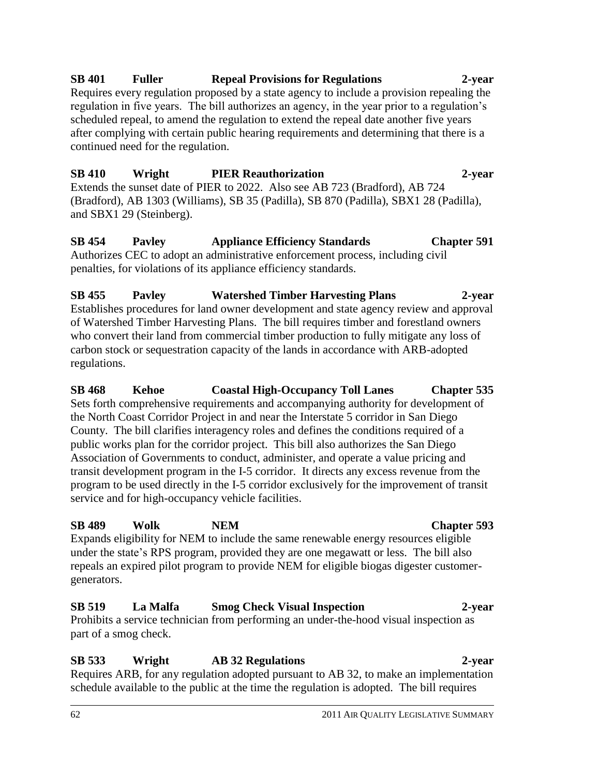# **SB 401 Fuller Repeal Provisions for Regulations 2-year**

Requires every regulation proposed by a state agency to include a provision repealing the regulation in five years. The bill authorizes an agency, in the year prior to a regulation's scheduled repeal, to amend the regulation to extend the repeal date another five years after complying with certain public hearing requirements and determining that there is a continued need for the regulation.

# **SB 410 Wright PIER Reauthorization 2-year**

Extends the sunset date of PIER to 2022. Also see AB 723 (Bradford), AB 724 (Bradford), AB 1303 (Williams), SB 35 (Padilla), SB 870 (Padilla), SBX1 28 (Padilla), and SBX1 29 (Steinberg).

#### **SB 454 Pavley Appliance Efficiency Standards Chapter 591** Authorizes CEC to adopt an administrative enforcement process, including civil penalties, for violations of its appliance efficiency standards.

# **SB 455 Pavley Watershed Timber Harvesting Plans 2-year**

Establishes procedures for land owner development and state agency review and approval of Watershed Timber Harvesting Plans. The bill requires timber and forestland owners who convert their land from commercial timber production to fully mitigate any loss of carbon stock or sequestration capacity of the lands in accordance with ARB-adopted regulations.

# **SB 468 Kehoe Coastal High-Occupancy Toll Lanes Chapter 535**

Sets forth comprehensive requirements and accompanying authority for development of the North Coast Corridor Project in and near the Interstate 5 corridor in San Diego County. The bill clarifies interagency roles and defines the conditions required of a public works plan for the corridor project. This bill also authorizes the San Diego Association of Governments to conduct, administer, and operate a value pricing and transit development program in the I-5 corridor. It directs any excess revenue from the program to be used directly in the I-5 corridor exclusively for the improvement of transit service and for high-occupancy vehicle facilities.

# **SB 489 Wolk NEM Chapter 593**

Expands eligibility for NEM to include the same renewable energy resources eligible under the state's RPS program, provided they are one megawatt or less. The bill also repeals an expired pilot program to provide NEM for eligible biogas digester customergenerators.

# **SB 519 La Malfa Smog Check Visual Inspection 2-year**

Prohibits a service technician from performing an under-the-hood visual inspection as part of a smog check.

#### **SB 533 Wright AB 32 Regulations 2-year**  Requires ARB, for any regulation adopted pursuant to AB 32, to make an implementation schedule available to the public at the time the regulation is adopted. The bill requires

#### 62 2011 AIR QUALITY LEGISLATIVE SUMMARY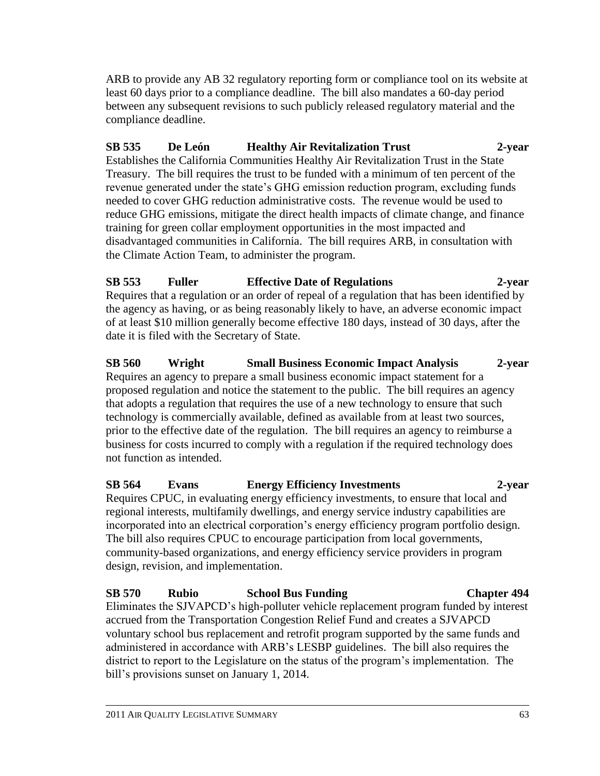ARB to provide any AB 32 regulatory reporting form or compliance tool on its website at least 60 days prior to a compliance deadline. The bill also mandates a 60-day period between any subsequent revisions to such publicly released regulatory material and the compliance deadline.

# **SB 535 De León Healthy Air Revitalization Trust 2-year**

Establishes the California Communities Healthy Air Revitalization Trust in the State Treasury. The bill requires the trust to be funded with a minimum of ten percent of the revenue generated under the state's GHG emission reduction program, excluding funds needed to cover GHG reduction administrative costs. The revenue would be used to reduce GHG emissions, mitigate the direct health impacts of climate change, and finance training for green collar employment opportunities in the most impacted and disadvantaged communities in California. The bill requires ARB, in consultation with the Climate Action Team, to administer the program.

# **SB 553 Fuller Effective Date of Regulations 2-year**

Requires that a regulation or an order of repeal of a regulation that has been identified by the agency as having, or as being reasonably likely to have, an adverse economic impact of at least \$10 million generally become effective 180 days, instead of 30 days, after the date it is filed with the Secretary of State.

### **SB 560 Wright Small Business Economic Impact Analysis 2-year** Requires an agency to prepare a small business economic impact statement for a proposed regulation and notice the statement to the public. The bill requires an agency that adopts a regulation that requires the use of a new technology to ensure that such technology is commercially available, defined as available from at least two sources, prior to the effective date of the regulation. The bill requires an agency to reimburse a business for costs incurred to comply with a regulation if the required technology does not function as intended.

### **SB 564 Evans Energy Efficiency Investments 2-year** Requires CPUC, in evaluating energy efficiency investments, to ensure that local and regional interests, multifamily dwellings, and energy service industry capabilities are incorporated into an electrical corporation's energy efficiency program portfolio design. The bill also requires CPUC to encourage participation from local governments, community-based organizations, and energy efficiency service providers in program design, revision, and implementation.

# **SB 570 Rubio School Bus Funding Chapter 494**

Eliminates the SJVAPCD's high-polluter vehicle replacement program funded by interest accrued from the Transportation Congestion Relief Fund and creates a SJVAPCD voluntary school bus replacement and retrofit program supported by the same funds and administered in accordance with ARB's LESBP guidelines. The bill also requires the district to report to the Legislature on the status of the program's implementation. The bill's provisions sunset on January 1, 2014.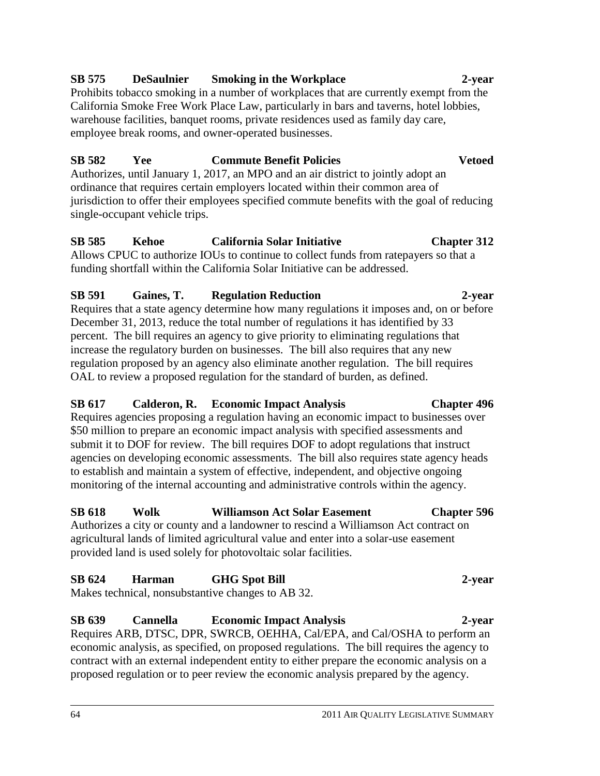# **SB 575 DeSaulnier Smoking in the Workplace 2-year**

Prohibits tobacco smoking in a number of workplaces that are currently exempt from the California Smoke Free Work Place Law, particularly in bars and taverns, hotel lobbies, warehouse facilities, banquet rooms, private residences used as family day care, employee break rooms, and owner-operated businesses.

# **SB 582 Yee Commute Benefit Policies Vetoed**

Authorizes, until January 1, 2017, an MPO and an air district to jointly adopt an ordinance that requires certain employers located within their common area of jurisdiction to offer their employees specified commute benefits with the goal of reducing single-occupant vehicle trips.

# **SB 585 Kehoe California Solar Initiative Chapter 312**

Allows CPUC to authorize IOUs to continue to collect funds from ratepayers so that a funding shortfall within the California Solar Initiative can be addressed.

# **SB 591 Gaines, T. Regulation Reduction 2-year**

Requires that a state agency determine how many regulations it imposes and, on or before December 31, 2013, reduce the total number of regulations it has identified by 33 percent. The bill requires an agency to give priority to eliminating regulations that increase the regulatory burden on businesses. The bill also requires that any new regulation proposed by an agency also eliminate another regulation. The bill requires OAL to review a proposed regulation for the standard of burden, as defined.

# **SB 617 Calderon, R. Economic Impact Analysis Chapter 496**

Requires agencies proposing a regulation having an economic impact to businesses over \$50 million to prepare an economic impact analysis with specified assessments and submit it to DOF for review. The bill requires DOF to adopt regulations that instruct agencies on developing economic assessments. The bill also requires state agency heads to establish and maintain a system of effective, independent, and objective ongoing monitoring of the internal accounting and administrative controls within the agency.

# **SB 618 Wolk Williamson Act Solar Easement Chapter 596**

Authorizes a city or county and a landowner to rescind a Williamson Act contract on agricultural lands of limited agricultural value and enter into a solar-use easement provided land is used solely for photovoltaic solar facilities.

# **SB 624 Harman GHG Spot Bill 2-year**

Makes technical, nonsubstantive changes to AB 32.

**SB 639 Cannella Economic Impact Analysis 2-year** Requires ARB, DTSC, DPR, SWRCB, OEHHA, Cal/EPA, and Cal/OSHA to perform an economic analysis, as specified, on proposed regulations. The bill requires the agency to contract with an external independent entity to either prepare the economic analysis on a proposed regulation or to peer review the economic analysis prepared by the agency.

# 64 2011 AIR QUALITY LEGISLATIVE SUMMARY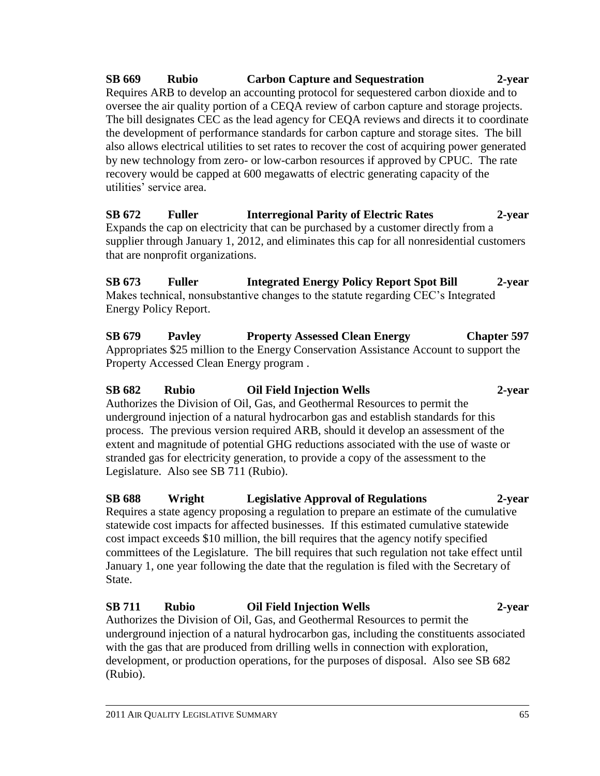**SB 669 Rubio Carbon Capture and Sequestration 2-year** Requires ARB to develop an accounting protocol for sequestered carbon dioxide and to oversee the air quality portion of a CEQA review of carbon capture and storage projects. The bill designates CEC as the lead agency for CEQA reviews and directs it to coordinate the development of performance standards for carbon capture and storage sites. The bill also allows electrical utilities to set rates to recover the cost of acquiring power generated by new technology from zero- or low-carbon resources if approved by CPUC. The rate recovery would be capped at 600 megawatts of electric generating capacity of the utilities' service area.

**SB 672 Fuller Interregional Parity of Electric Rates 2-year** Expands the cap on electricity that can be purchased by a customer directly from a supplier through January 1, 2012, and eliminates this cap for all nonresidential customers that are nonprofit organizations.

**SB 673 Fuller Integrated Energy Policy Report Spot Bill 2-year** Makes technical, nonsubstantive changes to the statute regarding CEC's Integrated Energy Policy Report.

**SB 679 Pavley Property Assessed Clean Energy Chapter 597** Appropriates \$25 million to the Energy Conservation Assistance Account to support the Property Accessed Clean Energy program .

# **SB 682 Rubio Oil Field Injection Wells 2-year**

Authorizes the Division of Oil, Gas, and Geothermal Resources to permit the underground injection of a natural hydrocarbon gas and establish standards for this process. The previous version required ARB, should it develop an assessment of the extent and magnitude of potential GHG reductions associated with the use of waste or stranded gas for electricity generation, to provide a copy of the assessment to the Legislature. Also see SB 711 (Rubio).

**SB 688 Wright Legislative Approval of Regulations 2-year** Requires a state agency proposing a regulation to prepare an estimate of the cumulative statewide cost impacts for affected businesses. If this estimated cumulative statewide cost impact exceeds \$10 million, the bill requires that the agency notify specified committees of the Legislature. The bill requires that such regulation not take effect until January 1, one year following the date that the regulation is filed with the Secretary of State.

# **SB 711 Rubio Oil Field Injection Wells 2-year**

Authorizes the Division of Oil, Gas, and Geothermal Resources to permit the underground injection of a natural hydrocarbon gas, including the constituents associated with the gas that are produced from drilling wells in connection with exploration, development, or production operations, for the purposes of disposal. Also see SB 682 (Rubio).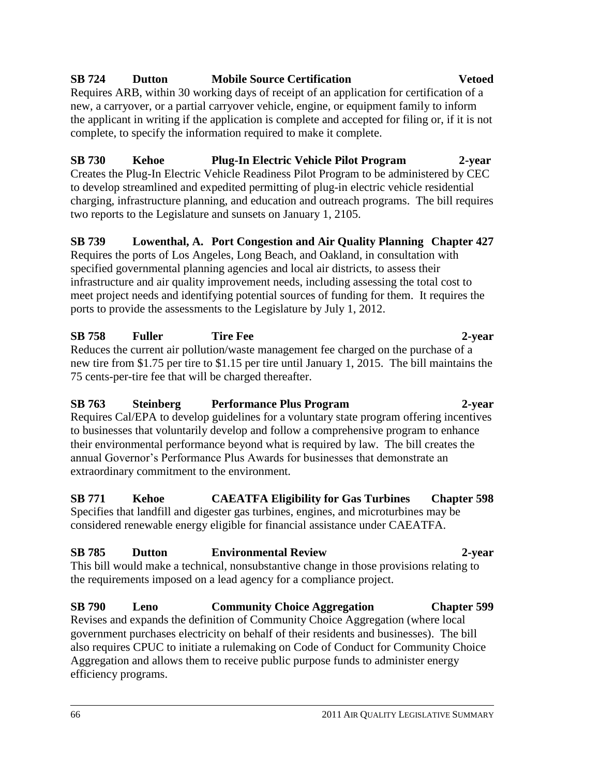# **SB 724 Dutton Mobile Source Certification Vetoed**

Requires ARB, within 30 working days of receipt of an application for certification of a new, a carryover, or a partial carryover vehicle, engine, or equipment family to inform the applicant in writing if the application is complete and accepted for filing or, if it is not complete, to specify the information required to make it complete.

**SB 730 Kehoe Plug-In Electric Vehicle Pilot Program 2-year** Creates the Plug-In Electric Vehicle Readiness Pilot Program to be administered by CEC to develop streamlined and expedited permitting of plug-in electric vehicle residential charging, infrastructure planning, and education and outreach programs. The bill requires two reports to the Legislature and sunsets on January 1, 2105.

### **SB 739 Lowenthal, A. Port Congestion and Air Quality Planning Chapter 427**

Requires the ports of Los Angeles, Long Beach, and Oakland, in consultation with specified governmental planning agencies and local air districts, to assess their infrastructure and air quality improvement needs, including assessing the total cost to meet project needs and identifying potential sources of funding for them. It requires the ports to provide the assessments to the Legislature by July 1, 2012.

# **SB 758 Fuller Tire Fee 2-year**

Reduces the current air pollution/waste management fee charged on the purchase of a new tire from \$1.75 per tire to \$1.15 per tire until January 1, 2015. The bill maintains the 75 cents-per-tire fee that will be charged thereafter.

### **SB 763 Steinberg Performance Plus Program 2-year**

Requires Cal/EPA to develop guidelines for a voluntary state program offering incentives to businesses that voluntarily develop and follow a comprehensive program to enhance their environmental performance beyond what is required by law. The bill creates the annual Governor's Performance Plus Awards for businesses that demonstrate an extraordinary commitment to the environment.

### **SB 771 Kehoe CAEATFA Eligibility for Gas Turbines Chapter 598**

Specifies that landfill and digester gas turbines, engines, and microturbines may be considered renewable energy eligible for financial assistance under CAEATFA.

# **SB 785 Dutton Environmental Review 2-year**

This bill would make a technical, nonsubstantive change in those provisions relating to the requirements imposed on a lead agency for a compliance project.

# **SB 790 Leno Community Choice Aggregation Chapter 599**

Revises and expands the definition of Community Choice Aggregation (where local government purchases electricity on behalf of their residents and businesses). The bill also requires CPUC to initiate a rulemaking on Code of Conduct for Community Choice Aggregation and allows them to receive public purpose funds to administer energy efficiency programs.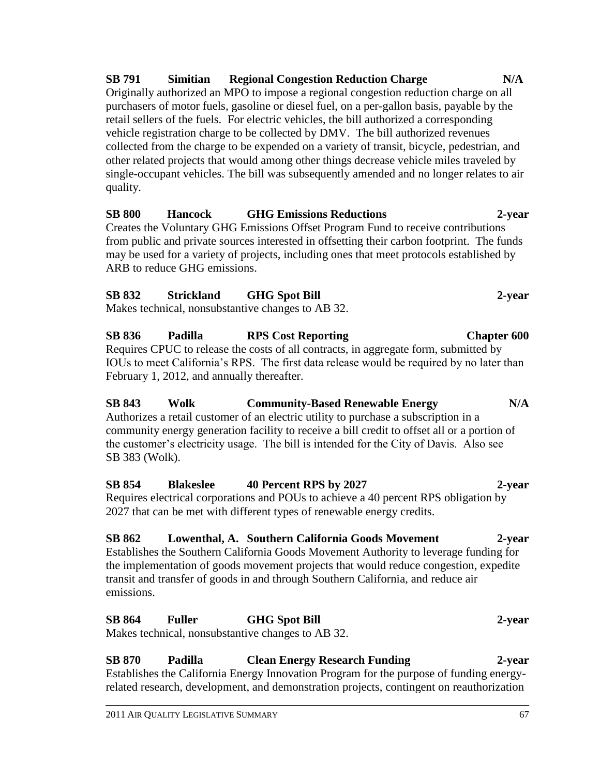**SB 791 Simitian Regional Congestion Reduction Charge N/A**  Originally authorized an MPO to impose a regional congestion reduction charge on all purchasers of motor fuels, gasoline or diesel fuel, on a per-gallon basis, payable by the retail sellers of the fuels. For electric vehicles, the bill authorized a corresponding vehicle registration charge to be collected by DMV. The bill authorized revenues collected from the charge to be expended on a variety of transit, bicycle, pedestrian, and other related projects that would among other things decrease vehicle miles traveled by single-occupant vehicles. The bill was subsequently amended and no longer relates to air quality.

### **SB 800 Hancock GHG Emissions Reductions 2-year**

Creates the Voluntary GHG Emissions Offset Program Fund to receive contributions from public and private sources interested in offsetting their carbon footprint. The funds may be used for a variety of projects, including ones that meet protocols established by ARB to reduce GHG emissions.

### **SB 832 Strickland GHG Spot Bill 2-year**

Makes technical, nonsubstantive changes to AB 32.

**SB 836 Padilla RPS Cost Reporting Chapter 600** Requires CPUC to release the costs of all contracts, in aggregate form, submitted by IOUs to meet California's RPS. The first data release would be required by no later than February 1, 2012, and annually thereafter.

**SB 843 Wolk Community-Based Renewable Energy N/A** Authorizes a retail customer of an electric utility to purchase a subscription in a community energy generation facility to receive a bill credit to offset all or a portion of the customer's electricity usage. The bill is intended for the City of Davis. Also see SB 383 (Wolk).

**SB 854 Blakeslee 40 Percent RPS by 2027 2-year** Requires electrical corporations and POUs to achieve a 40 percent RPS obligation by 2027 that can be met with different types of renewable energy credits.

# **SB 862 Lowenthal, A. Southern California Goods Movement 2-year**

Establishes the Southern California Goods Movement Authority to leverage funding for the implementation of goods movement projects that would reduce congestion, expedite transit and transfer of goods in and through Southern California, and reduce air emissions.

## **SB 864 Fuller GHG Spot Bill 2-year**

Makes technical, nonsubstantive changes to AB 32.

### **SB 870 Padilla Clean Energy Research Funding 2-year** Establishes the California Energy Innovation Program for the purpose of funding energyrelated research, development, and demonstration projects, contingent on reauthorization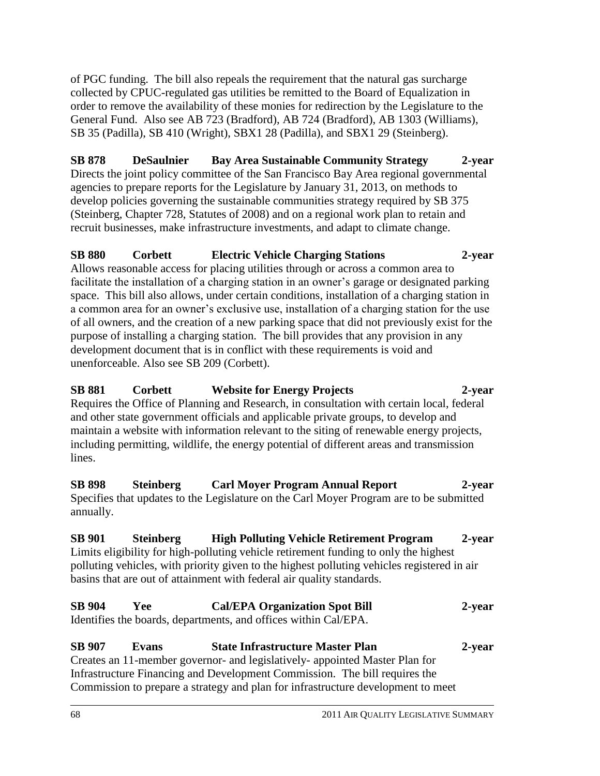of PGC funding. The bill also repeals the requirement that the natural gas surcharge collected by CPUC-regulated gas utilities be remitted to the Board of Equalization in order to remove the availability of these monies for redirection by the Legislature to the General Fund. Also see AB 723 (Bradford), AB 724 (Bradford), AB 1303 (Williams), SB 35 (Padilla), SB 410 (Wright), SBX1 28 (Padilla), and SBX1 29 (Steinberg).

**SB 878 DeSaulnier Bay Area Sustainable Community Strategy 2-year** Directs the joint policy committee of the San Francisco Bay Area regional governmental agencies to prepare reports for the Legislature by January 31, 2013, on methods to develop policies governing the sustainable communities strategy required by SB 375 (Steinberg, Chapter 728, Statutes of 2008) and on a regional work plan to retain and recruit businesses, make infrastructure investments, and adapt to climate change.

### **SB 880 Corbett Electric Vehicle Charging Stations 2-year**

Allows reasonable access for placing utilities through or across a common area to facilitate the installation of a charging station in an owner's garage or designated parking space. This bill also allows, under certain conditions, installation of a charging station in a common area for an owner's exclusive use, installation of a charging station for the use of all owners, and the creation of a new parking space that did not previously exist for the purpose of installing a charging station. The bill provides that any provision in any development document that is in conflict with these requirements is void and unenforceable. Also see SB 209 (Corbett).

### **SB 881 Corbett Website for Energy Projects 2-year** Requires the Office of Planning and Research, in consultation with certain local, federal

and other state government officials and applicable private groups, to develop and maintain a website with information relevant to the siting of renewable energy projects, including permitting, wildlife, the energy potential of different areas and transmission lines.

### **SB 898 Steinberg Carl Moyer Program Annual Report 2-year** Specifies that updates to the Legislature on the Carl Moyer Program are to be submitted annually.

### **SB 901 Steinberg High Polluting Vehicle Retirement Program 2-year** Limits eligibility for high-polluting vehicle retirement funding to only the highest polluting vehicles, with priority given to the highest polluting vehicles registered in air basins that are out of attainment with federal air quality standards.

| <b>SB 904</b> | Yee : | <b>Cal/EPA Organization Spot Bill</b>                           | 2-year |
|---------------|-------|-----------------------------------------------------------------|--------|
|               |       | Identifies the boards, departments, and offices within Cal/EPA. |        |

### **SB 907 Evans State Infrastructure Master Plan 2-year** Creates an 11-member governor- and legislatively- appointed Master Plan for Infrastructure Financing and Development Commission. The bill requires the Commission to prepare a strategy and plan for infrastructure development to meet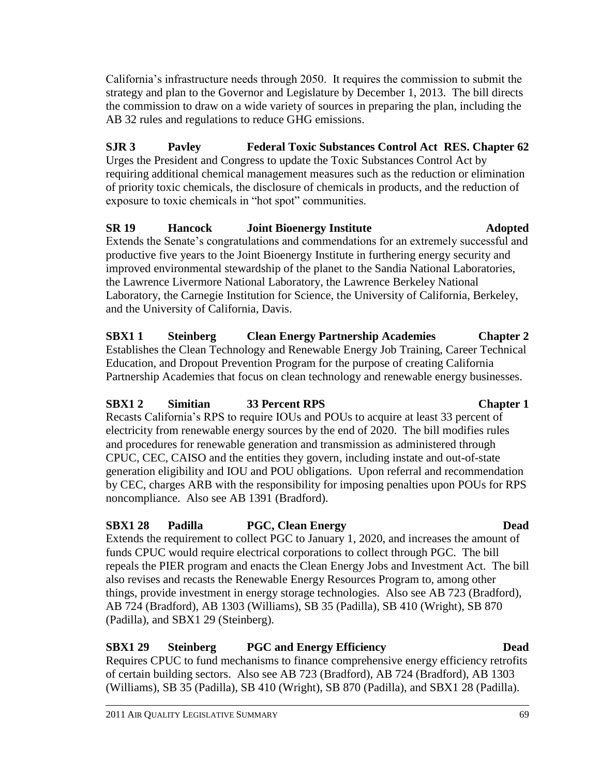California's infrastructure needs through 2050. It requires the commission to submit the strategy and plan to the Governor and Legislature by December 1, 2013. The bill directs the commission to draw on a wide variety of sources in preparing the plan, including the AB 32 rules and regulations to reduce GHG emissions.

**SJR 3 Pavley Federal Toxic Substances Control Act RES. Chapter 62** Urges the President and Congress to update the Toxic Substances Control Act by requiring additional chemical management measures such as the reduction or elimination of priority toxic chemicals, the disclosure of chemicals in products, and the reduction of exposure to toxic chemicals in "hot spot" communities.

### **SR 19 Hancock Joint Bioenergy Institute Adopted** Extends the Senate's congratulations and commendations for an extremely successful and productive five years to the Joint Bioenergy Institute in furthering energy security and improved environmental stewardship of the planet to the Sandia National Laboratories, the Lawrence Livermore National Laboratory, the Lawrence Berkeley National Laboratory, the Carnegie Institution for Science, the University of California, Berkeley, and the University of California, Davis.

**SBX1 1 Steinberg Clean Energy Partnership Academies Chapter 2** Establishes the Clean Technology and Renewable Energy Job Training, Career Technical Education, and Dropout Prevention Program for the purpose of creating California Partnership Academies that focus on clean technology and renewable energy businesses.

### **SBX1 2 Simitian 33 Percent RPS Chapter 1**

Recasts California's RPS to require IOUs and POUs to acquire at least 33 percent of electricity from renewable energy sources by the end of 2020. The bill modifies rules and procedures for renewable generation and transmission as administered through CPUC, CEC, CAISO and the entities they govern, including instate and out-of-state generation eligibility and IOU and POU obligations. Upon referral and recommendation by CEC, charges ARB with the responsibility for imposing penalties upon POUs for RPS noncompliance. Also see AB 1391 (Bradford).

## **SBX1 28 Padilla PGC, Clean Energy Dead**

Extends the requirement to collect PGC to January 1, 2020, and increases the amount of funds CPUC would require electrical corporations to collect through PGC. The bill repeals the PIER program and enacts the Clean Energy Jobs and Investment Act. The bill also revises and recasts the Renewable Energy Resources Program to, among other things, provide investment in energy storage technologies. Also see AB 723 (Bradford), AB 724 (Bradford), AB 1303 (Williams), SB 35 (Padilla), SB 410 (Wright), SB 870 (Padilla), and SBX1 29 (Steinberg).

### **SBX1 29 Steinberg PGC and Energy Efficiency Dead**

Requires CPUC to fund mechanisms to finance comprehensive energy efficiency retrofits of certain building sectors. Also see AB 723 (Bradford), AB 724 (Bradford), AB 1303 (Williams), SB 35 (Padilla), SB 410 (Wright), SB 870 (Padilla), and SBX1 28 (Padilla).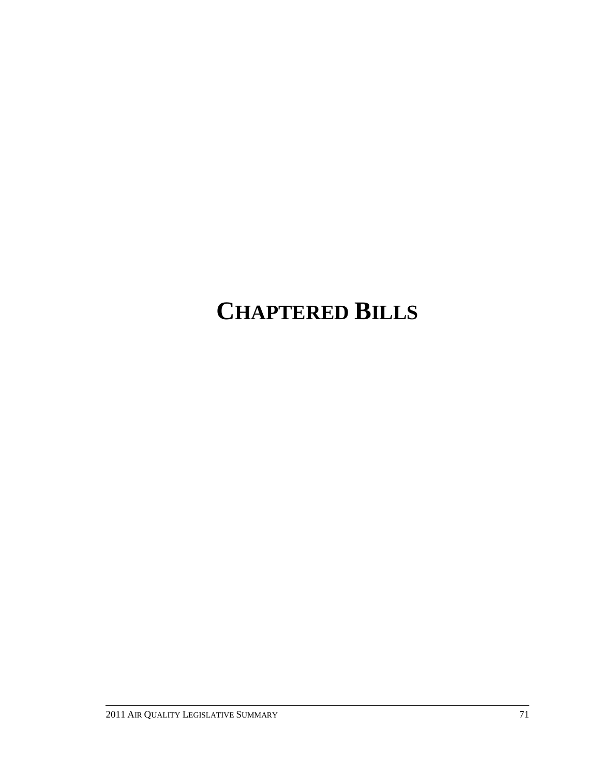# **CHAPTERED BILLS**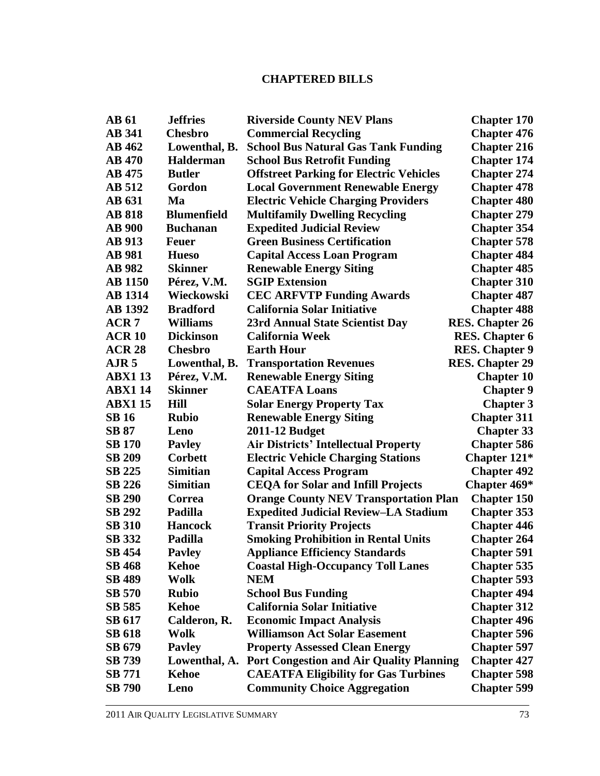### **CHAPTERED BILLS**

| <b>AB</b> 61     | <b>Jeffries</b>    | <b>Riverside County NEV Plans</b>               | <b>Chapter 170</b>     |
|------------------|--------------------|-------------------------------------------------|------------------------|
| <b>AB 341</b>    | <b>Chesbro</b>     | <b>Commercial Recycling</b>                     | <b>Chapter 476</b>     |
| <b>AB</b> 462    | Lowenthal, B.      | <b>School Bus Natural Gas Tank Funding</b>      | <b>Chapter 216</b>     |
| <b>AB</b> 470    | <b>Halderman</b>   | <b>School Bus Retrofit Funding</b>              | <b>Chapter 174</b>     |
| <b>AB</b> 475    | <b>Butler</b>      | <b>Offstreet Parking for Electric Vehicles</b>  | <b>Chapter 274</b>     |
| <b>AB</b> 512    | Gordon             | <b>Local Government Renewable Energy</b>        | <b>Chapter 478</b>     |
| <b>AB</b> 631    | Ma                 | <b>Electric Vehicle Charging Providers</b>      | <b>Chapter 480</b>     |
| <b>AB 818</b>    | <b>Blumenfield</b> | <b>Multifamily Dwelling Recycling</b>           | <b>Chapter 279</b>     |
| <b>AB</b> 900    | <b>Buchanan</b>    | <b>Expedited Judicial Review</b>                | <b>Chapter 354</b>     |
| <b>AB</b> 913    | <b>Feuer</b>       | <b>Green Business Certification</b>             | <b>Chapter 578</b>     |
| <b>AB</b> 981    | <b>Hueso</b>       | <b>Capital Access Loan Program</b>              | <b>Chapter 484</b>     |
| <b>AB</b> 982    | <b>Skinner</b>     | <b>Renewable Energy Siting</b>                  | <b>Chapter 485</b>     |
| <b>AB</b> 1150   | Pérez, V.M.        | <b>SGIP Extension</b>                           | <b>Chapter 310</b>     |
| <b>AB</b> 1314   | Wieckowski         | <b>CEC ARFVTP Funding Awards</b>                | <b>Chapter 487</b>     |
| <b>AB</b> 1392   | <b>Bradford</b>    | <b>California Solar Initiative</b>              | <b>Chapter 488</b>     |
| ACR <sub>7</sub> | <b>Williams</b>    | 23rd Annual State Scientist Day                 | <b>RES.</b> Chapter 26 |
| <b>ACR 10</b>    | <b>Dickinson</b>   | <b>California Week</b>                          | <b>RES.</b> Chapter 6  |
| <b>ACR 28</b>    | <b>Chesbro</b>     | <b>Earth Hour</b>                               | <b>RES. Chapter 9</b>  |
| $A$ JR 5         | Lowenthal, B.      | <b>Transportation Revenues</b>                  | <b>RES.</b> Chapter 29 |
| <b>ABX113</b>    | Pérez, V.M.        | <b>Renewable Energy Siting</b>                  | <b>Chapter 10</b>      |
| <b>ABX114</b>    | <b>Skinner</b>     | <b>CAEATFA Loans</b>                            | <b>Chapter 9</b>       |
| <b>ABX115</b>    | <b>Hill</b>        | <b>Solar Energy Property Tax</b>                | <b>Chapter 3</b>       |
| <b>SB 16</b>     | <b>Rubio</b>       | <b>Renewable Energy Siting</b>                  | <b>Chapter 311</b>     |
| <b>SB 87</b>     | Leno               | 2011-12 Budget                                  | <b>Chapter 33</b>      |
| <b>SB 170</b>    | <b>Payley</b>      | <b>Air Districts' Intellectual Property</b>     | <b>Chapter 586</b>     |
| <b>SB 209</b>    | <b>Corbett</b>     | <b>Electric Vehicle Charging Stations</b>       | Chapter 121*           |
| <b>SB 225</b>    | <b>Simitian</b>    | <b>Capital Access Program</b>                   | <b>Chapter 492</b>     |
| <b>SB 226</b>    | <b>Simitian</b>    | <b>CEQA for Solar and Infill Projects</b>       | Chapter 469*           |
| <b>SB 290</b>    | Correa             | <b>Orange County NEV Transportation Plan</b>    | <b>Chapter 150</b>     |
| <b>SB 292</b>    | Padilla            | <b>Expedited Judicial Review-LA Stadium</b>     | <b>Chapter 353</b>     |
| <b>SB 310</b>    | <b>Hancock</b>     | <b>Transit Priority Projects</b>                | <b>Chapter 446</b>     |
| <b>SB</b> 332    | Padilla            | <b>Smoking Prohibition in Rental Units</b>      | <b>Chapter 264</b>     |
| SB 454           | <b>Pavley</b>      | <b>Appliance Efficiency Standards</b>           | <b>Chapter 591</b>     |
| <b>SB 468</b>    | <b>Kehoe</b>       | <b>Coastal High-Occupancy Toll Lanes</b>        | <b>Chapter 535</b>     |
| SB 489           | Wolk               | <b>NEM</b>                                      | <b>Chapter 593</b>     |
| <b>SB 570</b>    | <b>Rubio</b>       | <b>School Bus Funding</b>                       | <b>Chapter 494</b>     |
| SB 585           | <b>Kehoe</b>       | <b>California Solar Initiative</b>              | <b>Chapter 312</b>     |
| SB 617           | Calderon, R.       | <b>Economic Impact Analysis</b>                 | <b>Chapter 496</b>     |
| <b>SB 618</b>    | Wolk               | <b>Williamson Act Solar Easement</b>            | <b>Chapter 596</b>     |
| SB 679           | <b>Payley</b>      | <b>Property Assessed Clean Energy</b>           | <b>Chapter 597</b>     |
| SB 739           | Lowenthal, A.      | <b>Port Congestion and Air Quality Planning</b> | <b>Chapter 427</b>     |
| <b>SB</b> 771    | <b>Kehoe</b>       | <b>CAEATFA Eligibility for Gas Turbines</b>     | <b>Chapter 598</b>     |
| <b>SB 790</b>    | Leno               | <b>Community Choice Aggregation</b>             | <b>Chapter 599</b>     |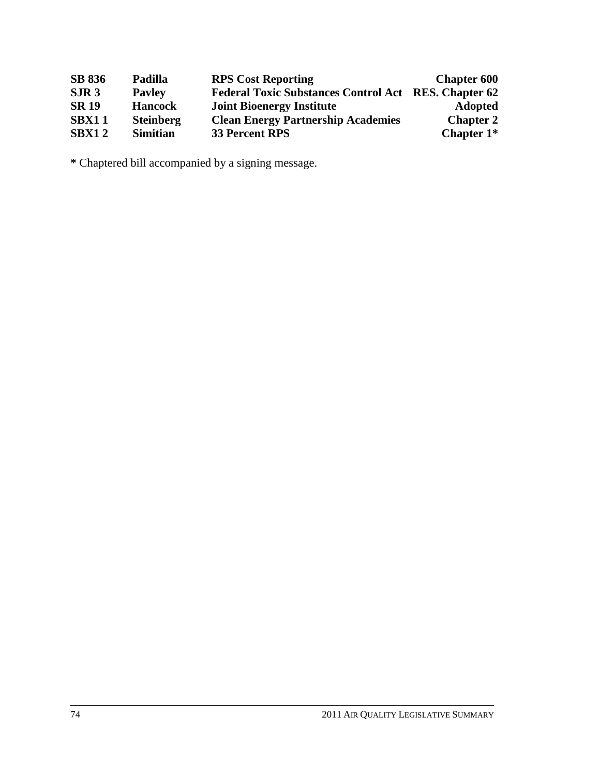| <b>SB 836</b>    | Padilla          | <b>RPS Cost Reporting</b>                                   | <b>Chapter 600</b> |
|------------------|------------------|-------------------------------------------------------------|--------------------|
| SIR <sub>3</sub> | <b>Payley</b>    | <b>Federal Toxic Substances Control Act RES. Chapter 62</b> |                    |
| <b>SR 19</b>     | <b>Hancock</b>   | <b>Joint Bioenergy Institute</b>                            | <b>Adopted</b>     |
| <b>SBX11</b>     | <b>Steinberg</b> | <b>Clean Energy Partnership Academies</b>                   | <b>Chapter 2</b>   |
| <b>SBX12</b>     | <b>Simitian</b>  | <b>33 Percent RPS</b>                                       | Chapter $1*$       |

**\*** Chaptered bill accompanied by a signing message.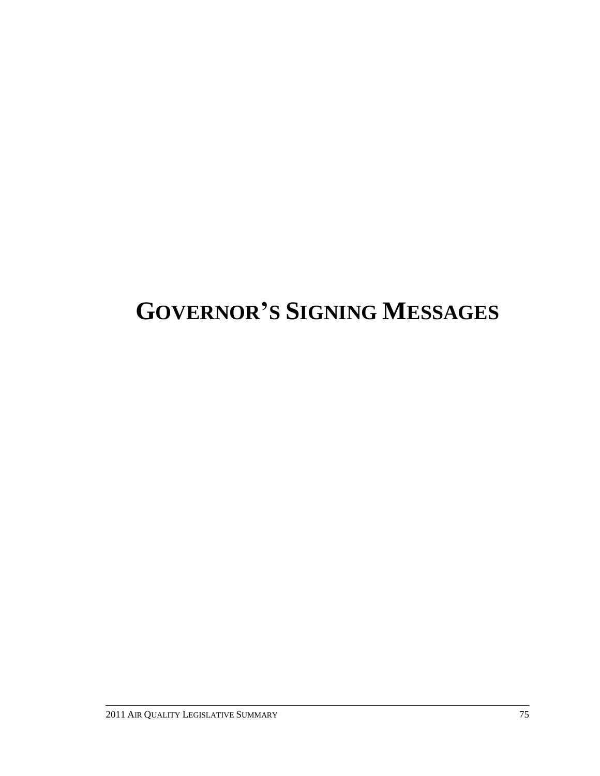# **GOVERNOR'S SIGNING MESSAGES**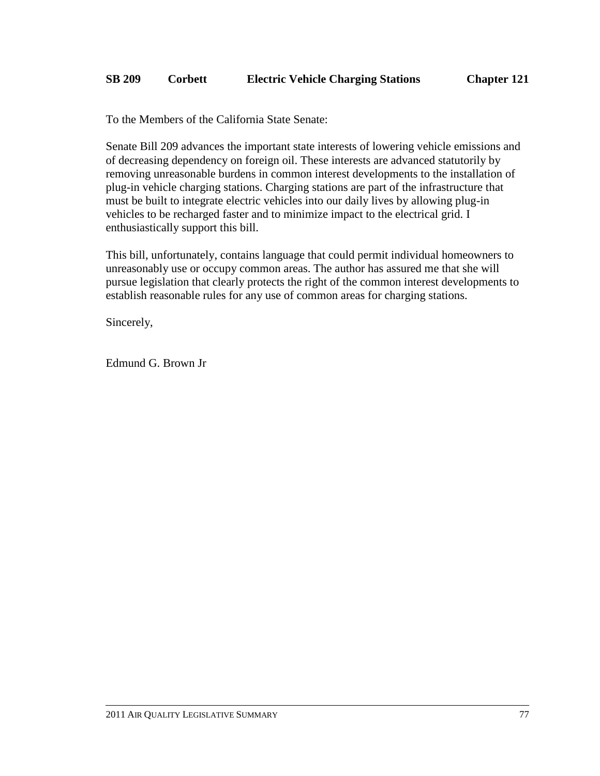To the Members of the California State Senate:

Senate Bill 209 advances the important state interests of lowering vehicle emissions and of decreasing dependency on foreign oil. These interests are advanced statutorily by removing unreasonable burdens in common interest developments to the installation of plug-in vehicle charging stations. Charging stations are part of the infrastructure that must be built to integrate electric vehicles into our daily lives by allowing plug-in vehicles to be recharged faster and to minimize impact to the electrical grid. I enthusiastically support this bill.

This bill, unfortunately, contains language that could permit individual homeowners to unreasonably use or occupy common areas. The author has assured me that she will pursue legislation that clearly protects the right of the common interest developments to establish reasonable rules for any use of common areas for charging stations.

Sincerely,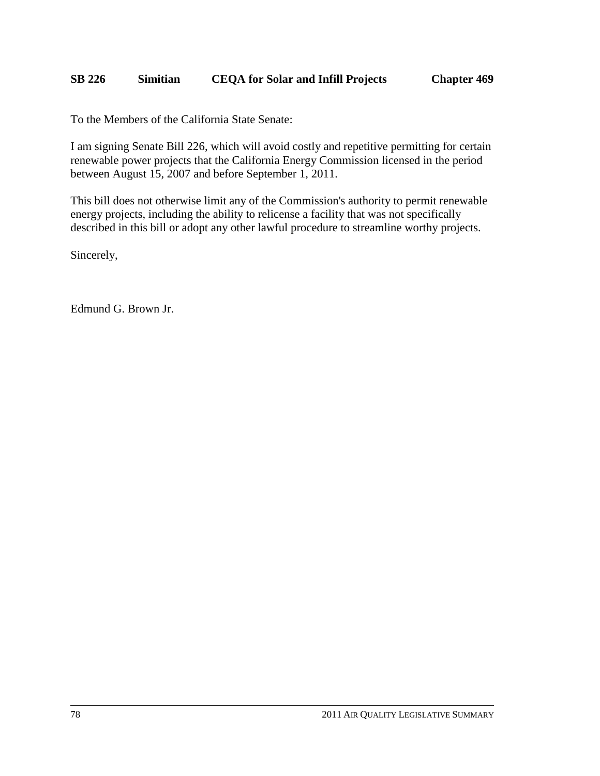### **SB 226 Simitian CEQA for Solar and Infill Projects Chapter 469**

To the Members of the California State Senate:

I am signing Senate Bill 226, which will avoid costly and repetitive permitting for certain renewable power projects that the California Energy Commission licensed in the period between August 15, 2007 and before September 1, 2011.

This bill does not otherwise limit any of the Commission's authority to permit renewable energy projects, including the ability to relicense a facility that was not specifically described in this bill or adopt any other lawful procedure to streamline worthy projects.

Sincerely,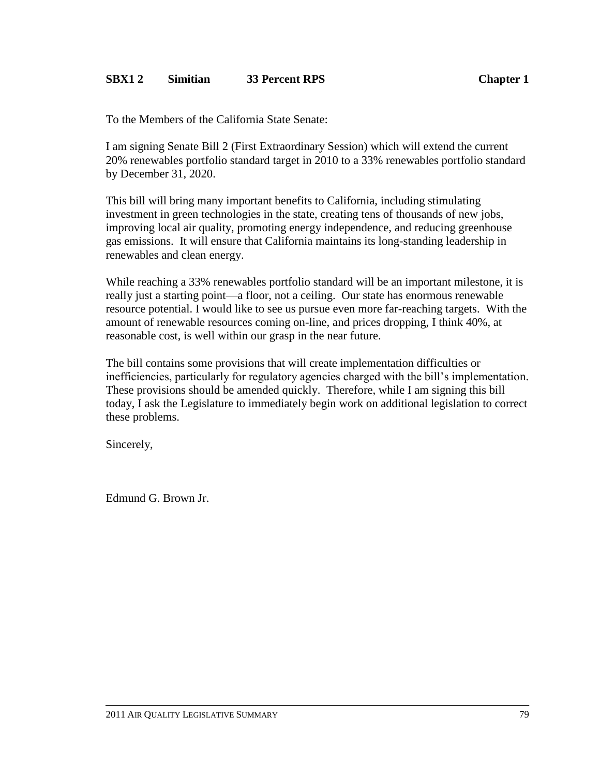### **SBX1 2 Simitian 33 Percent RPS Chapter 1**

To the Members of the California State Senate:

I am signing Senate Bill 2 (First Extraordinary Session) which will extend the current 20% renewables portfolio standard target in 2010 to a 33% renewables portfolio standard by December 31, 2020.

This bill will bring many important benefits to California, including stimulating investment in green technologies in the state, creating tens of thousands of new jobs, improving local air quality, promoting energy independence, and reducing greenhouse gas emissions. It will ensure that California maintains its long-standing leadership in renewables and clean energy.

While reaching a 33% renewables portfolio standard will be an important milestone, it is really just a starting point—a floor, not a ceiling. Our state has enormous renewable resource potential. I would like to see us pursue even more far-reaching targets. With the amount of renewable resources coming on-line, and prices dropping, I think 40%, at reasonable cost, is well within our grasp in the near future.

The bill contains some provisions that will create implementation difficulties or inefficiencies, particularly for regulatory agencies charged with the bill's implementation. These provisions should be amended quickly. Therefore, while I am signing this bill today, I ask the Legislature to immediately begin work on additional legislation to correct these problems.

Sincerely,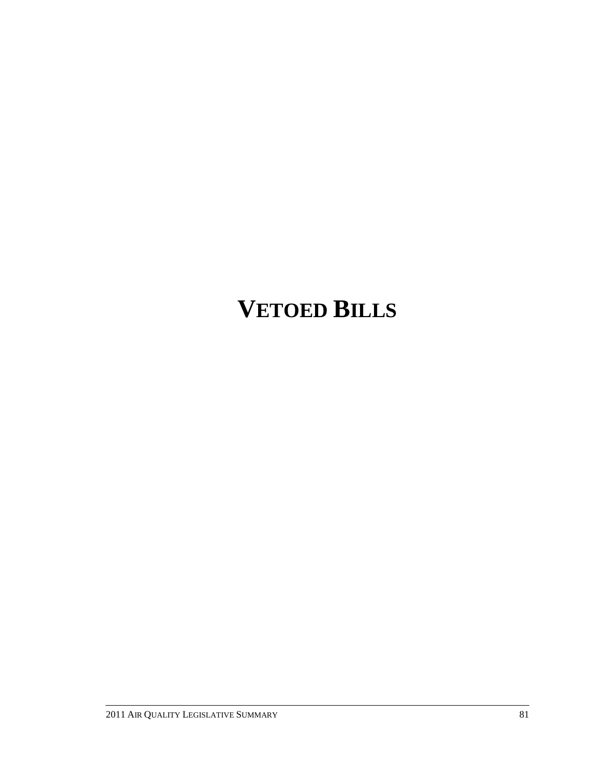# **VETOED BILLS**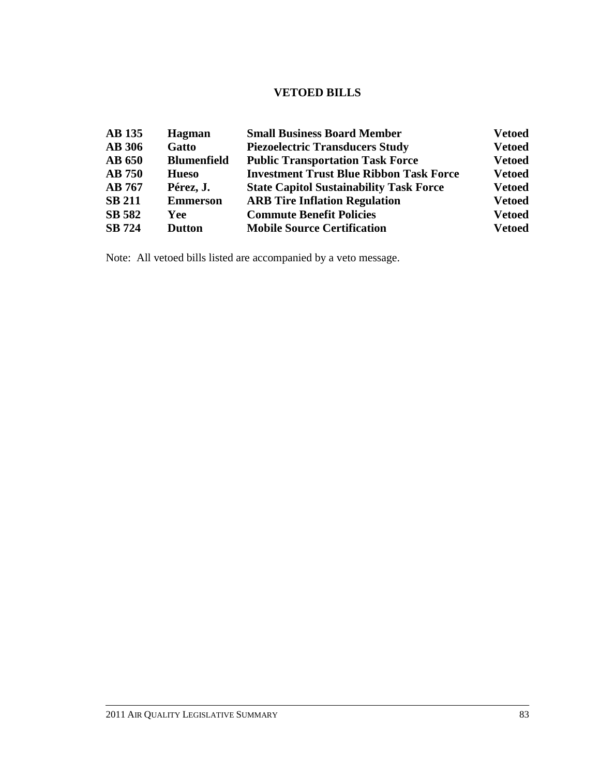### **VETOED BILLS**

| <b>AB</b> 135 | <b>Hagman</b>      | <b>Small Business Board Member</b>             | <b>Vetoed</b> |
|---------------|--------------------|------------------------------------------------|---------------|
| <b>AB 306</b> | Gatto              | <b>Piezoelectric Transducers Study</b>         | <b>Vetoed</b> |
| <b>AB 650</b> | <b>Blumenfield</b> | <b>Public Transportation Task Force</b>        | <b>Vetoed</b> |
| <b>AB</b> 750 | <b>Hueso</b>       | <b>Investment Trust Blue Ribbon Task Force</b> | <b>Vetoed</b> |
| <b>AB</b> 767 | Pérez, J.          | <b>State Capitol Sustainability Task Force</b> | <b>Vetoed</b> |
| <b>SB 211</b> | <b>Emmerson</b>    | <b>ARB Tire Inflation Regulation</b>           | <b>Vetoed</b> |
| <b>SB 582</b> | Yee                | <b>Commute Benefit Policies</b>                | <b>Vetoed</b> |
| <b>SB</b> 724 | <b>Dutton</b>      | <b>Mobile Source Certification</b>             | <b>Vetoed</b> |

Note: All vetoed bills listed are accompanied by a veto message.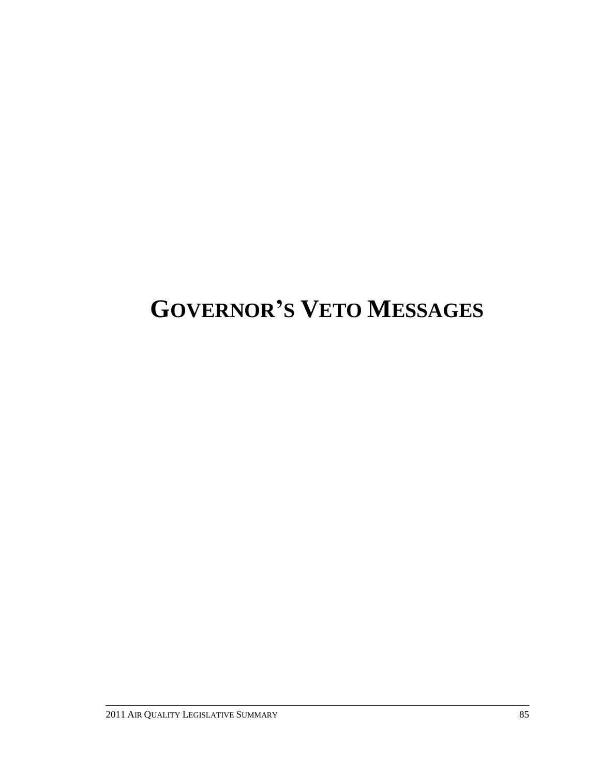# **GOVERNOR'S VETO MESSAGES**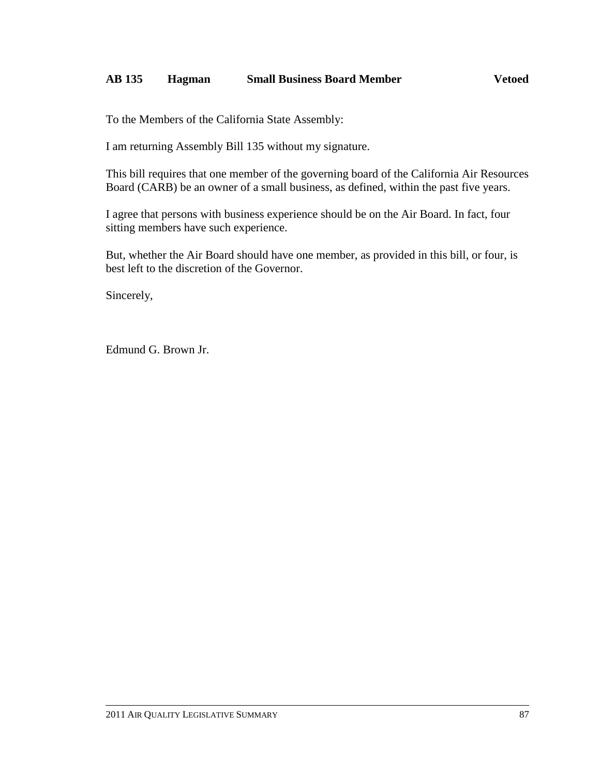### **AB 135 Hagman Small Business Board Member Vetoed**

To the Members of the California State Assembly:

I am returning Assembly Bill 135 without my signature.

This bill requires that one member of the governing board of the California Air Resources Board (CARB) be an owner of a small business, as defined, within the past five years.

I agree that persons with business experience should be on the Air Board. In fact, four sitting members have such experience.

But, whether the Air Board should have one member, as provided in this bill, or four, is best left to the discretion of the Governor.

Sincerely,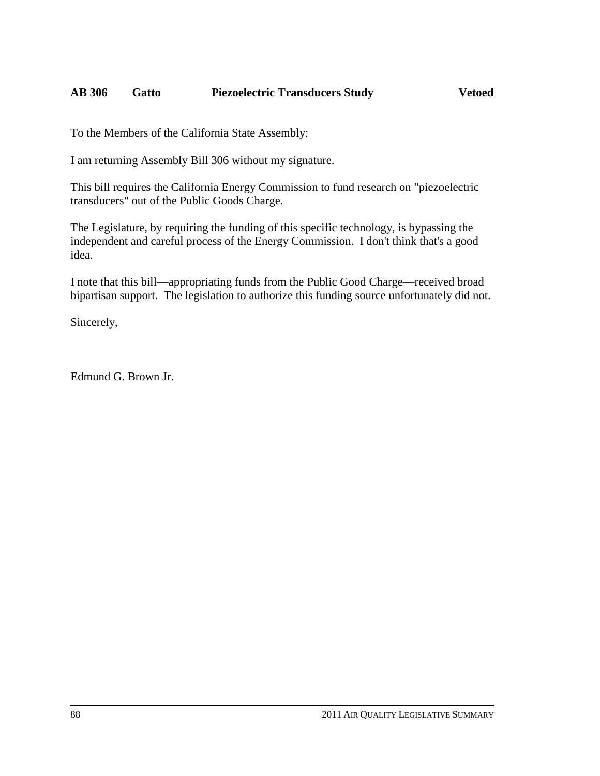### **AB 306 Gatto Piezoelectric Transducers Study Vetoed**

To the Members of the California State Assembly:

I am returning Assembly Bill 306 without my signature.

This bill requires the California Energy Commission to fund research on "piezoelectric transducers" out of the Public Goods Charge.

The Legislature, by requiring the funding of this specific technology, is bypassing the independent and careful process of the Energy Commission. I don't think that's a good idea.

I note that this bill—appropriating funds from the Public Good Charge—received broad bipartisan support. The legislation to authorize this funding source unfortunately did not.

Sincerely,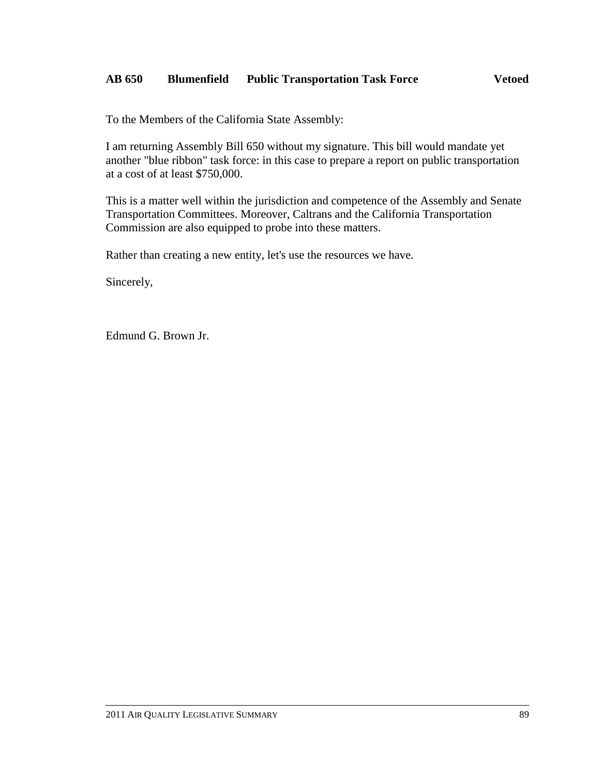### **AB 650 Blumenfield Public Transportation Task Force Vetoed**

To the Members of the California State Assembly:

I am returning Assembly Bill 650 without my signature. This bill would mandate yet another "blue ribbon" task force: in this case to prepare a report on public transportation at a cost of at least \$750,000.

This is a matter well within the jurisdiction and competence of the Assembly and Senate Transportation Committees. Moreover, Caltrans and the California Transportation Commission are also equipped to probe into these matters.

Rather than creating a new entity, let's use the resources we have.

Sincerely,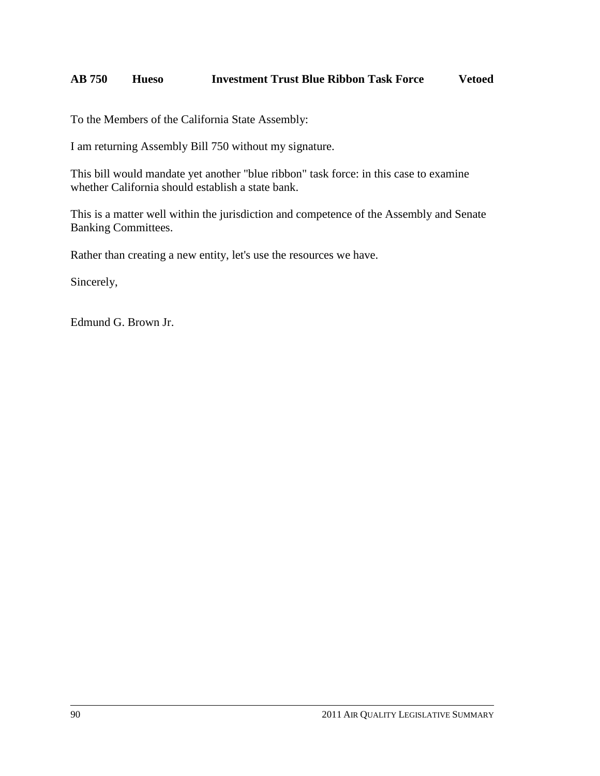### **AB 750 Hueso Investment Trust Blue Ribbon Task Force Vetoed**

To the Members of the California State Assembly:

I am returning Assembly Bill 750 without my signature.

This bill would mandate yet another "blue ribbon" task force: in this case to examine whether California should establish a state bank.

This is a matter well within the jurisdiction and competence of the Assembly and Senate Banking Committees.

Rather than creating a new entity, let's use the resources we have.

Sincerely,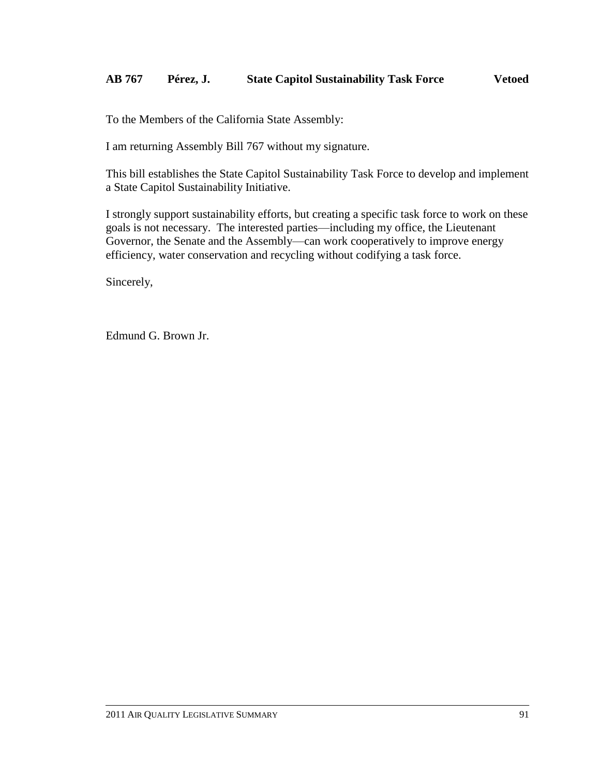### **AB 767 Pérez, J. State Capitol Sustainability Task Force Vetoed**

To the Members of the California State Assembly:

I am returning Assembly Bill 767 without my signature.

This bill establishes the State Capitol Sustainability Task Force to develop and implement a State Capitol Sustainability Initiative.

I strongly support sustainability efforts, but creating a specific task force to work on these goals is not necessary. The interested parties—including my office, the Lieutenant Governor, the Senate and the Assembly—can work cooperatively to improve energy efficiency, water conservation and recycling without codifying a task force.

Sincerely,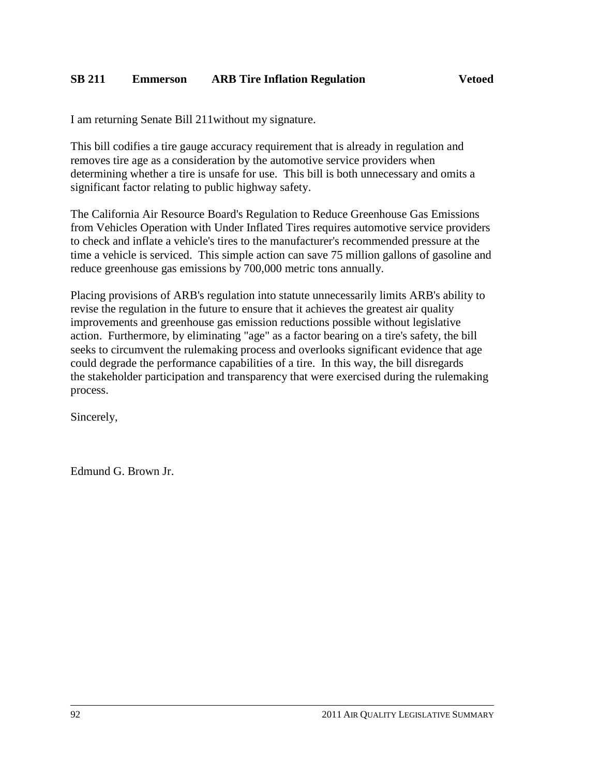I am returning Senate Bill 211without my signature.

This bill codifies a tire gauge accuracy requirement that is already in regulation and removes tire age as a consideration by the automotive service providers when determining whether a tire is unsafe for use. This bill is both unnecessary and omits a significant factor relating to public highway safety.

The California Air Resource Board's Regulation to Reduce Greenhouse Gas Emissions from Vehicles Operation with Under Inflated Tires requires automotive service providers to check and inflate a vehicle's tires to the manufacturer's recommended pressure at the time a vehicle is serviced. This simple action can save 75 million gallons of gasoline and reduce greenhouse gas emissions by 700,000 metric tons annually.

Placing provisions of ARB's regulation into statute unnecessarily limits ARB's ability to revise the regulation in the future to ensure that it achieves the greatest air quality improvements and greenhouse gas emission reductions possible without legislative action. Furthermore, by eliminating "age" as a factor bearing on a tire's safety, the bill seeks to circumvent the rulemaking process and overlooks significant evidence that age could degrade the performance capabilities of a tire. In this way, the bill disregards the stakeholder participation and transparency that were exercised during the rulemaking process.

Sincerely,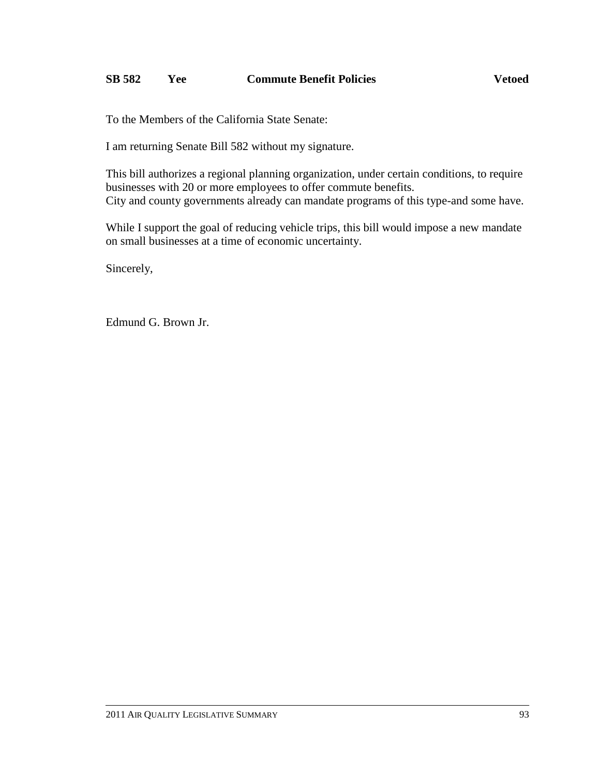### **SB 582 Yee Commute Benefit Policies Vetoed**

To the Members of the California State Senate:

I am returning Senate Bill 582 without my signature.

This bill authorizes a regional planning organization, under certain conditions, to require businesses with 20 or more employees to offer commute benefits. City and county governments already can mandate programs of this type-and some have.

While I support the goal of reducing vehicle trips, this bill would impose a new mandate on small businesses at a time of economic uncertainty.

Sincerely,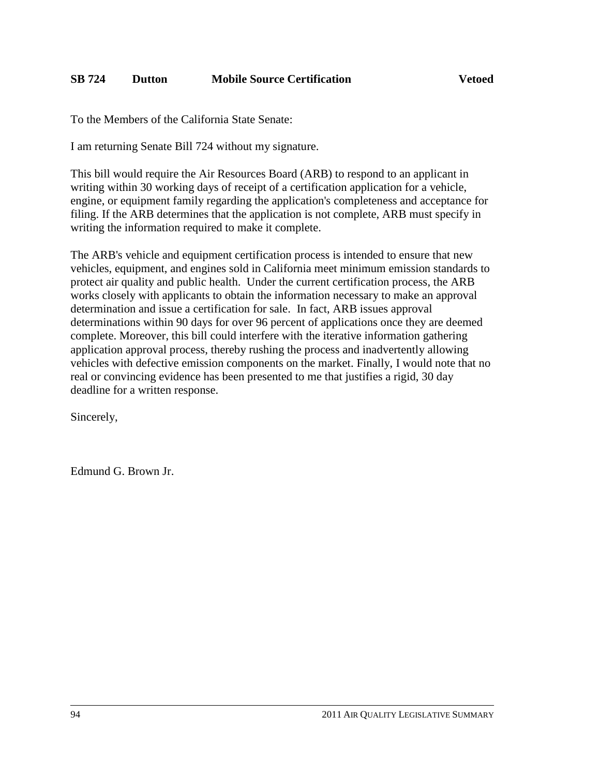To the Members of the California State Senate:

I am returning Senate Bill 724 without my signature.

This bill would require the Air Resources Board (ARB) to respond to an applicant in writing within 30 working days of receipt of a certification application for a vehicle, engine, or equipment family regarding the application's completeness and acceptance for filing. If the ARB determines that the application is not complete, ARB must specify in writing the information required to make it complete.

The ARB's vehicle and equipment certification process is intended to ensure that new vehicles, equipment, and engines sold in California meet minimum emission standards to protect air quality and public health. Under the current certification process, the ARB works closely with applicants to obtain the information necessary to make an approval determination and issue a certification for sale. In fact, ARB issues approval determinations within 90 days for over 96 percent of applications once they are deemed complete. Moreover, this bill could interfere with the iterative information gathering application approval process, thereby rushing the process and inadvertently allowing vehicles with defective emission components on the market. Finally, I would note that no real or convincing evidence has been presented to me that justifies a rigid, 30 day deadline for a written response.

Sincerely,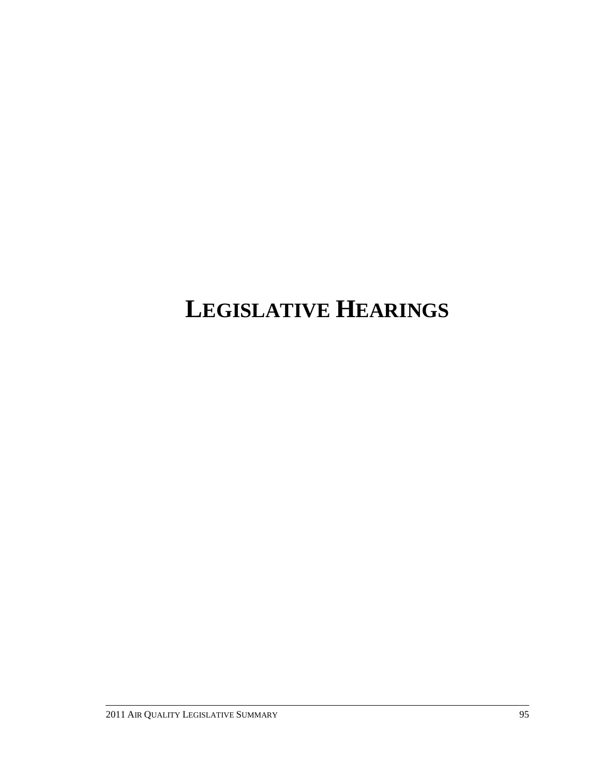# **LEGISLATIVE HEARINGS**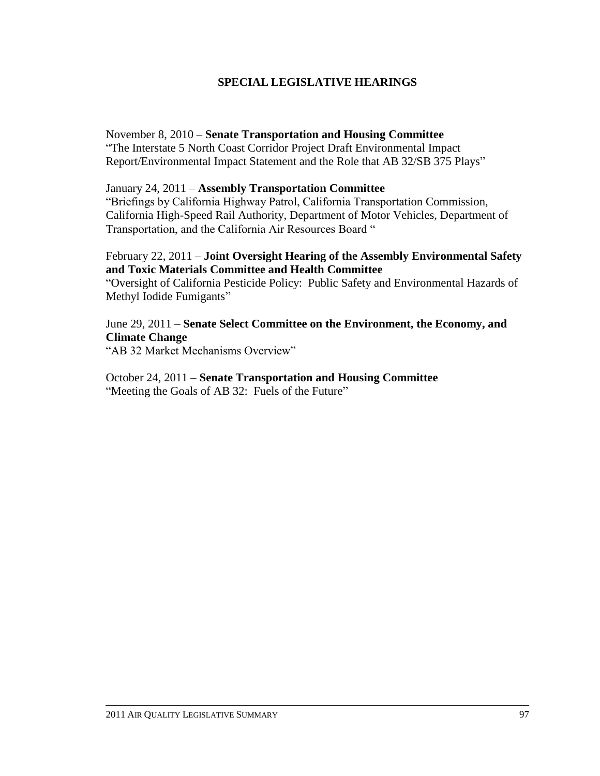### **SPECIAL LEGISLATIVE HEARINGS**

#### November 8, 2010 – **Senate Transportation and Housing Committee**

―The Interstate 5 North Coast Corridor Project Draft Environmental Impact Report/Environmental Impact Statement and the Role that AB 32/SB 375 Plays"

#### January 24, 2011 – **Assembly Transportation Committee**

―Briefings by California Highway Patrol, California Transportation Commission, California High-Speed Rail Authority, Department of Motor Vehicles, Department of Transportation, and the California Air Resources Board "

### February 22, 2011 – **Joint Oversight Hearing of the Assembly Environmental Safety and Toxic Materials Committee and Health Committee**

―Oversight of California Pesticide Policy: Public Safety and Environmental Hazards of Methyl Iodide Fumigants"

### June 29, 2011 – **Senate Select Committee on the Environment, the Economy, and Climate Change**

"AB 32 Market Mechanisms Overview"

#### October 24, 2011 – **Senate Transportation and Housing Committee** "Meeting the Goals of AB 32: Fuels of the Future"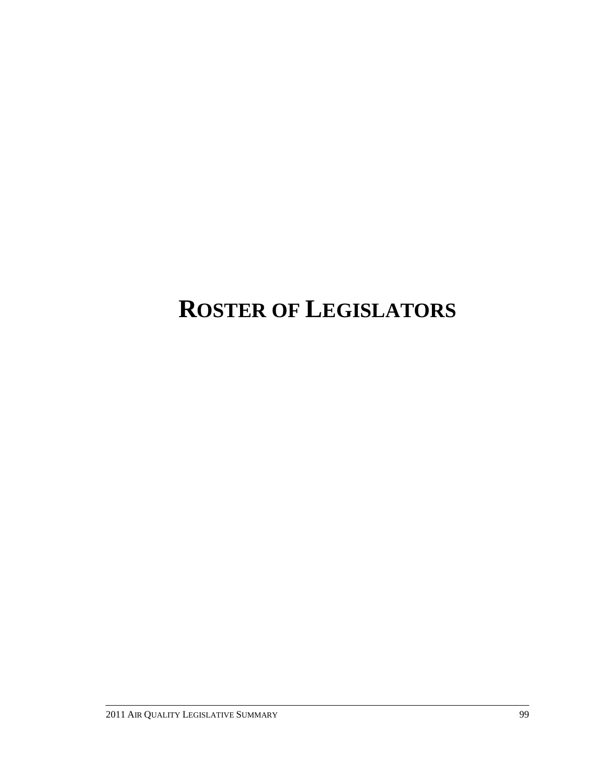# **ROSTER OF LEGISLATORS**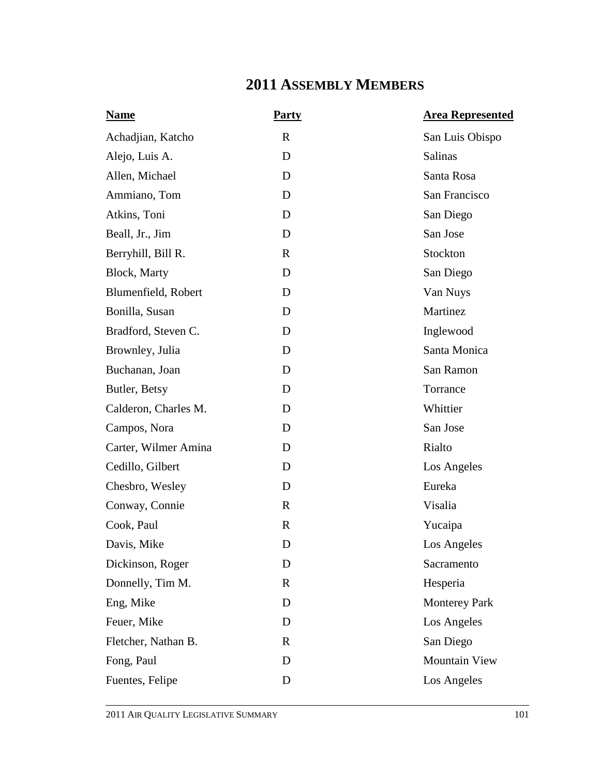# **2011 ASSEMBLY MEMBERS**

| <b>Name</b>          | <b>Party</b> | <b>Area Represented</b> |
|----------------------|--------------|-------------------------|
| Achadjian, Katcho    | $\mathbf R$  | San Luis Obispo         |
| Alejo, Luis A.       | D            | Salinas                 |
| Allen, Michael       | D            | Santa Rosa              |
| Ammiano, Tom         | D            | San Francisco           |
| Atkins, Toni         | D            | San Diego               |
| Beall, Jr., Jim      | D            | San Jose                |
| Berryhill, Bill R.   | $\mathbf R$  | Stockton                |
| Block, Marty         | D            | San Diego               |
| Blumenfield, Robert  | D            | Van Nuys                |
| Bonilla, Susan       | D            | Martinez                |
| Bradford, Steven C.  | D            | Inglewood               |
| Brownley, Julia      | D            | Santa Monica            |
| Buchanan, Joan       | D            | San Ramon               |
| Butler, Betsy        | D            | Torrance                |
| Calderon, Charles M. | D            | Whittier                |
| Campos, Nora         | D            | San Jose                |
| Carter, Wilmer Amina | D            | Rialto                  |
| Cedillo, Gilbert     | D            | Los Angeles             |
| Chesbro, Wesley      | D            | Eureka                  |
| Conway, Connie       | $\mathbf R$  | Visalia                 |
| Cook, Paul           | $\mathbf R$  | Yucaipa                 |
| Davis, Mike          | D            | Los Angeles             |
| Dickinson, Roger     | D            | Sacramento              |
| Donnelly, Tim M.     | $\mathbf R$  | Hesperia                |
| Eng, Mike            | D            | <b>Monterey Park</b>    |
| Feuer, Mike          | D            | Los Angeles             |
| Fletcher, Nathan B.  | $\mathbf R$  | San Diego               |
| Fong, Paul           | D            | <b>Mountain View</b>    |
| Fuentes, Felipe      | D            | Los Angeles             |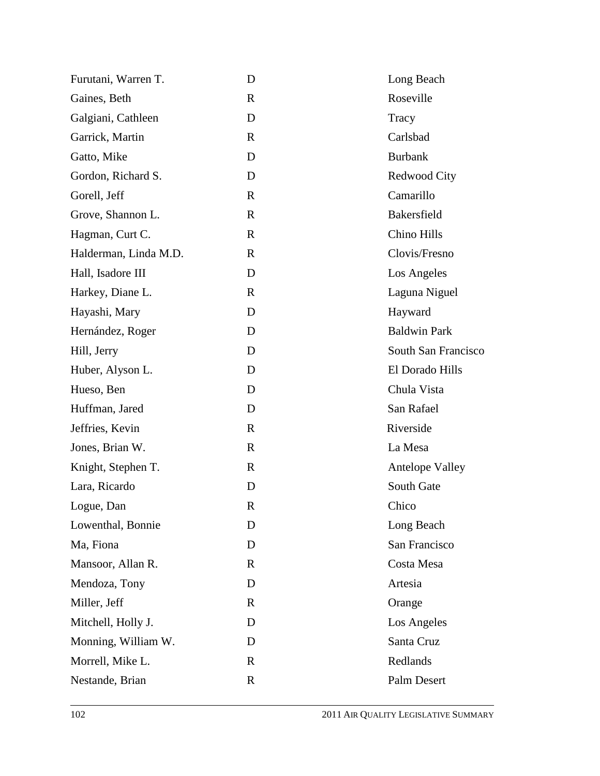| D            | Long Beach             |
|--------------|------------------------|
| $\mathbb{R}$ | Roseville              |
| D            | Tracy                  |
| $\mathbf{R}$ | Carlsbad               |
| D            | <b>Burbank</b>         |
| D            | Redwood City           |
| $\mathbb{R}$ | Camarillo              |
| $\mathbf R$  | Bakersfield            |
| $\mathbb{R}$ | Chino Hills            |
| $\mathbf R$  | Clovis/Fresno          |
| D            | Los Angeles            |
| $\mathbb{R}$ | Laguna Niguel          |
| D            | Hayward                |
| D            | <b>Baldwin Park</b>    |
| D            | South San Francisco    |
| D            | El Dorado Hills        |
| D            | Chula Vista            |
| D            | San Rafael             |
| $\mathbb{R}$ | Riverside              |
| $\mathbb{R}$ | La Mesa                |
| $\mathbf R$  | <b>Antelope Valley</b> |
| D            | South Gate             |
| R            | Chico                  |
| D            | Long Beach             |
| D            | San Francisco          |
| R            | Costa Mesa             |
| D            | Artesia                |
| $\mathbf R$  | Orange                 |
| D            | Los Angeles            |
| D            | Santa Cruz             |
| $\mathbf R$  | Redlands               |
| $\mathbf R$  | Palm Desert            |
|              |                        |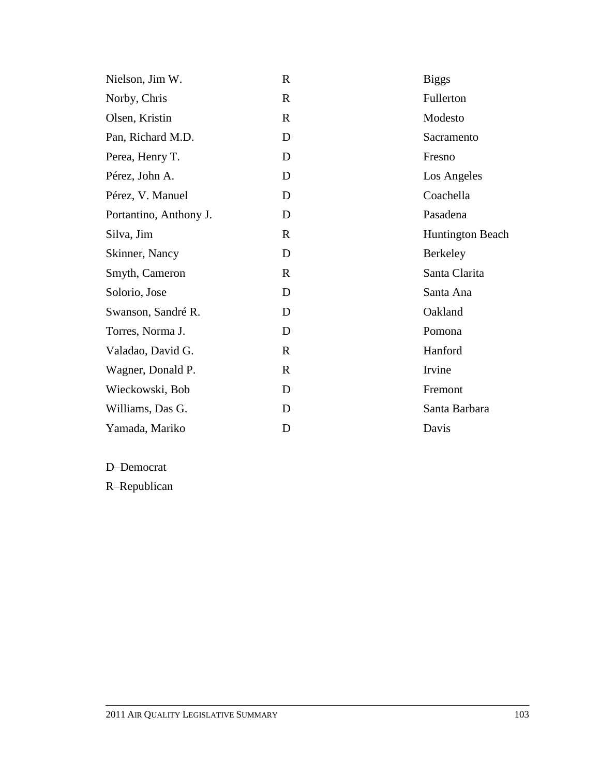| Nielson, Jim W.        | $\mathbf R$  | <b>Biggs</b>            |
|------------------------|--------------|-------------------------|
| Norby, Chris           | $\mathbf R$  | Fullerton               |
| Olsen, Kristin         | $\mathbf{R}$ | Modesto                 |
| Pan, Richard M.D.      | D            | Sacramento              |
| Perea, Henry T.        | D            | Fresno                  |
| Pérez, John A.         | D            | Los Angeles             |
| Pérez, V. Manuel       | D            | Coachella               |
| Portantino, Anthony J. | D            | Pasadena                |
| Silva, Jim             | $\mathbf{R}$ | <b>Huntington Beach</b> |
| Skinner, Nancy         | D            | Berkeley                |
| Smyth, Cameron         | $\mathbf R$  | Santa Clarita           |
| Solorio, Jose          | D            | Santa Ana               |
| Swanson, Sandré R.     | D            | Oakland                 |
| Torres, Norma J.       | D            | Pomona                  |
| Valadao, David G.      | $\mathbf R$  | Hanford                 |
| Wagner, Donald P.      | R            | Irvine                  |
| Wieckowski, Bob        | D            | Fremont                 |
| Williams, Das G.       | D            | Santa Barbara           |
| Yamada, Mariko         | D            | Davis                   |

D–Democrat

R–Republican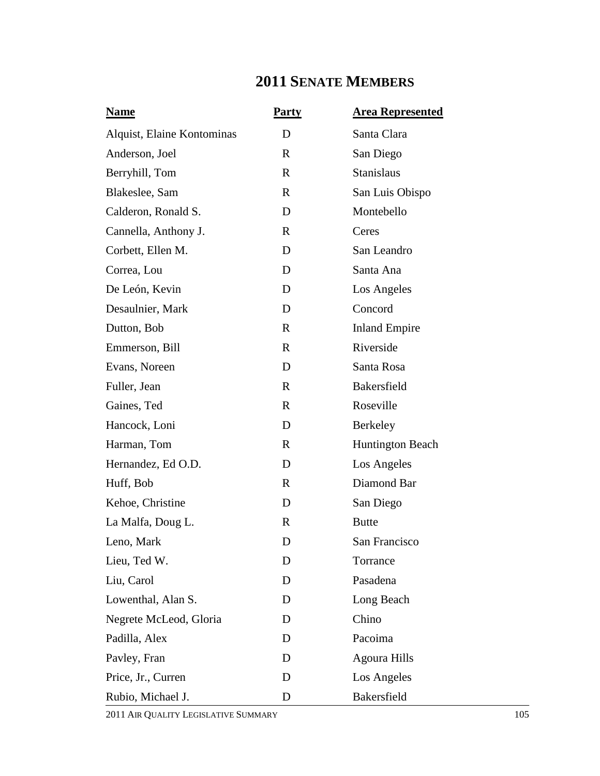## **2011 SENATE MEMBERS**

| <b>Name</b>                | <b>Party</b> | <b>Area Represented</b> |
|----------------------------|--------------|-------------------------|
| Alquist, Elaine Kontominas | D            | Santa Clara             |
| Anderson, Joel             | $\mathbf R$  | San Diego               |
| Berryhill, Tom             | $\mathbf{R}$ | <b>Stanislaus</b>       |
| Blakeslee, Sam             | R            | San Luis Obispo         |
| Calderon, Ronald S.        | D            | Montebello              |
| Cannella, Anthony J.       | $\mathbf{R}$ | Ceres                   |
| Corbett, Ellen M.          | D            | San Leandro             |
| Correa, Lou                | D            | Santa Ana               |
| De León, Kevin             | D            | Los Angeles             |
| Desaulnier, Mark           | D            | Concord                 |
| Dutton, Bob                | $\mathbf{R}$ | <b>Inland Empire</b>    |
| Emmerson, Bill             | $\mathbf{R}$ | Riverside               |
| Evans, Noreen              | D            | Santa Rosa              |
| Fuller, Jean               | $\mathbf{R}$ | <b>Bakersfield</b>      |
| Gaines, Ted                | $\mathbf{R}$ | Roseville               |
| Hancock, Loni              | D            | Berkeley                |
| Harman, Tom                | $\mathbf{R}$ | <b>Huntington Beach</b> |
| Hernandez, Ed O.D.         | D            | Los Angeles             |
| Huff, Bob                  | $\mathbf{R}$ | Diamond Bar             |
| Kehoe, Christine           | D            | San Diego               |
| La Malfa, Doug L.          | $\mathbf R$  | <b>Butte</b>            |
| Leno, Mark                 | D            | San Francisco           |
| Lieu, Ted W.               | D            | Torrance                |
| Liu, Carol                 | D            | Pasadena                |
| Lowenthal, Alan S.         | D            | Long Beach              |
| Negrete McLeod, Gloria     | D            | Chino                   |
| Padilla, Alex              | D            | Pacoima                 |
| Pavley, Fran               | D            | <b>Agoura Hills</b>     |
| Price, Jr., Curren         | D            | Los Angeles             |
| Rubio, Michael J.          | D            | Bakersfield             |

2011 AIR QUALITY LEGISLATIVE SUMMARY 105